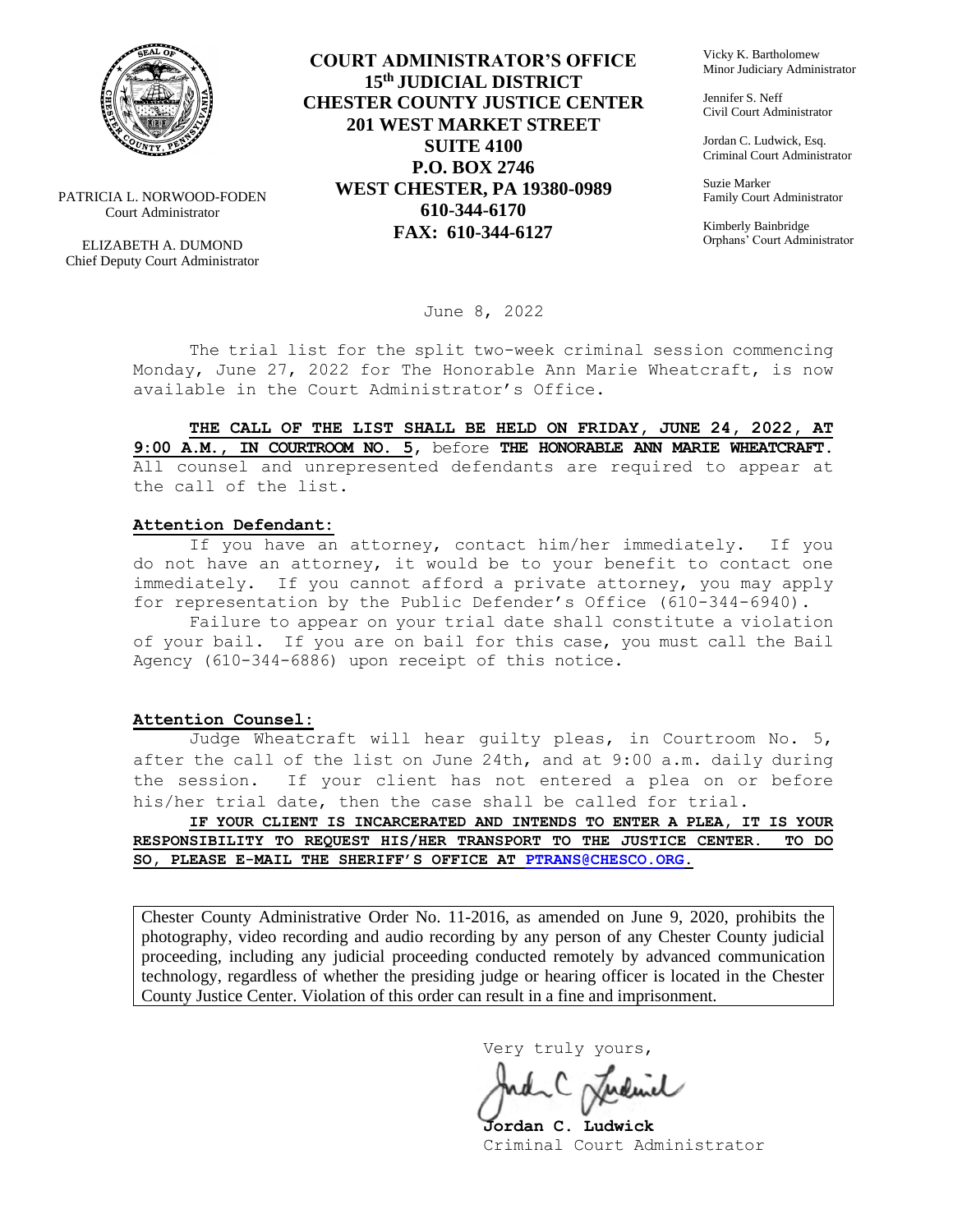

PATRICIA L. NORWOOD-FODEN Court Administrator

ELIZABETH A. DUMOND Chief Deputy Court Administrator

**COURT ADMINISTRATOR'S OFFICE 15th JUDICIAL DISTRICT CHESTER COUNTY JUSTICE CENTER 201 WEST MARKET STREET SUITE 4100 P.O. BOX 2746 WEST CHESTER, PA 19380-0989 610-344-6170 FAX: 610-344-6127**

Vicky K. Bartholomew Minor Judiciary Administrator

Jennifer S. Neff Civil Court Administrator

Jordan C. Ludwick, Esq. Criminal Court Administrator

Suzie Marker Family Court Administrator

Kimberly Bainbridge Orphans' Court Administrator

June 8, 2022

The trial list for the split two-week criminal session commencing Monday, June 27, 2022 for The Honorable Ann Marie Wheatcraft, is now available in the Court Administrator's Office.

**THE CALL OF THE LIST SHALL BE HELD ON FRIDAY, JUNE 24, 2022, AT 9:00 A.M., IN COURTROOM NO. 5,** before **THE HONORABLE ANN MARIE WHEATCRAFT.**  All counsel and unrepresented defendants are required to appear at the call of the list.

#### **Attention Defendant:**

If you have an attorney, contact him/her immediately. If you do not have an attorney, it would be to your benefit to contact one immediately. If you cannot afford a private attorney, you may apply for representation by the Public Defender's Office (610-344-6940).

Failure to appear on your trial date shall constitute a violation of your bail. If you are on bail for this case, you must call the Bail Agency (610-344-6886) upon receipt of this notice.

#### **Attention Counsel:**

Judge Wheatcraft will hear guilty pleas, in Courtroom No. 5, after the call of the list on June 24th, and at 9:00 a.m. daily during the session. If your client has not entered a plea on or before his/her trial date, then the case shall be called for trial.

**IF YOUR CLIENT IS INCARCERATED AND INTENDS TO ENTER A PLEA, IT IS YOUR RESPONSIBILITY TO REQUEST HIS/HER TRANSPORT TO THE JUSTICE CENTER. TO DO SO, PLEASE E-MAIL THE SHERIFF'S OFFICE AT [PTRANS@CHESCO.ORG.](mailto:PTRANS@CHESCO.ORG)**

Chester County Administrative Order No. 11-2016, as amended on June 9, 2020, prohibits the photography, video recording and audio recording by any person of any Chester County judicial proceeding, including any judicial proceeding conducted remotely by advanced communication technology, regardless of whether the presiding judge or hearing officer is located in the Chester County Justice Center. Violation of this order can result in a fine and imprisonment.

Very truly yours,

**Jordan C. Ludwick** Criminal Court Administrator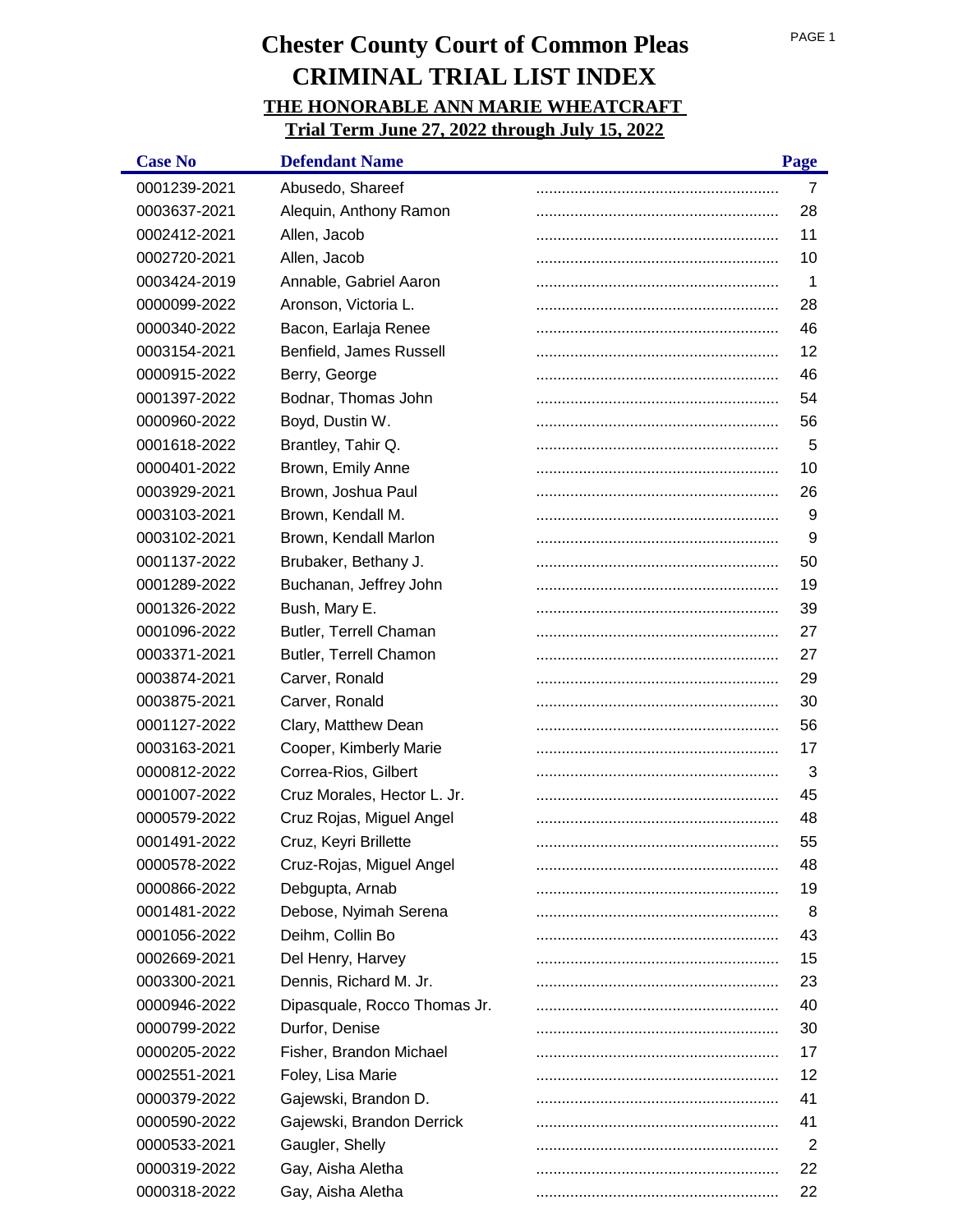| <b>Case No</b> | <b>Defendant Name</b>        | Page |
|----------------|------------------------------|------|
| 0001239-2021   | Abusedo, Shareef             | 7    |
| 0003637-2021   | Alequin, Anthony Ramon       | 28   |
| 0002412-2021   | Allen, Jacob                 | 11   |
| 0002720-2021   | Allen, Jacob                 | 10   |
| 0003424-2019   | Annable, Gabriel Aaron       | 1    |
| 0000099-2022   | Aronson, Victoria L.         | 28   |
| 0000340-2022   | Bacon, Earlaja Renee         | 46   |
| 0003154-2021   | Benfield, James Russell      | 12   |
| 0000915-2022   | Berry, George                | 46   |
| 0001397-2022   | Bodnar, Thomas John          | 54   |
| 0000960-2022   | Boyd, Dustin W.              | 56   |
| 0001618-2022   | Brantley, Tahir Q.           | 5    |
| 0000401-2022   | Brown, Emily Anne            | 10   |
| 0003929-2021   | Brown, Joshua Paul           | 26   |
| 0003103-2021   | Brown, Kendall M.            | 9    |
| 0003102-2021   | Brown, Kendall Marlon        | 9    |
| 0001137-2022   | Brubaker, Bethany J.         | 50   |
| 0001289-2022   | Buchanan, Jeffrey John       | 19   |
| 0001326-2022   | Bush, Mary E.                | 39   |
| 0001096-2022   | Butler, Terrell Chaman       | 27   |
| 0003371-2021   | Butler, Terrell Chamon       | 27   |
| 0003874-2021   | Carver, Ronald               | 29   |
| 0003875-2021   | Carver, Ronald               | 30   |
| 0001127-2022   | Clary, Matthew Dean          | 56   |
| 0003163-2021   | Cooper, Kimberly Marie       | 17   |
| 0000812-2022   | Correa-Rios, Gilbert         | 3    |
| 0001007-2022   | Cruz Morales, Hector L. Jr.  | 45   |
| 0000579-2022   | Cruz Rojas, Miguel Angel     | 48   |
| 0001491-2022   | Cruz, Keyri Brillette        | 55   |
| 0000578-2022   | Cruz-Rojas, Miguel Angel     | 48   |
| 0000866-2022   | Debgupta, Arnab              | 19   |
| 0001481-2022   | Debose, Nyimah Serena        | 8    |
| 0001056-2022   | Deihm, Collin Bo             | 43   |
| 0002669-2021   | Del Henry, Harvey            | 15   |
| 0003300-2021   | Dennis, Richard M. Jr.       | 23   |
| 0000946-2022   | Dipasquale, Rocco Thomas Jr. | 40   |
| 0000799-2022   | Durfor, Denise               | 30   |
| 0000205-2022   | Fisher, Brandon Michael      | 17   |
| 0002551-2021   | Foley, Lisa Marie            | 12   |
| 0000379-2022   | Gajewski, Brandon D.         | 41   |
| 0000590-2022   | Gajewski, Brandon Derrick    | 41   |
| 0000533-2021   | Gaugler, Shelly              | 2    |
| 0000319-2022   | Gay, Aisha Aletha            | 22   |
| 0000318-2022   | Gay, Aisha Aletha            | 22   |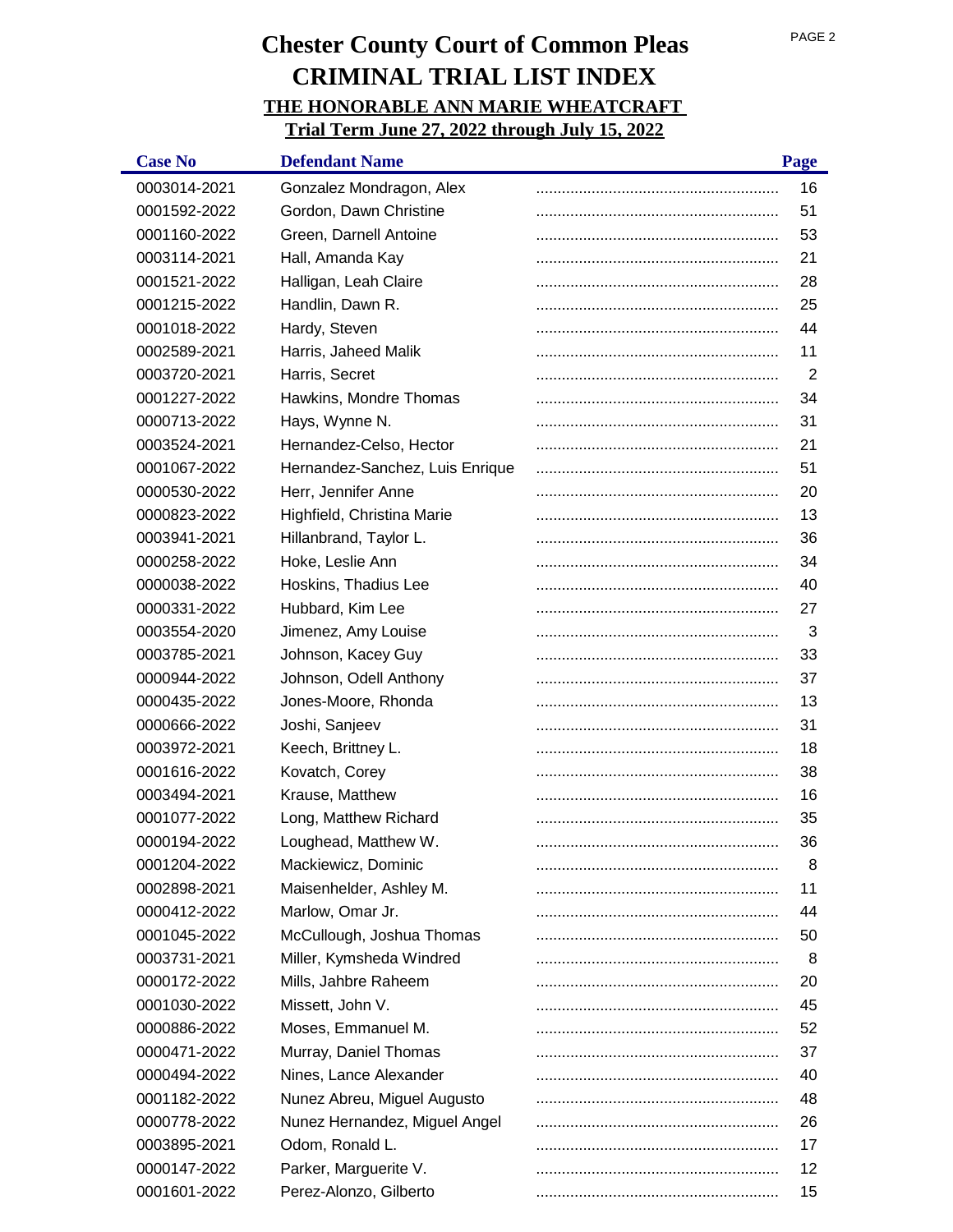| <b>Case No</b> | <b>Defendant Name</b>           | Page |
|----------------|---------------------------------|------|
| 0003014-2021   | Gonzalez Mondragon, Alex        | 16   |
| 0001592-2022   | Gordon, Dawn Christine          | 51   |
| 0001160-2022   | Green, Darnell Antoine          | 53   |
| 0003114-2021   | Hall, Amanda Kay                | 21   |
| 0001521-2022   | Halligan, Leah Claire           | 28   |
| 0001215-2022   | Handlin, Dawn R.                | 25   |
| 0001018-2022   | Hardy, Steven                   | 44   |
| 0002589-2021   | Harris, Jaheed Malik            | 11   |
| 0003720-2021   | Harris, Secret                  | 2    |
| 0001227-2022   | Hawkins, Mondre Thomas          | 34   |
| 0000713-2022   | Hays, Wynne N.                  | 31   |
| 0003524-2021   | Hernandez-Celso, Hector         | 21   |
| 0001067-2022   | Hernandez-Sanchez, Luis Enrique | 51   |
| 0000530-2022   | Herr, Jennifer Anne             | 20   |
| 0000823-2022   | Highfield, Christina Marie      | 13   |
| 0003941-2021   | Hillanbrand, Taylor L.          | 36   |
| 0000258-2022   | Hoke, Leslie Ann                | 34   |
| 0000038-2022   | Hoskins, Thadius Lee            | 40   |
| 0000331-2022   | Hubbard, Kim Lee                | 27   |
| 0003554-2020   | Jimenez, Amy Louise             | 3    |
| 0003785-2021   | Johnson, Kacey Guy              | 33   |
| 0000944-2022   | Johnson, Odell Anthony          | 37   |
| 0000435-2022   | Jones-Moore, Rhonda             | 13   |
| 0000666-2022   | Joshi, Sanjeev                  | 31   |
| 0003972-2021   | Keech, Brittney L.              | 18   |
| 0001616-2022   | Kovatch, Corey                  | 38   |
| 0003494-2021   | Krause, Matthew                 | 16   |
| 0001077-2022   | Long, Matthew Richard           | 35   |
| 0000194-2022   | Loughead, Matthew W.            | 36   |
| 0001204-2022   | Mackiewicz, Dominic             | 8    |
| 0002898-2021   | Maisenhelder, Ashley M.         | 11   |
| 0000412-2022   | Marlow, Omar Jr.                | 44   |
| 0001045-2022   | McCullough, Joshua Thomas       | 50   |
| 0003731-2021   | Miller, Kymsheda Windred        | 8    |
| 0000172-2022   | Mills, Jahbre Raheem            | 20   |
| 0001030-2022   | Missett, John V.                | 45   |
| 0000886-2022   | Moses, Emmanuel M.              | 52   |
| 0000471-2022   | Murray, Daniel Thomas           | 37   |
| 0000494-2022   | Nines, Lance Alexander          | 40   |
| 0001182-2022   | Nunez Abreu, Miguel Augusto     | 48   |
| 0000778-2022   | Nunez Hernandez, Miguel Angel   | 26   |
| 0003895-2021   | Odom, Ronald L.                 | 17   |
| 0000147-2022   | Parker, Marguerite V.           | 12   |
| 0001601-2022   | Perez-Alonzo, Gilberto          | 15   |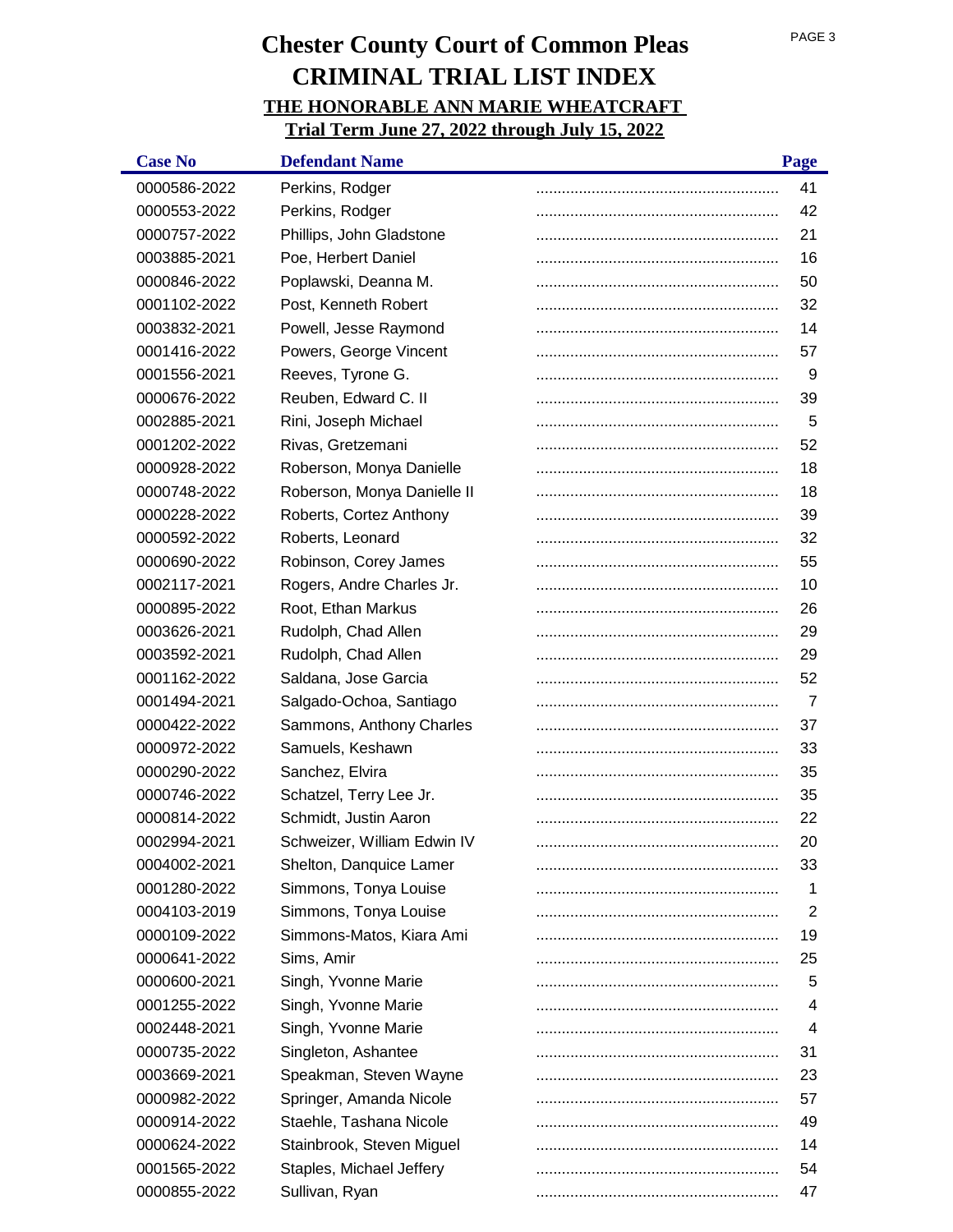| <b>Case No</b> | <b>Defendant Name</b>       | Page |
|----------------|-----------------------------|------|
| 0000586-2022   | Perkins, Rodger             | 41   |
| 0000553-2022   | Perkins, Rodger             | 42   |
| 0000757-2022   | Phillips, John Gladstone    | 21   |
| 0003885-2021   | Poe, Herbert Daniel         | 16   |
| 0000846-2022   | Poplawski, Deanna M.        | 50   |
| 0001102-2022   | Post, Kenneth Robert        | 32   |
| 0003832-2021   | Powell, Jesse Raymond       | 14   |
| 0001416-2022   | Powers, George Vincent      | 57   |
| 0001556-2021   | Reeves, Tyrone G.           | 9    |
| 0000676-2022   | Reuben, Edward C. II        | 39   |
| 0002885-2021   | Rini, Joseph Michael        | 5    |
| 0001202-2022   | Rivas, Gretzemani           | 52   |
| 0000928-2022   | Roberson, Monya Danielle    | 18   |
| 0000748-2022   | Roberson, Monya Danielle II | 18   |
| 0000228-2022   | Roberts, Cortez Anthony     | 39   |
| 0000592-2022   | Roberts, Leonard            | 32   |
| 0000690-2022   | Robinson, Corey James       | 55   |
| 0002117-2021   | Rogers, Andre Charles Jr.   | 10   |
| 0000895-2022   | Root, Ethan Markus          | 26   |
| 0003626-2021   | Rudolph, Chad Allen         | 29   |
| 0003592-2021   | Rudolph, Chad Allen         | 29   |
| 0001162-2022   | Saldana, Jose Garcia        | 52   |
| 0001494-2021   | Salgado-Ochoa, Santiago     | 7    |
| 0000422-2022   | Sammons, Anthony Charles    | 37   |
| 0000972-2022   | Samuels, Keshawn            | 33   |
| 0000290-2022   | Sanchez, Elvira             | 35   |
| 0000746-2022   | Schatzel, Terry Lee Jr.     | 35   |
| 0000814-2022   | Schmidt, Justin Aaron       | 22   |
| 0002994-2021   | Schweizer, William Edwin IV | 20   |
| 0004002-2021   | Shelton, Danquice Lamer     | 33   |
| 0001280-2022   | Simmons, Tonya Louise       | 1    |
| 0004103-2019   | Simmons, Tonya Louise       | 2    |
| 0000109-2022   | Simmons-Matos, Kiara Ami    | 19   |
| 0000641-2022   | Sims, Amir                  | 25   |
| 0000600-2021   | Singh, Yvonne Marie         | 5    |
| 0001255-2022   | Singh, Yvonne Marie         | 4    |
| 0002448-2021   | Singh, Yvonne Marie         | 4    |
| 0000735-2022   | Singleton, Ashantee         | 31   |
| 0003669-2021   | Speakman, Steven Wayne      | 23   |
| 0000982-2022   | Springer, Amanda Nicole     | 57   |
| 0000914-2022   | Staehle, Tashana Nicole     | 49   |
| 0000624-2022   | Stainbrook, Steven Miguel   | 14   |
| 0001565-2022   | Staples, Michael Jeffery    | 54   |
| 0000855-2022   | Sullivan, Ryan              | 47   |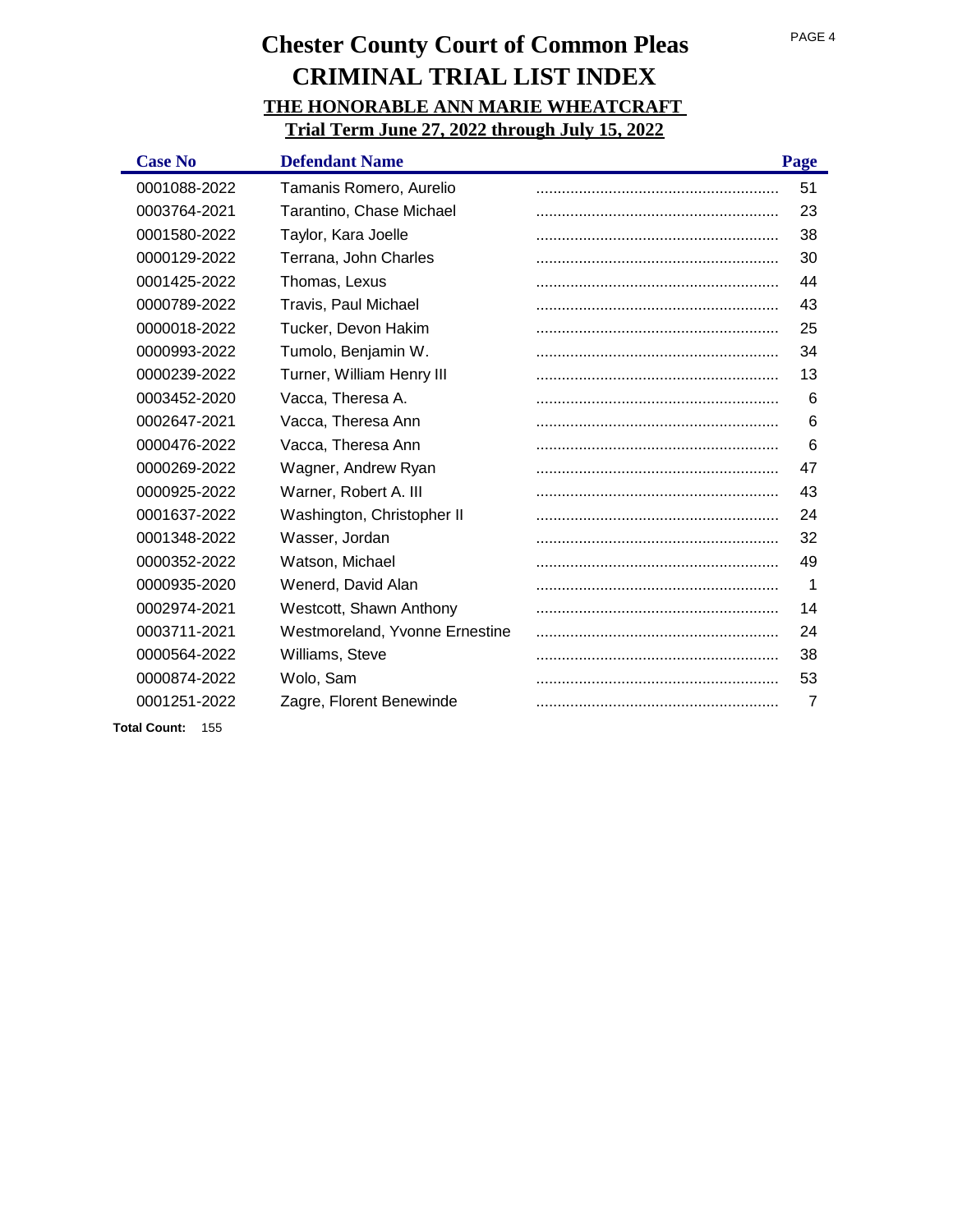| <b>Case No</b> | <b>Defendant Name</b>          | Page           |
|----------------|--------------------------------|----------------|
| 0001088-2022   | Tamanis Romero, Aurelio        | 51             |
| 0003764-2021   | Tarantino, Chase Michael       | 23             |
| 0001580-2022   | Taylor, Kara Joelle            | 38             |
| 0000129-2022   | Terrana, John Charles          | 30             |
| 0001425-2022   | Thomas, Lexus                  | 44             |
| 0000789-2022   | Travis, Paul Michael           | 43             |
| 0000018-2022   | Tucker, Devon Hakim            | 25             |
| 0000993-2022   | Tumolo, Benjamin W.            | 34             |
| 0000239-2022   | Turner, William Henry III      | 13             |
| 0003452-2020   | Vacca, Theresa A.              | 6              |
| 0002647-2021   | Vacca, Theresa Ann             | 6              |
| 0000476-2022   | Vacca, Theresa Ann             | 6              |
| 0000269-2022   | Wagner, Andrew Ryan            | 47             |
| 0000925-2022   | Warner, Robert A. III          | 43             |
| 0001637-2022   | Washington, Christopher II     | 24             |
| 0001348-2022   | Wasser, Jordan                 | 32             |
| 0000352-2022   | Watson, Michael                | 49             |
| 0000935-2020   | Wenerd, David Alan             | 1              |
| 0002974-2021   | Westcott, Shawn Anthony        | 14             |
| 0003711-2021   | Westmoreland, Yvonne Ernestine | 24             |
| 0000564-2022   | Williams, Steve                | 38             |
| 0000874-2022   | Wolo, Sam                      | 53             |
| 0001251-2022   | Zagre, Florent Benewinde       | $\overline{7}$ |
|                |                                |                |

**Total Count:** 155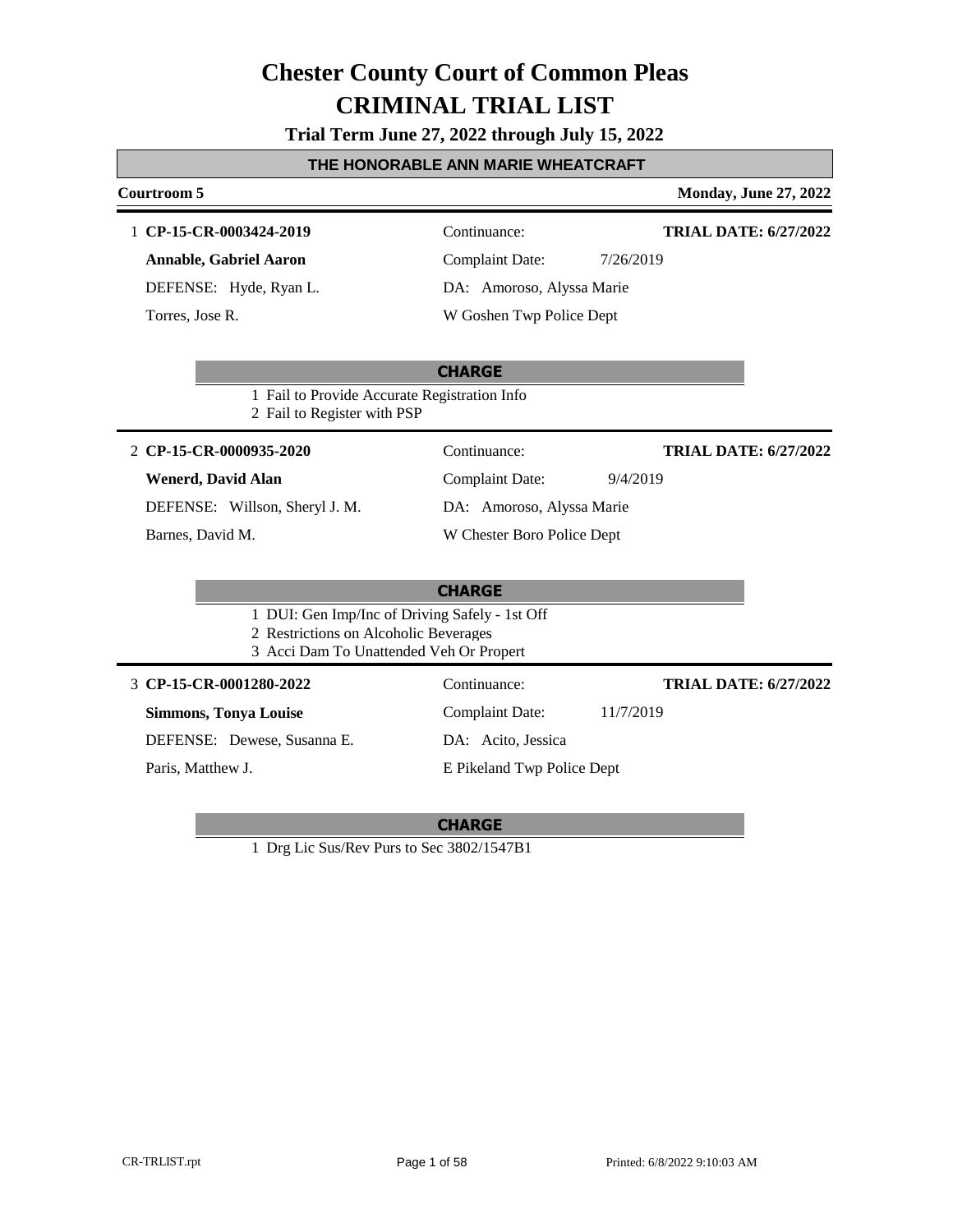|  |  |  |  |  | Trial Term June 27, 2022 through July 15, 2022 |  |  |  |
|--|--|--|--|--|------------------------------------------------|--|--|--|
|--|--|--|--|--|------------------------------------------------|--|--|--|

### **THE HONORABLE ANN MARIE WHEATCRAFT**

| Courtroom 5                                    |                            | <b>Monday, June 27, 2022</b> |
|------------------------------------------------|----------------------------|------------------------------|
| 1 CP-15-CR-0003424-2019                        | Continuance:               | <b>TRIAL DATE: 6/27/2022</b> |
| <b>Annable, Gabriel Aaron</b>                  | <b>Complaint Date:</b>     | 7/26/2019                    |
| DEFENSE: Hyde, Ryan L.                         | DA: Amoroso, Alyssa Marie  |                              |
| Torres, Jose R.                                | W Goshen Twp Police Dept   |                              |
|                                                |                            |                              |
|                                                | <b>CHARGE</b>              |                              |
| 1 Fail to Provide Accurate Registration Info   |                            |                              |
| 2 Fail to Register with PSP                    |                            |                              |
| 2 CP-15-CR-0000935-2020                        | Continuance:               | <b>TRIAL DATE: 6/27/2022</b> |
| <b>Wenerd, David Alan</b>                      | <b>Complaint Date:</b>     | 9/4/2019                     |
| DEFENSE: Willson, Sheryl J. M.                 | DA: Amoroso, Alyssa Marie  |                              |
| Barnes, David M.                               | W Chester Boro Police Dept |                              |
|                                                |                            |                              |
|                                                | <b>CHARGE</b>              |                              |
| 1 DUI: Gen Imp/Inc of Driving Safely - 1st Off |                            |                              |
| 2 Restrictions on Alcoholic Beverages          |                            |                              |
| 3 Acci Dam To Unattended Veh Or Propert        |                            |                              |
| 3 CP-15-CR-0001280-2022                        | Continuance:               | <b>TRIAL DATE: 6/27/2022</b> |
| <b>Simmons, Tonya Louise</b>                   | <b>Complaint Date:</b>     | 11/7/2019                    |
| DEFENSE: Dewese, Susanna E.                    | DA: Acito, Jessica         |                              |
| Paris, Matthew J.                              | E Pikeland Twp Police Dept |                              |
|                                                |                            |                              |

### **CHARGE**

1 Drg Lic Sus/Rev Purs to Sec 3802/1547B1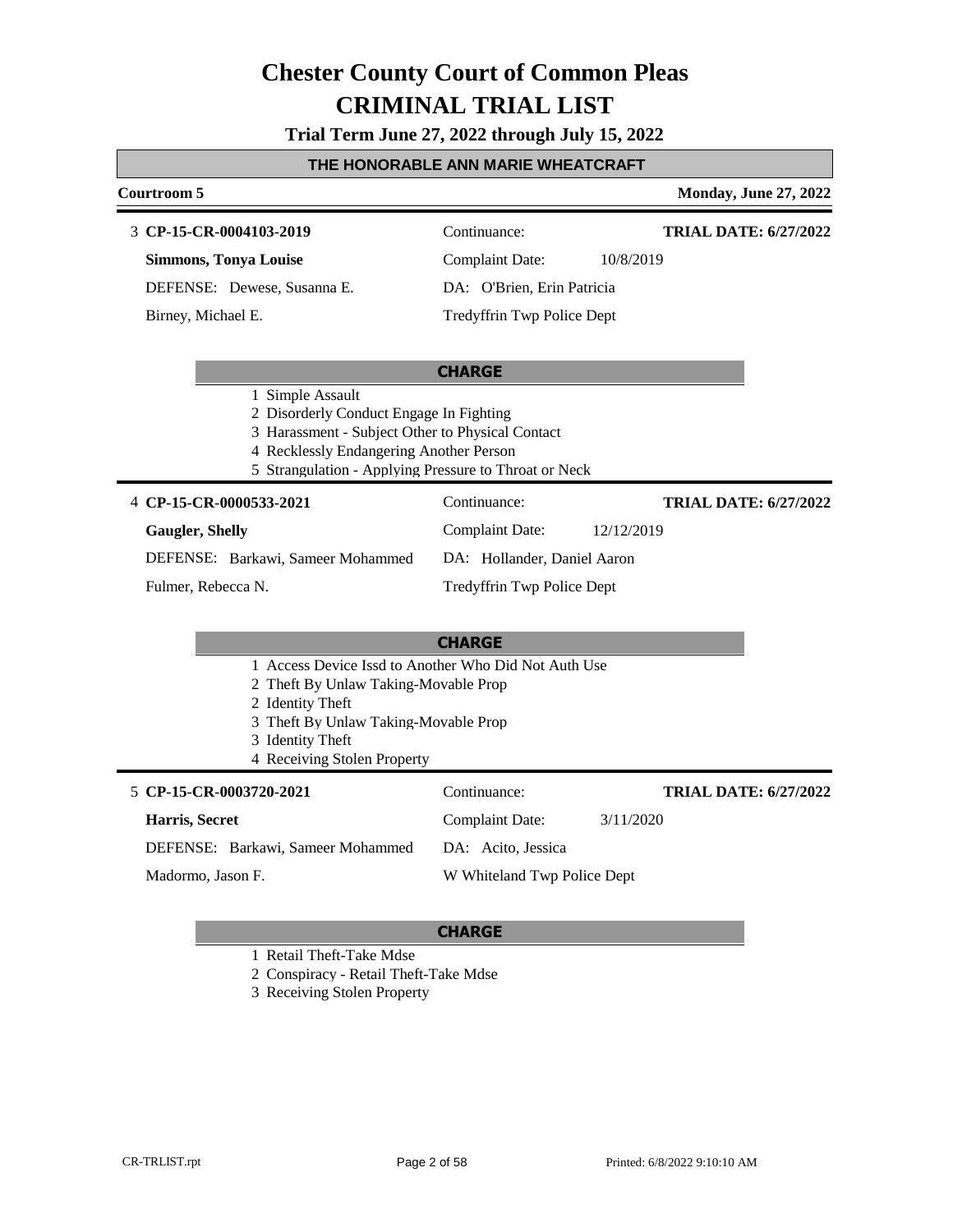### **Trial Term June 27, 2022 through July 15, 2022**

#### **THE HONORABLE ANN MARIE WHEATCRAFT**

### **Courtroom 5 Monday, June 27, 2022 CP-15-CR-0004103-2019** 3 Continuance: **Simmons, Tonya Louise** Complaint Date: 10/8/2019 **TRIAL DATE: 6/27/2022**

DEFENSE: Dewese, Susanna E.

Birney, Michael E.

**TRIAL DATE: 6/27/2022**

### DA: O'Brien, Erin Patricia Tredyffrin Twp Police Dept

#### **CHARGE**

- 1 Simple Assault
- 2 Disorderly Conduct Engage In Fighting
- 3 Harassment Subject Other to Physical Contact
- 4 Recklessly Endangering Another Person
- 5 Strangulation Applying Pressure to Throat or Neck

#### 4 **CP-15-CR-0000533-2021** Continuance:

**Gaugler, Shelly** DEFENSE: Barkawi, Sameer Mohammed

DA: Hollander, Daniel Aaron

Tredyffrin Twp Police Dept

Complaint Date: 12/12/2019

Fulmer, Rebecca N.

### **CHARGE**

- 1 Access Device Issd to Another Who Did Not Auth Use
- 2 Theft By Unlaw Taking-Movable Prop
- 2 Identity Theft
- 3 Theft By Unlaw Taking-Movable Prop
- 3 Identity Theft
- 4 Receiving Stolen Property

| 5 CP-15-CR-0003720-2021           | Continuance:                | <b>TRIAL DATE: 6/27/2022</b> |
|-----------------------------------|-----------------------------|------------------------------|
| Harris, Secret                    | <b>Complaint Date:</b>      | 3/11/2020                    |
| DEFENSE: Barkawi, Sameer Mohammed | DA: Acito, Jessica          |                              |
| Madormo, Jason F.                 | W Whiteland Twp Police Dept |                              |

#### **CHARGE**

1 Retail Theft-Take Mdse

2 Conspiracy - Retail Theft-Take Mdse

3 Receiving Stolen Property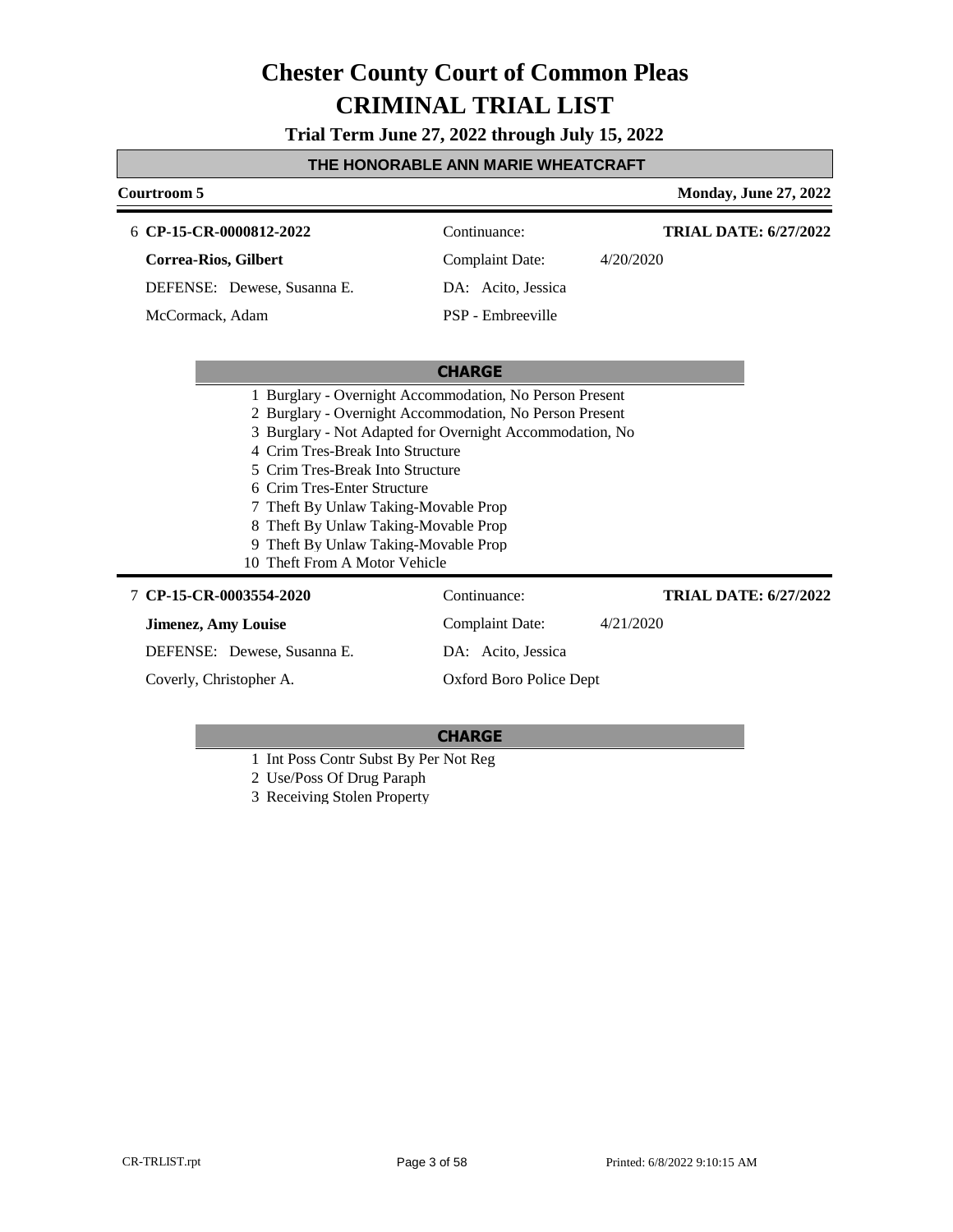**Trial Term June 27, 2022 through July 15, 2022**

#### **THE HONORABLE ANN MARIE WHEATCRAFT**

| Courtroom 5                                                                                                                                                                                                                                                    |                                                                                                                                                                                | <b>Monday, June 27, 2022</b> |
|----------------------------------------------------------------------------------------------------------------------------------------------------------------------------------------------------------------------------------------------------------------|--------------------------------------------------------------------------------------------------------------------------------------------------------------------------------|------------------------------|
| 6 CP-15-CR-0000812-2022                                                                                                                                                                                                                                        | Continuance:                                                                                                                                                                   | <b>TRIAL DATE: 6/27/2022</b> |
| Correa-Rios, Gilbert                                                                                                                                                                                                                                           | Complaint Date:                                                                                                                                                                | 4/20/2020                    |
| DEFENSE: Dewese, Susanna E.                                                                                                                                                                                                                                    | DA: Acito, Jessica                                                                                                                                                             |                              |
| McCormack, Adam                                                                                                                                                                                                                                                | PSP - Embreeville                                                                                                                                                              |                              |
|                                                                                                                                                                                                                                                                | <b>CHARGE</b>                                                                                                                                                                  |                              |
| 4 Crim Tres-Break Into Structure<br>5 Crim Tres-Break Into Structure<br>6 Crim Tres-Enter Structure<br>Theft By Unlaw Taking-Movable Prop<br>Theft By Unlaw Taking-Movable Prop<br>Theft By Unlaw Taking-Movable Prop<br>9<br>Theft From A Motor Vehicle<br>10 | 1 Burglary - Overnight Accommodation, No Person Present<br>2 Burglary - Overnight Accommodation, No Person Present<br>3 Burglary - Not Adapted for Overnight Accommodation, No |                              |
| 7 CP-15-CR-0003554-2020                                                                                                                                                                                                                                        | Continuance:                                                                                                                                                                   | <b>TRIAL DATE: 6/27/2022</b> |
| <b>Jimenez, Amy Louise</b>                                                                                                                                                                                                                                     | <b>Complaint Date:</b>                                                                                                                                                         | 4/21/2020                    |
| DEFENSE: Dewese, Susanna E.                                                                                                                                                                                                                                    | DA: Acito, Jessica                                                                                                                                                             |                              |
| Coverly, Christopher A.                                                                                                                                                                                                                                        | Oxford Boro Police Dept                                                                                                                                                        |                              |

- 1 Int Poss Contr Subst By Per Not Reg
- 2 Use/Poss Of Drug Paraph 3 Receiving Stolen Property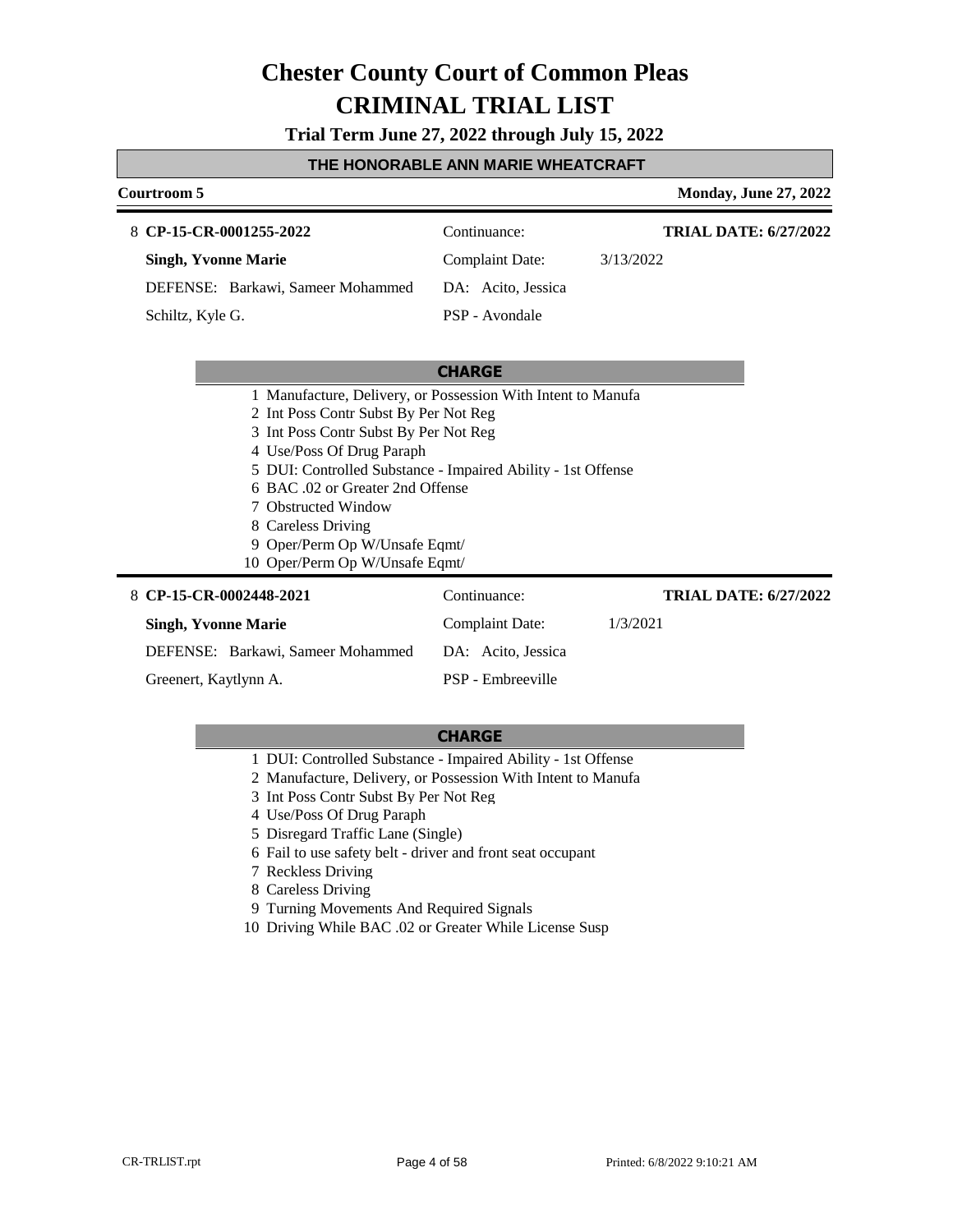**Trial Term June 27, 2022 through July 15, 2022**

#### **THE HONORABLE ANN MARIE WHEATCRAFT**

#### **Courtroom 5 Monday, June 27, 2022 CP-15-CR-0001255-2022** 8 Continuance: **Singh, Yvonne Marie** DEFENSE: Barkawi, Sameer Mohammed Complaint Date: 3/13/2022 DA: Acito, Jessica PSP - Avondale **TRIAL DATE: 6/27/2022** Schiltz, Kyle G.

#### **CHARGE**

- 1 Manufacture, Delivery, or Possession With Intent to Manufa
- 2 Int Poss Contr Subst By Per Not Reg
- 3 Int Poss Contr Subst By Per Not Reg
- 4 Use/Poss Of Drug Paraph
- 5 DUI: Controlled Substance Impaired Ability 1st Offense
- 6 BAC .02 or Greater 2nd Offense
- 7 Obstructed Window
- 8 Careless Driving
- 9 Oper/Perm Op W/Unsafe Eqmt/
- 10 Oper/Perm Op W/Unsafe Eqmt/

| 8 CP-15-CR-0002448-2021           | Continuance:       | <b>TRIAL DATE: 6/27/2022</b> |
|-----------------------------------|--------------------|------------------------------|
| <b>Singh, Yvonne Marie</b>        | Complaint Date:    | 1/3/2021                     |
| DEFENSE: Barkawi, Sameer Mohammed | DA: Acito, Jessica |                              |
| Greenert, Kaytlynn A.             | PSP - Embreeville  |                              |

- 1 DUI: Controlled Substance Impaired Ability 1st Offense
- 2 Manufacture, Delivery, or Possession With Intent to Manufa
- 3 Int Poss Contr Subst By Per Not Reg
- 4 Use/Poss Of Drug Paraph
- 5 Disregard Traffic Lane (Single)
- 6 Fail to use safety belt driver and front seat occupant
- 7 Reckless Driving
- 8 Careless Driving
- 9 Turning Movements And Required Signals
- 10 Driving While BAC .02 or Greater While License Susp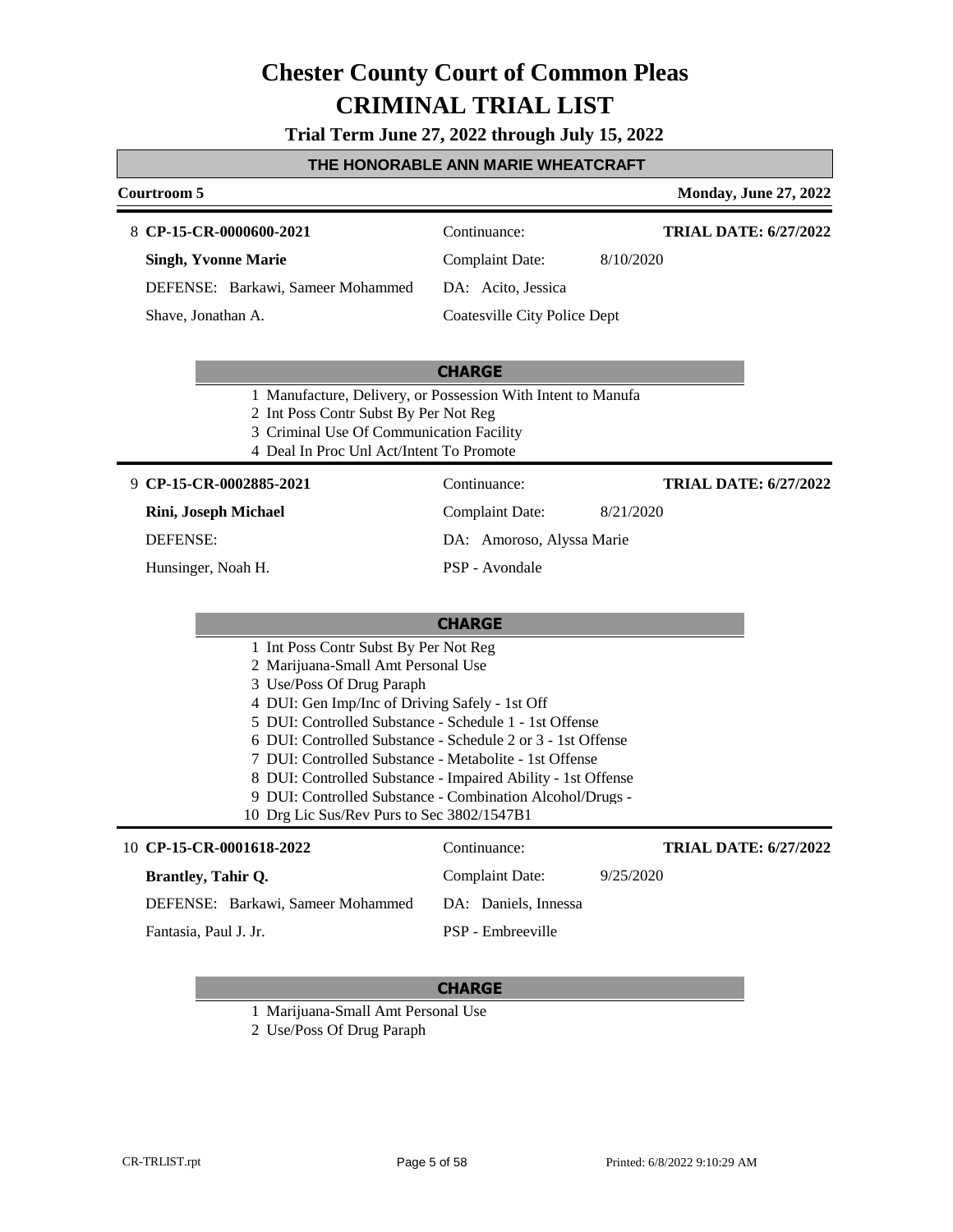**Trial Term June 27, 2022 through July 15, 2022**

#### **THE HONORABLE ANN MARIE WHEATCRAFT**

#### **Courtroom 5 Monday, June 27, 2022 CP-15-CR-0000600-2021** 8 Continuance: **Singh, Yvonne Marie** DEFENSE: Barkawi, Sameer Mohammed Complaint Date: 8/10/2020 DA: Acito, Jessica Coatesville City Police Dept **TRIAL DATE: 6/27/2022** Shave, Jonathan A.

#### **CHARGE**

- 1 Manufacture, Delivery, or Possession With Intent to Manufa
- 2 Int Poss Contr Subst By Per Not Reg
- 3 Criminal Use Of Communication Facility
- 4 Deal In Proc Unl Act/Intent To Promote

**CP-15-CR-0002885-2021** 9 Continuance:

**Rini, Joseph Michael**

DEFENSE:

Hunsinger, Noah H.

DA: Amoroso, Alyssa Marie PSP - Avondale

Complaint Date: 8/21/2020

**TRIAL DATE: 6/27/2022**

#### **CHARGE**

- 1 Int Poss Contr Subst By Per Not Reg
- 2 Marijuana-Small Amt Personal Use
- 3 Use/Poss Of Drug Paraph
- 4 DUI: Gen Imp/Inc of Driving Safely 1st Off
- 5 DUI: Controlled Substance Schedule 1 1st Offense
- 6 DUI: Controlled Substance Schedule 2 or 3 1st Offense
- 7 DUI: Controlled Substance Metabolite 1st Offense
- 8 DUI: Controlled Substance Impaired Ability 1st Offense
- 9 DUI: Controlled Substance Combination Alcohol/Drugs -
- 10 Drg Lic Sus/Rev Purs to Sec 3802/1547B1

| 10 CP-15-CR-0001618-2022          | Continuance:         | <b>TRIAL DATE: 6/27/2022</b> |
|-----------------------------------|----------------------|------------------------------|
| <b>Brantley, Tahir O.</b>         | Complaint Date:      | 9/25/2020                    |
| DEFENSE: Barkawi, Sameer Mohammed | DA: Daniels, Innessa |                              |
| Fantasia, Paul J. Jr.             | PSP - Embreeville    |                              |

- 1 Marijuana-Small Amt Personal Use
- 2 Use/Poss Of Drug Paraph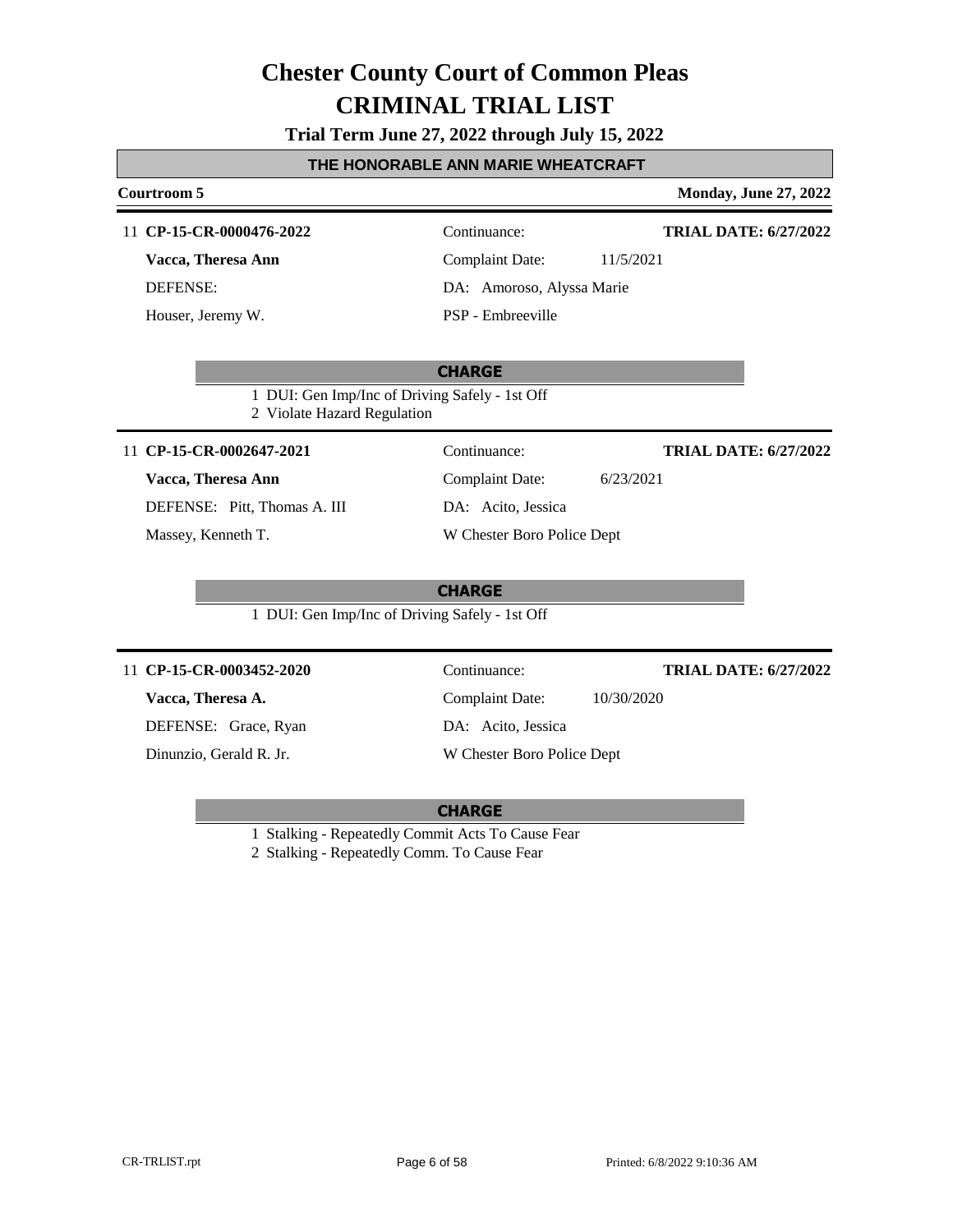**Trial Term June 27, 2022 through July 15, 2022**

#### **THE HONORABLE ANN MARIE WHEATCRAFT**

### **Courtroom 5 Monday, June 27, 2022 CHARGE** 11 **CP-15-CR-0000476-2022** Continuance: **Vacca, Theresa Ann** DEFENSE: Complaint Date: 11/5/2021 DA: Amoroso, Alyssa Marie PSP - Embreeville **TRIAL DATE: 6/27/2022** Houser, Jeremy W. 1 DUI: Gen Imp/Inc of Driving Safely - 1st Off 2 Violate Hazard Regulation **CHARGE** 11 **CP-15-CR-0002647-2021** Continuance: **Vacca, Theresa Ann** DEFENSE: Pitt, Thomas A. III Complaint Date: 6/23/2021 DA: Acito, Jessica W Chester Boro Police Dept **TRIAL DATE: 6/27/2022** Massey, Kenneth T. 1 DUI: Gen Imp/Inc of Driving Safely - 1st Off **CHARGE** 11 **CP-15-CR-0003452-2020** Continuance: **Vacca, Theresa A.** DEFENSE: Grace, Ryan Complaint Date: 10/30/2020 DA: Acito, Jessica W Chester Boro Police Dept **TRIAL DATE: 6/27/2022** Dinunzio, Gerald R. Jr.

1 Stalking - Repeatedly Commit Acts To Cause Fear

2 Stalking - Repeatedly Comm. To Cause Fear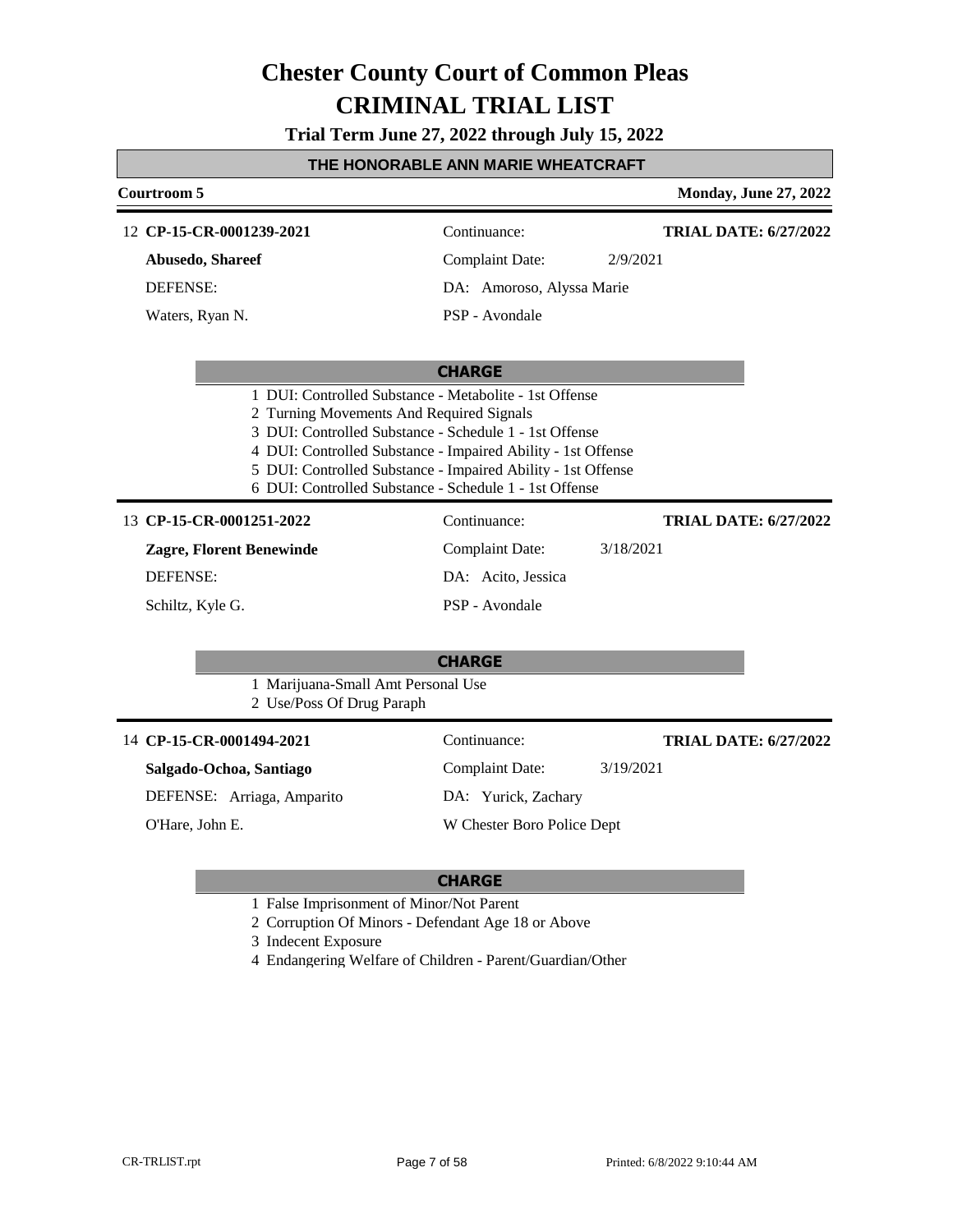**Trial Term June 27, 2022 through July 15, 2022**

### **THE HONORABLE ANN MARIE WHEATCRAFT**

| Courtroom 5                                                                                                                                                                                                            |                                                                                                                              | <b>Monday, June 27, 2022</b> |
|------------------------------------------------------------------------------------------------------------------------------------------------------------------------------------------------------------------------|------------------------------------------------------------------------------------------------------------------------------|------------------------------|
| 12 CP-15-CR-0001239-2021                                                                                                                                                                                               | Continuance:                                                                                                                 | <b>TRIAL DATE: 6/27/2022</b> |
| Abusedo, Shareef                                                                                                                                                                                                       | <b>Complaint Date:</b>                                                                                                       | 2/9/2021                     |
| <b>DEFENSE:</b>                                                                                                                                                                                                        | DA: Amoroso, Alyssa Marie                                                                                                    |                              |
| Waters, Ryan N.                                                                                                                                                                                                        | PSP - Avondale                                                                                                               |                              |
|                                                                                                                                                                                                                        | <b>CHARGE</b>                                                                                                                |                              |
| 1 DUI: Controlled Substance - Metabolite - 1st Offense<br>2 Turning Movements And Required Signals<br>3 DUI: Controlled Substance - Schedule 1 - 1st Offense<br>6 DUI: Controlled Substance - Schedule 1 - 1st Offense | 4 DUI: Controlled Substance - Impaired Ability - 1st Offense<br>5 DUI: Controlled Substance - Impaired Ability - 1st Offense |                              |
| 13 CP-15-CR-0001251-2022                                                                                                                                                                                               | Continuance:                                                                                                                 | <b>TRIAL DATE: 6/27/2022</b> |
| <b>Zagre, Florent Benewinde</b>                                                                                                                                                                                        | <b>Complaint Date:</b>                                                                                                       | 3/18/2021                    |
| <b>DEFENSE:</b>                                                                                                                                                                                                        | DA: Acito, Jessica                                                                                                           |                              |
| Schiltz, Kyle G.                                                                                                                                                                                                       | PSP - Avondale                                                                                                               |                              |
| 1 Marijuana-Small Amt Personal Use                                                                                                                                                                                     | <b>CHARGE</b>                                                                                                                |                              |
| 2 Use/Poss Of Drug Paraph                                                                                                                                                                                              |                                                                                                                              |                              |
| 14 CP-15-CR-0001494-2021                                                                                                                                                                                               | Continuance:                                                                                                                 | <b>TRIAL DATE: 6/27/2022</b> |
| Salgado-Ochoa, Santiago                                                                                                                                                                                                | <b>Complaint Date:</b>                                                                                                       | 3/19/2021                    |
| DEFENSE: Arriaga, Amparito                                                                                                                                                                                             | DA: Yurick, Zachary                                                                                                          |                              |
| O'Hare, John E.                                                                                                                                                                                                        | W Chester Boro Police Dept                                                                                                   |                              |

- 1 False Imprisonment of Minor/Not Parent
- 2 Corruption Of Minors Defendant Age 18 or Above
- 3 Indecent Exposure
- 4 Endangering Welfare of Children Parent/Guardian/Other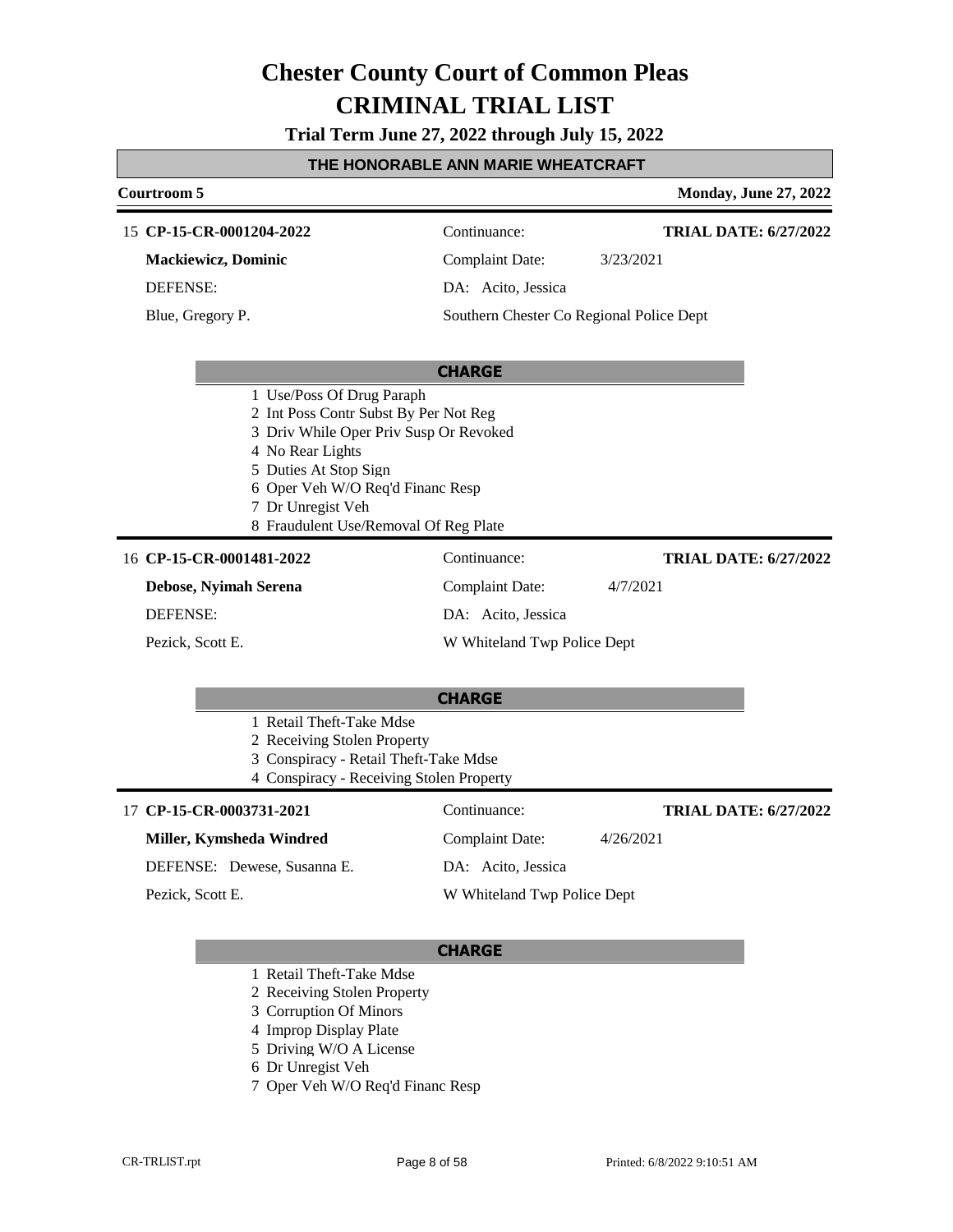**Trial Term June 27, 2022 through July 15, 2022**

#### **THE HONORABLE ANN MARIE WHEATCRAFT**

### **Courtroom 5 Monday, June 27, 2022 CHARGE CP-15-CR-0001204-2022** 15 Continuance: **Mackiewicz, Dominic** DEFENSE: Complaint Date: 3/23/2021 DA: Acito, Jessica Southern Chester Co Regional Police Dept **TRIAL DATE: 6/27/2022** Blue, Gregory P. 1 Use/Poss Of Drug Paraph 2 Int Poss Contr Subst By Per Not Reg 3 Driv While Oper Priv Susp Or Revoked 4 No Rear Lights 5 Duties At Stop Sign 6 Oper Veh W/O Req'd Financ Resp 7 Dr Unregist Veh 8 Fraudulent Use/Removal Of Reg Plate **CHARGE** 16 **CP-15-CR-0001481-2022** Continuance: **Debose, Nyimah Serena** DEFENSE: Complaint Date: 4/7/2021 DA: Acito, Jessica W Whiteland Twp Police Dept **TRIAL DATE: 6/27/2022** Pezick, Scott E. 1 Retail Theft-Take Mdse 2 Receiving Stolen Property 3 Conspiracy - Retail Theft-Take Mdse 4 Conspiracy - Receiving Stolen Property 17 **CP-15-CR-0003731-2021** Continuance: **Miller, Kymsheda Windred** DEFENSE: Dewese, Susanna E. Complaint Date: 4/26/2021 DA: Acito, Jessica W Whiteland Twp Police Dept **TRIAL DATE: 6/27/2022** Pezick, Scott E.

- 1 Retail Theft-Take Mdse
- 2 Receiving Stolen Property
- 3 Corruption Of Minors
- 4 Improp Display Plate
- 5 Driving W/O A License
- 6 Dr Unregist Veh
- 7 Oper Veh W/O Req'd Financ Resp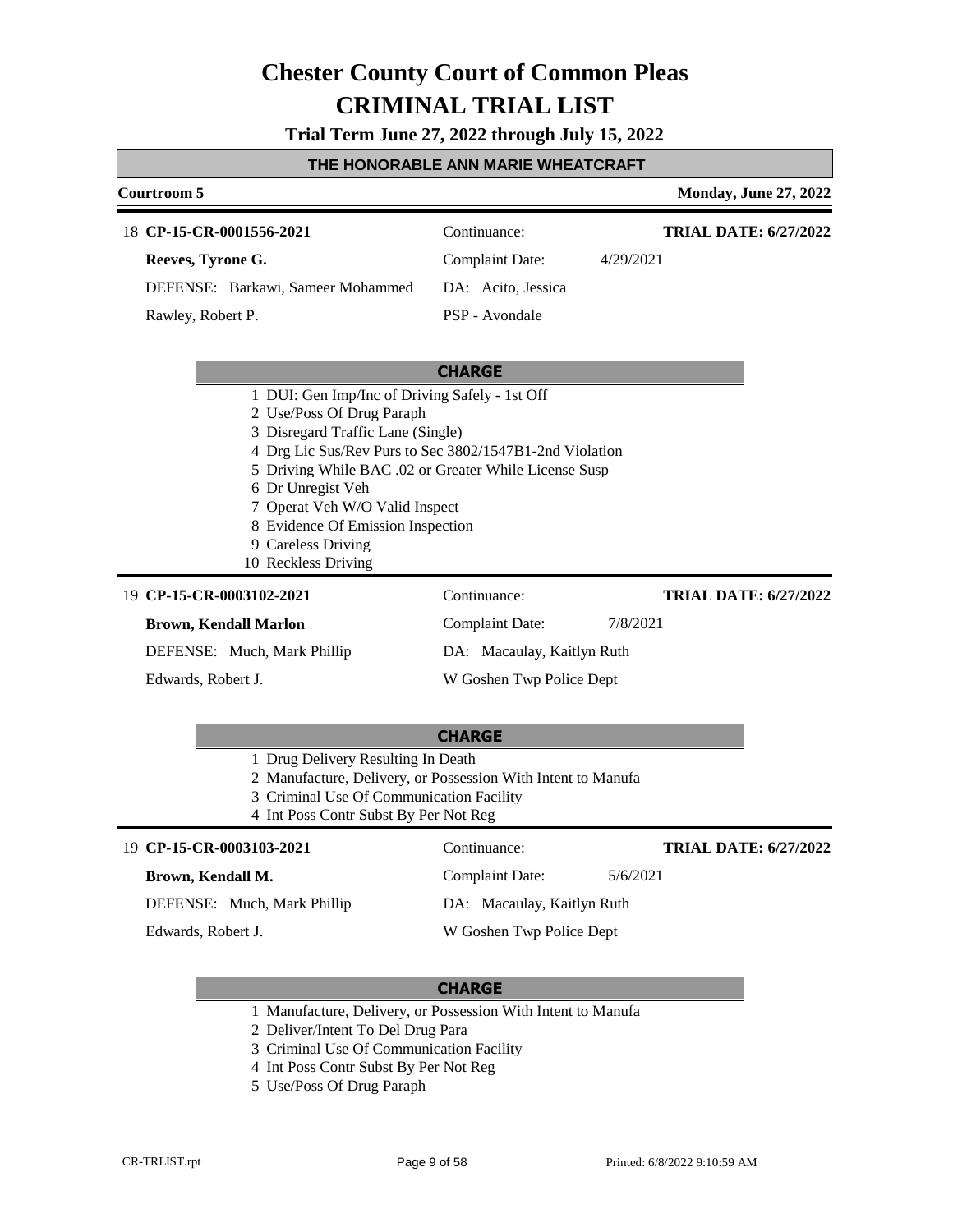**Trial Term June 27, 2022 through July 15, 2022**

### **THE HONORABLE ANN MARIE WHEATCRAFT**

| Courtroom 5                                                                                                                                                                                                                                                                                                                                                                   |                            | <b>Monday, June 27, 2022</b> |  |
|-------------------------------------------------------------------------------------------------------------------------------------------------------------------------------------------------------------------------------------------------------------------------------------------------------------------------------------------------------------------------------|----------------------------|------------------------------|--|
| 18 CP-15-CR-0001556-2021                                                                                                                                                                                                                                                                                                                                                      | Continuance:               | <b>TRIAL DATE: 6/27/2022</b> |  |
| Reeves, Tyrone G.                                                                                                                                                                                                                                                                                                                                                             | Complaint Date:            | 4/29/2021                    |  |
| DEFENSE: Barkawi, Sameer Mohammed                                                                                                                                                                                                                                                                                                                                             | DA: Acito, Jessica         |                              |  |
| Rawley, Robert P.                                                                                                                                                                                                                                                                                                                                                             | PSP - Avondale             |                              |  |
|                                                                                                                                                                                                                                                                                                                                                                               |                            |                              |  |
|                                                                                                                                                                                                                                                                                                                                                                               | <b>CHARGE</b>              |                              |  |
| 1 DUI: Gen Imp/Inc of Driving Safely - 1st Off<br>2 Use/Poss Of Drug Paraph<br>3 Disregard Traffic Lane (Single)<br>4 Drg Lic Sus/Rev Purs to Sec 3802/1547B1-2nd Violation<br>5 Driving While BAC .02 or Greater While License Susp<br>6 Dr Unregist Veh<br>7 Operat Veh W/O Valid Inspect<br>8 Evidence Of Emission Inspection<br>9 Careless Driving<br>10 Reckless Driving |                            |                              |  |
| 19 CP-15-CR-0003102-2021                                                                                                                                                                                                                                                                                                                                                      | Continuance:               | <b>TRIAL DATE: 6/27/2022</b> |  |
| <b>Brown, Kendall Marlon</b>                                                                                                                                                                                                                                                                                                                                                  | Complaint Date:            | 7/8/2021                     |  |
| DEFENSE: Much, Mark Phillip                                                                                                                                                                                                                                                                                                                                                   | DA: Macaulay, Kaitlyn Ruth |                              |  |
| Edwards, Robert J.                                                                                                                                                                                                                                                                                                                                                            | W Goshen Twp Police Dept   |                              |  |

| <b>CHARGE</b>                                                |  |
|--------------------------------------------------------------|--|
| 1 Drug Delivery Resulting In Death                           |  |
| 2 Manufacture, Delivery, or Possession With Intent to Manufa |  |
| 3 Criminal Use Of Communication Facility                     |  |

#### **CP-15-CR-0003103-2021** 19 Continuance:

#### **Brown, Kendall M.**

DEFENSE: Much, Mark Phillip

Edwards, Robert J.

4 Int Poss Contr Subst By Per Not Reg

DA: Macaulay, Kaitlyn Ruth W Goshen Twp Police Dept

Complaint Date: 5/6/2021

#### **CHARGE**

1 Manufacture, Delivery, or Possession With Intent to Manufa

2 Deliver/Intent To Del Drug Para

- 3 Criminal Use Of Communication Facility
- 4 Int Poss Contr Subst By Per Not Reg
- 5 Use/Poss Of Drug Paraph

**TRIAL DATE: 6/27/2022**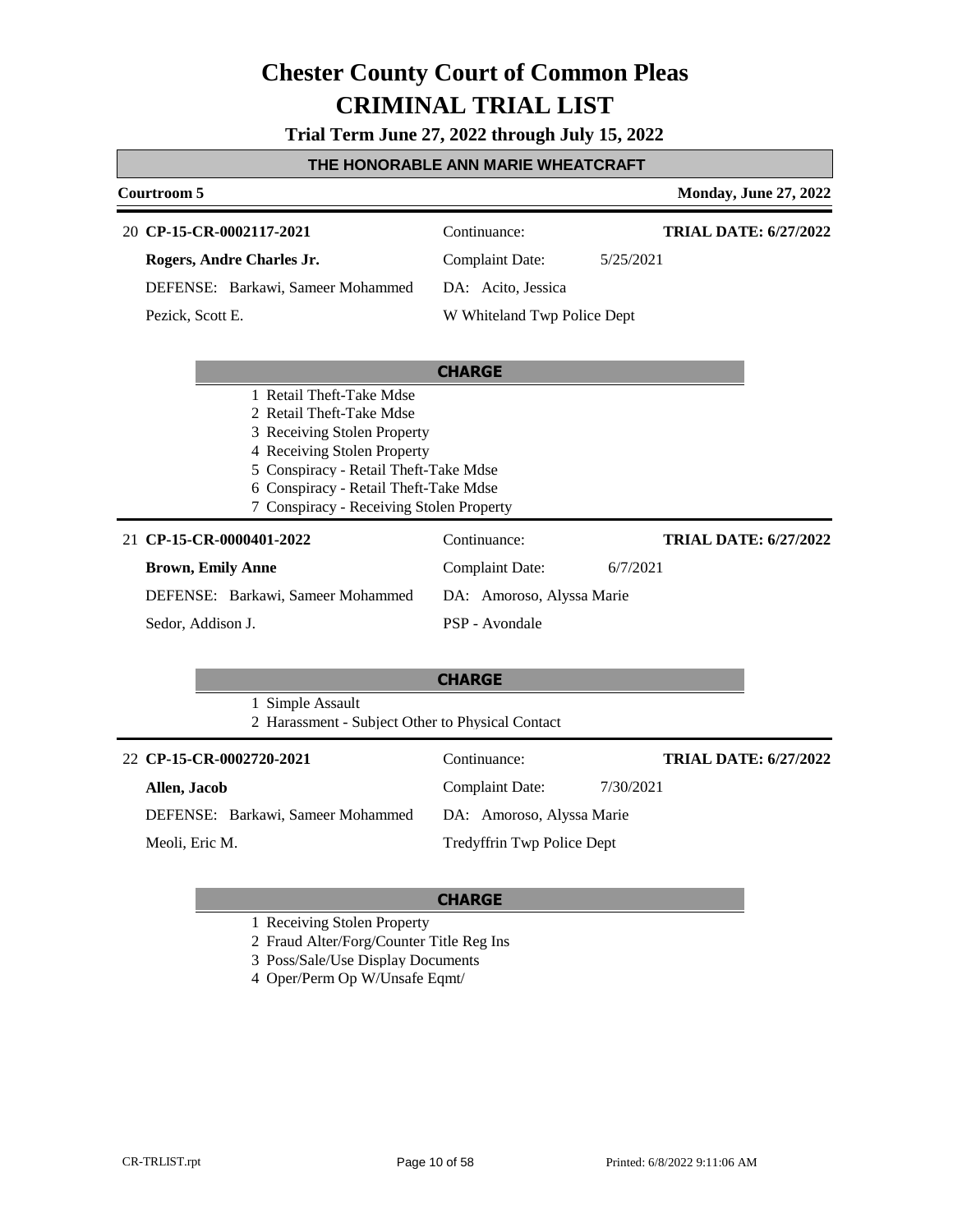**Trial Term June 27, 2022 through July 15, 2022**

### **THE HONORABLE ANN MARIE WHEATCRAFT**

| Courtroom 5                                                                                                                                                                                                                                      |                             | <b>Monday, June 27, 2022</b> |
|--------------------------------------------------------------------------------------------------------------------------------------------------------------------------------------------------------------------------------------------------|-----------------------------|------------------------------|
| 20 CP-15-CR-0002117-2021                                                                                                                                                                                                                         | Continuance:                | <b>TRIAL DATE: 6/27/2022</b> |
| Rogers, Andre Charles Jr.                                                                                                                                                                                                                        | <b>Complaint Date:</b>      | 5/25/2021                    |
| DEFENSE: Barkawi, Sameer Mohammed                                                                                                                                                                                                                | DA: Acito, Jessica          |                              |
| Pezick, Scott E.                                                                                                                                                                                                                                 | W Whiteland Twp Police Dept |                              |
|                                                                                                                                                                                                                                                  | <b>CHARGE</b>               |                              |
| 1 Retail Theft-Take Mdse<br>2 Retail Theft-Take Mdse<br>3 Receiving Stolen Property<br>4 Receiving Stolen Property<br>5 Conspiracy - Retail Theft-Take Mdse<br>6 Conspiracy - Retail Theft-Take Mdse<br>7 Conspiracy - Receiving Stolen Property |                             |                              |
| 21 CP-15-CR-0000401-2022                                                                                                                                                                                                                         | Continuance:                | <b>TRIAL DATE: 6/27/2022</b> |
| <b>Brown, Emily Anne</b>                                                                                                                                                                                                                         | <b>Complaint Date:</b>      | 6/7/2021                     |
| DEFENSE: Barkawi, Sameer Mohammed                                                                                                                                                                                                                | DA: Amoroso, Alyssa Marie   |                              |
| Sedor, Addison J.                                                                                                                                                                                                                                | PSP - Avondale              |                              |
| 1 Simple Assault                                                                                                                                                                                                                                 | <b>CHARGE</b>               |                              |
| 2 Harassment - Subject Other to Physical Contact                                                                                                                                                                                                 |                             |                              |
| 22 CP-15-CR-0002720-2021                                                                                                                                                                                                                         | Continuance:                | <b>TRIAL DATE: 6/27/2022</b> |
| Allen, Jacob                                                                                                                                                                                                                                     | <b>Complaint Date:</b>      | 7/30/2021                    |
| DEFENSE: Barkawi, Sameer Mohammed                                                                                                                                                                                                                | DA: Amoroso, Alyssa Marie   |                              |
| Meoli, Eric M.                                                                                                                                                                                                                                   | Tredyffrin Twp Police Dept  |                              |

### **CHARGE**

1 Receiving Stolen Property

2 Fraud Alter/Forg/Counter Title Reg Ins

3 Poss/Sale/Use Display Documents

4 Oper/Perm Op W/Unsafe Eqmt/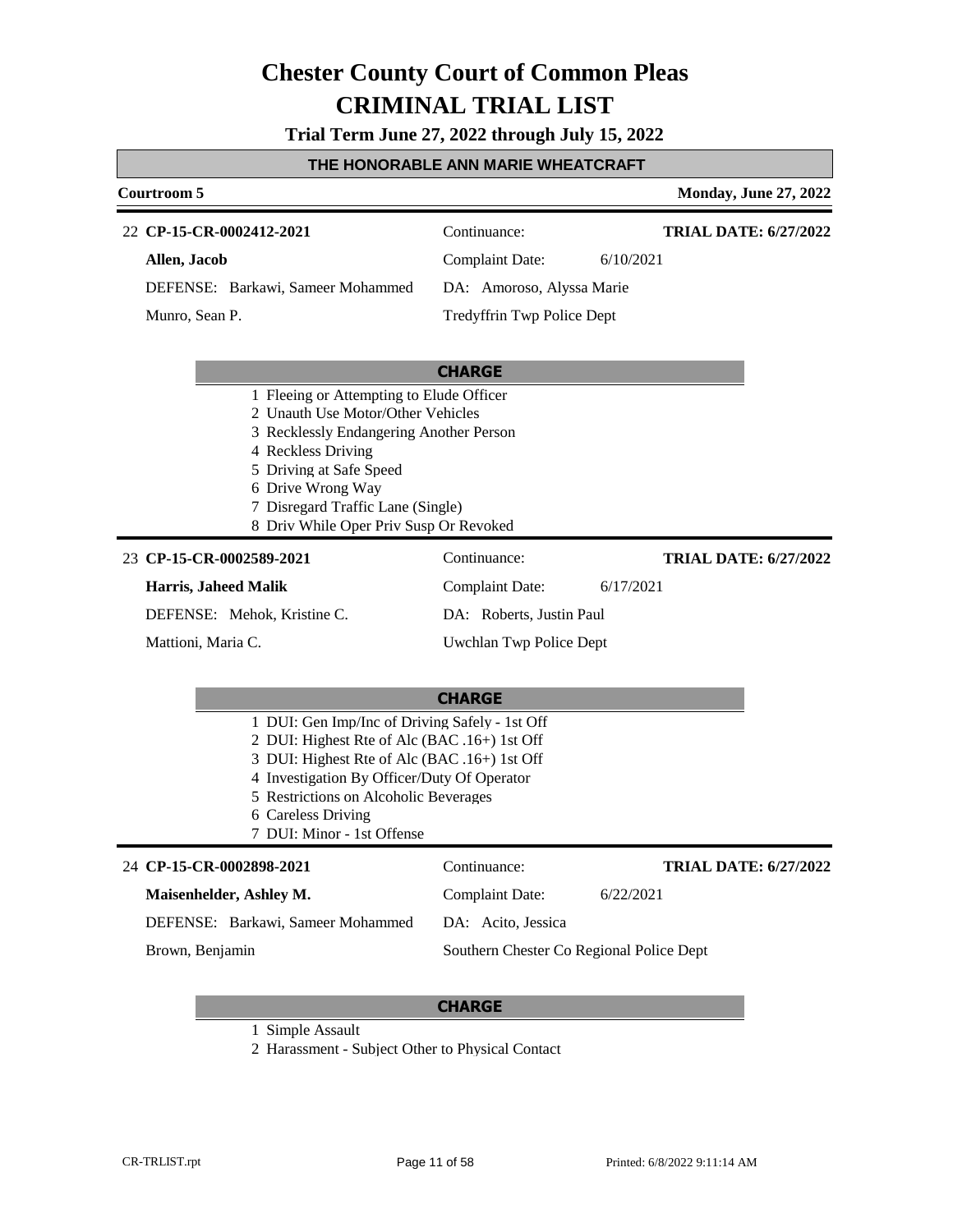**Trial Term June 27, 2022 through July 15, 2022**

#### **THE HONORABLE ANN MARIE WHEATCRAFT**

### **Courtroom 5 Monday, June 27, 2022 CHARGE CP-15-CR-0002412-2021** 22 Continuance: **Allen, Jacob** DEFENSE: Barkawi, Sameer Mohammed Complaint Date: 6/10/2021 DA: Amoroso, Alyssa Marie Tredyffrin Twp Police Dept **TRIAL DATE: 6/27/2022** Munro, Sean P. 1 Fleeing or Attempting to Elude Officer 2 Unauth Use Motor/Other Vehicles 3 Recklessly Endangering Another Person 4 Reckless Driving 5 Driving at Safe Speed 6 Drive Wrong Way 7 Disregard Traffic Lane (Single) 8 Driv While Oper Priv Susp Or Revoked

#### **CP-15-CR-0002589-2021** 23 Continuance:

#### **Harris, Jaheed Malik**

DEFENSE: Mehok, Kristine C.

Mattioni, Maria C.

DA: Roberts, Justin Paul

Uwchlan Twp Police Dept

Complaint Date: 6/17/2021

#### **CHARGE**

- 1 DUI: Gen Imp/Inc of Driving Safely 1st Off
- 2 DUI: Highest Rte of Alc (BAC .16+) 1st Off
- 3 DUI: Highest Rte of Alc (BAC .16+) 1st Off
- 4 Investigation By Officer/Duty Of Operator
- 5 Restrictions on Alcoholic Beverages
- 6 Careless Driving
- 7 DUI: Minor 1st Offense

### **CP-15-CR-0002898-2021** 24 Continuance:

| Maisenhelder, Ashley M.           | 6/22/2021<br>Complaint Date:             |
|-----------------------------------|------------------------------------------|
| DEFENSE: Barkawi, Sameer Mohammed | DA: Acito, Jessica                       |
| Brown, Benjamin                   | Southern Chester Co Regional Police Dept |

#### **CHARGE**

1 Simple Assault

2 Harassment - Subject Other to Physical Contact

**TRIAL DATE: 6/27/2022**

**TRIAL DATE: 6/27/2022**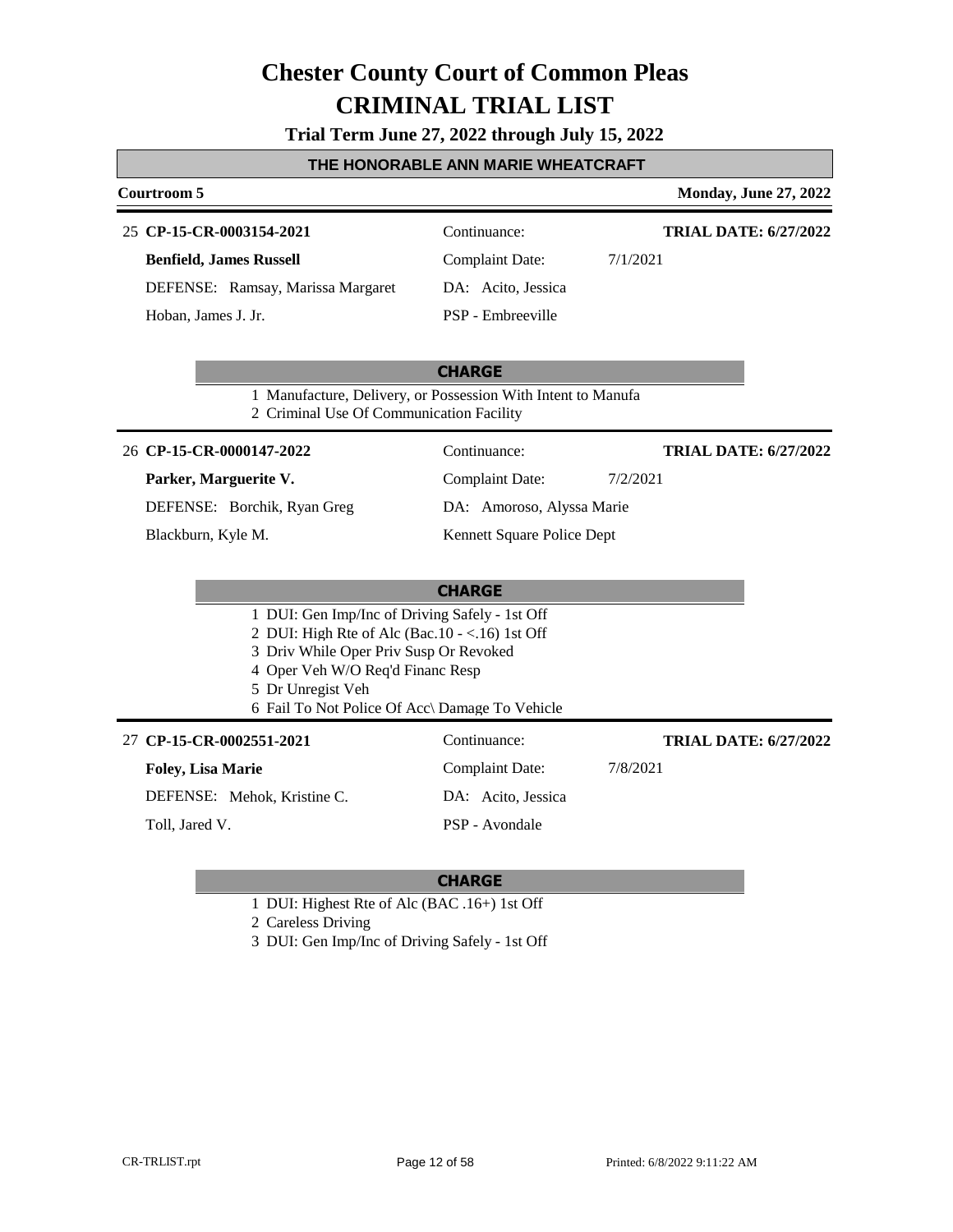**Trial Term June 27, 2022 through July 15, 2022**

| THE HONORABLE ANN MARIE WHEATCRAFT             |                                                                                                                                                                                                                                                                                                                                                           |  |  |
|------------------------------------------------|-----------------------------------------------------------------------------------------------------------------------------------------------------------------------------------------------------------------------------------------------------------------------------------------------------------------------------------------------------------|--|--|
|                                                | <b>Monday, June 27, 2022</b>                                                                                                                                                                                                                                                                                                                              |  |  |
| Continuance:                                   | <b>TRIAL DATE: 6/27/2022</b>                                                                                                                                                                                                                                                                                                                              |  |  |
| <b>Complaint Date:</b>                         | 7/1/2021                                                                                                                                                                                                                                                                                                                                                  |  |  |
|                                                |                                                                                                                                                                                                                                                                                                                                                           |  |  |
|                                                |                                                                                                                                                                                                                                                                                                                                                           |  |  |
|                                                |                                                                                                                                                                                                                                                                                                                                                           |  |  |
|                                                |                                                                                                                                                                                                                                                                                                                                                           |  |  |
|                                                |                                                                                                                                                                                                                                                                                                                                                           |  |  |
| Continuance:                                   | <b>TRIAL DATE: 6/27/2022</b>                                                                                                                                                                                                                                                                                                                              |  |  |
| <b>Complaint Date:</b>                         | 7/2/2021                                                                                                                                                                                                                                                                                                                                                  |  |  |
| DA: Amoroso, Alyssa Marie                      |                                                                                                                                                                                                                                                                                                                                                           |  |  |
| Kennett Square Police Dept                     |                                                                                                                                                                                                                                                                                                                                                           |  |  |
|                                                |                                                                                                                                                                                                                                                                                                                                                           |  |  |
| <b>CHARGE</b>                                  |                                                                                                                                                                                                                                                                                                                                                           |  |  |
|                                                |                                                                                                                                                                                                                                                                                                                                                           |  |  |
|                                                |                                                                                                                                                                                                                                                                                                                                                           |  |  |
|                                                |                                                                                                                                                                                                                                                                                                                                                           |  |  |
|                                                |                                                                                                                                                                                                                                                                                                                                                           |  |  |
|                                                |                                                                                                                                                                                                                                                                                                                                                           |  |  |
| 6 Fail To Not Police Of Acc\ Damage To Vehicle |                                                                                                                                                                                                                                                                                                                                                           |  |  |
| Continuance:                                   | <b>TRIAL DATE: 6/27/2022</b>                                                                                                                                                                                                                                                                                                                              |  |  |
| <b>Complaint Date:</b>                         | 7/8/2021                                                                                                                                                                                                                                                                                                                                                  |  |  |
| DA: Acito, Jessica                             |                                                                                                                                                                                                                                                                                                                                                           |  |  |
|                                                | DA: Acito, Jessica<br>PSP - Embreeville<br><b>CHARGE</b><br>1 Manufacture, Delivery, or Possession With Intent to Manufa<br>2 Criminal Use Of Communication Facility<br>1 DUI: Gen Imp/Inc of Driving Safely - 1st Off<br>2 DUI: High Rte of Alc (Bac. $10 - <16$ ) 1st Off<br>3 Driv While Oper Priv Susp Or Revoked<br>4 Oper Veh W/O Req'd Financ Resp |  |  |

- 1 DUI: Highest Rte of Alc (BAC .16+) 1st Off
- 2 Careless Driving
- 3 DUI: Gen Imp/Inc of Driving Safely 1st Off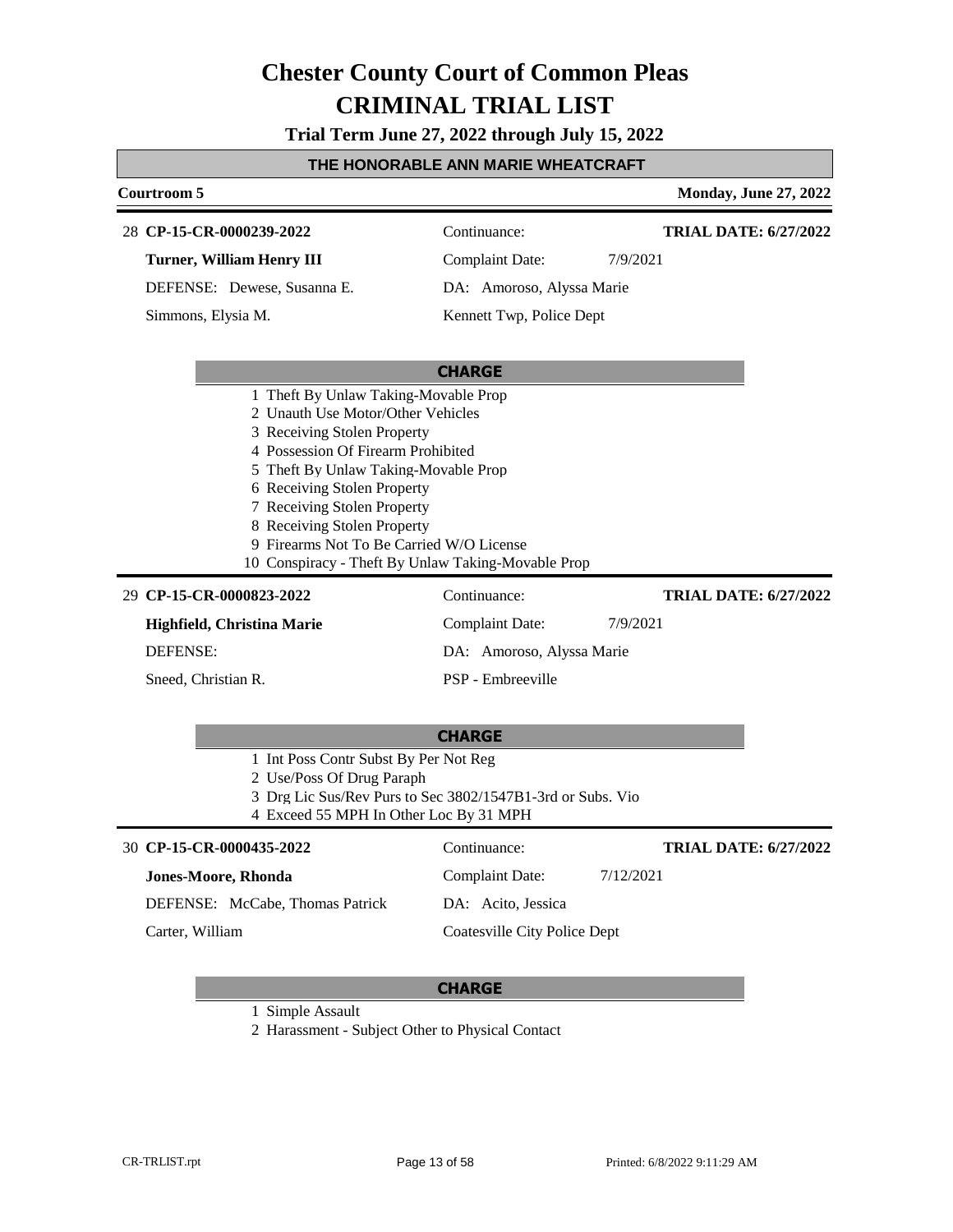**Trial Term June 27, 2022 through July 15, 2022**

### **THE HONORABLE ANN MARIE WHEATCRAFT**

| Courtroom 5                                                                                                                                                                                                                                                                                                                                                                           |                           | <b>Monday, June 27, 2022</b> |
|---------------------------------------------------------------------------------------------------------------------------------------------------------------------------------------------------------------------------------------------------------------------------------------------------------------------------------------------------------------------------------------|---------------------------|------------------------------|
| 28 CP-15-CR-0000239-2022                                                                                                                                                                                                                                                                                                                                                              | Continuance:              | <b>TRIAL DATE: 6/27/2022</b> |
| <b>Turner, William Henry III</b>                                                                                                                                                                                                                                                                                                                                                      | <b>Complaint Date:</b>    | 7/9/2021                     |
| DEFENSE: Dewese, Susanna E.                                                                                                                                                                                                                                                                                                                                                           | DA: Amoroso, Alyssa Marie |                              |
| Simmons, Elysia M.                                                                                                                                                                                                                                                                                                                                                                    | Kennett Twp, Police Dept  |                              |
|                                                                                                                                                                                                                                                                                                                                                                                       |                           |                              |
|                                                                                                                                                                                                                                                                                                                                                                                       | <b>CHARGE</b>             |                              |
| 1 Theft By Unlaw Taking-Movable Prop<br>2 Unauth Use Motor/Other Vehicles<br>3 Receiving Stolen Property<br>4 Possession Of Firearm Prohibited<br>5 Theft By Unlaw Taking-Movable Prop<br>6 Receiving Stolen Property<br>7 Receiving Stolen Property<br>8 Receiving Stolen Property<br>9 Firearms Not To Be Carried W/O License<br>10 Conspiracy - Theft By Unlaw Taking-Movable Prop |                           |                              |
| 29 CP-15-CR-0000823-2022                                                                                                                                                                                                                                                                                                                                                              | Continuance:              | <b>TRIAL DATE: 6/27/2022</b> |
| Highfield, Christina Marie                                                                                                                                                                                                                                                                                                                                                            | <b>Complaint Date:</b>    | 7/9/2021                     |
| <b>DEFENSE:</b>                                                                                                                                                                                                                                                                                                                                                                       | DA: Amoroso, Alyssa Marie |                              |
| Sneed, Christian R.                                                                                                                                                                                                                                                                                                                                                                   | PSP - Embreeville         |                              |
|                                                                                                                                                                                                                                                                                                                                                                                       |                           |                              |
|                                                                                                                                                                                                                                                                                                                                                                                       | <b>CHARGE</b>             |                              |
| 1 Int Poss Contr Subst By Per Not Reg<br>2 Use/Poss Of Drug Paraph<br>3 Drg Lic Sus/Rev Purs to Sec 3802/1547B1-3rd or Subs. Vio                                                                                                                                                                                                                                                      |                           |                              |

4 Exceed 55 MPH In Other Loc By 31 MPH

| 30 CP-15-CR-0000435-2022        | Continuance:                 | <b>TRIAL DATE: 6/27/2022</b> |
|---------------------------------|------------------------------|------------------------------|
| <b>Jones-Moore, Rhonda</b>      | Complaint Date:              | 7/12/2021                    |
| DEFENSE: McCabe, Thomas Patrick | DA: Acito, Jessica           |                              |
| Carter, William                 | Coatesville City Police Dept |                              |
|                                 |                              |                              |

#### **CHARGE**

1 Simple Assault

2 Harassment - Subject Other to Physical Contact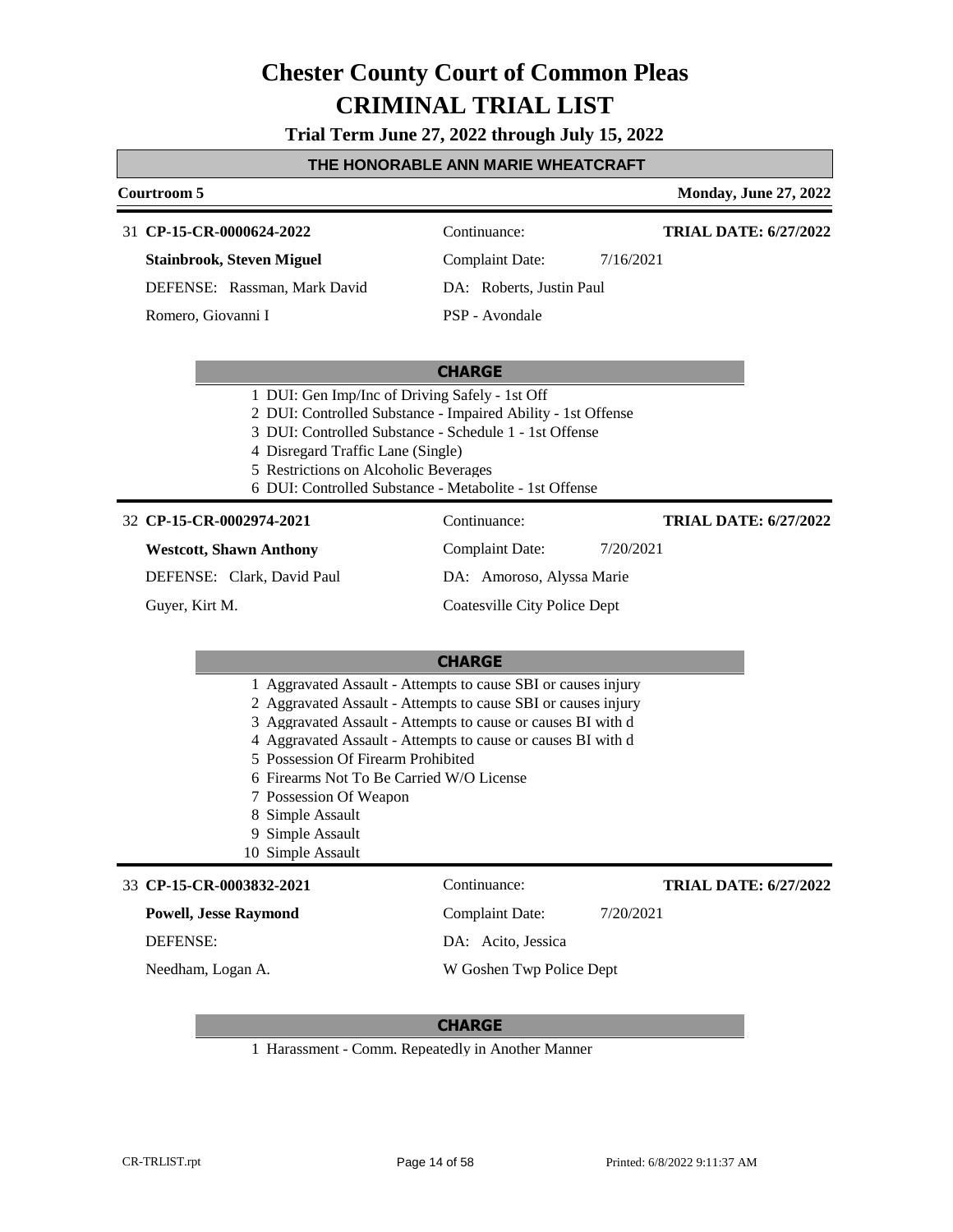**Trial Term June 27, 2022 through July 15, 2022**

| THE HONORABLE ANN MARIE WHEATCRAFT                                                                                                                                    |                                                                                                                                                                                                                                                                |                              |  |
|-----------------------------------------------------------------------------------------------------------------------------------------------------------------------|----------------------------------------------------------------------------------------------------------------------------------------------------------------------------------------------------------------------------------------------------------------|------------------------------|--|
| Courtroom 5                                                                                                                                                           |                                                                                                                                                                                                                                                                | <b>Monday, June 27, 2022</b> |  |
| 31 CP-15-CR-0000624-2022                                                                                                                                              | Continuance:                                                                                                                                                                                                                                                   | <b>TRIAL DATE: 6/27/2022</b> |  |
| <b>Stainbrook, Steven Miguel</b>                                                                                                                                      | <b>Complaint Date:</b><br>7/16/2021                                                                                                                                                                                                                            |                              |  |
| DEFENSE: Rassman, Mark David                                                                                                                                          | DA: Roberts, Justin Paul                                                                                                                                                                                                                                       |                              |  |
| Romero, Giovanni I                                                                                                                                                    | PSP - Avondale                                                                                                                                                                                                                                                 |                              |  |
|                                                                                                                                                                       | <b>CHARGE</b>                                                                                                                                                                                                                                                  |                              |  |
| 1 DUI: Gen Imp/Inc of Driving Safely - 1st Off<br>4 Disregard Traffic Lane (Single)<br>5 Restrictions on Alcoholic Beverages                                          | 2 DUI: Controlled Substance - Impaired Ability - 1st Offense<br>3 DUI: Controlled Substance - Schedule 1 - 1st Offense<br>6 DUI: Controlled Substance - Metabolite - 1st Offense                                                                               |                              |  |
| 32 CP-15-CR-0002974-2021                                                                                                                                              | Continuance:                                                                                                                                                                                                                                                   | <b>TRIAL DATE: 6/27/2022</b> |  |
| <b>Westcott, Shawn Anthony</b>                                                                                                                                        | <b>Complaint Date:</b><br>7/20/2021                                                                                                                                                                                                                            |                              |  |
| DEFENSE: Clark, David Paul                                                                                                                                            | DA: Amoroso, Alyssa Marie                                                                                                                                                                                                                                      |                              |  |
| Guyer, Kirt M.                                                                                                                                                        | Coatesville City Police Dept                                                                                                                                                                                                                                   |                              |  |
|                                                                                                                                                                       | <b>CHARGE</b>                                                                                                                                                                                                                                                  |                              |  |
| 5 Possession Of Firearm Prohibited<br>6 Firearms Not To Be Carried W/O License<br>7 Possession Of Weapon<br>8 Simple Assault<br>9 Simple Assault<br>10 Simple Assault | 1 Aggravated Assault - Attempts to cause SBI or causes injury<br>2 Aggravated Assault - Attempts to cause SBI or causes injury<br>3 Aggravated Assault - Attempts to cause or causes BI with d<br>4 Aggravated Assault - Attempts to cause or causes BI with d |                              |  |
| 33 CP-15-CR-0003832-2021                                                                                                                                              | Continuance:                                                                                                                                                                                                                                                   | <b>TRIAL DATE: 6/27/2022</b> |  |
| <b>Powell, Jesse Raymond</b>                                                                                                                                          | <b>Complaint Date:</b><br>7/20/2021                                                                                                                                                                                                                            |                              |  |
| DEFENSE:                                                                                                                                                              | DA: Acito, Jessica                                                                                                                                                                                                                                             |                              |  |
| Needham, Logan A.                                                                                                                                                     | W Goshen Twp Police Dept                                                                                                                                                                                                                                       |                              |  |
|                                                                                                                                                                       |                                                                                                                                                                                                                                                                |                              |  |

### **CHARGE**

1 Harassment - Comm. Repeatedly in Another Manner

Г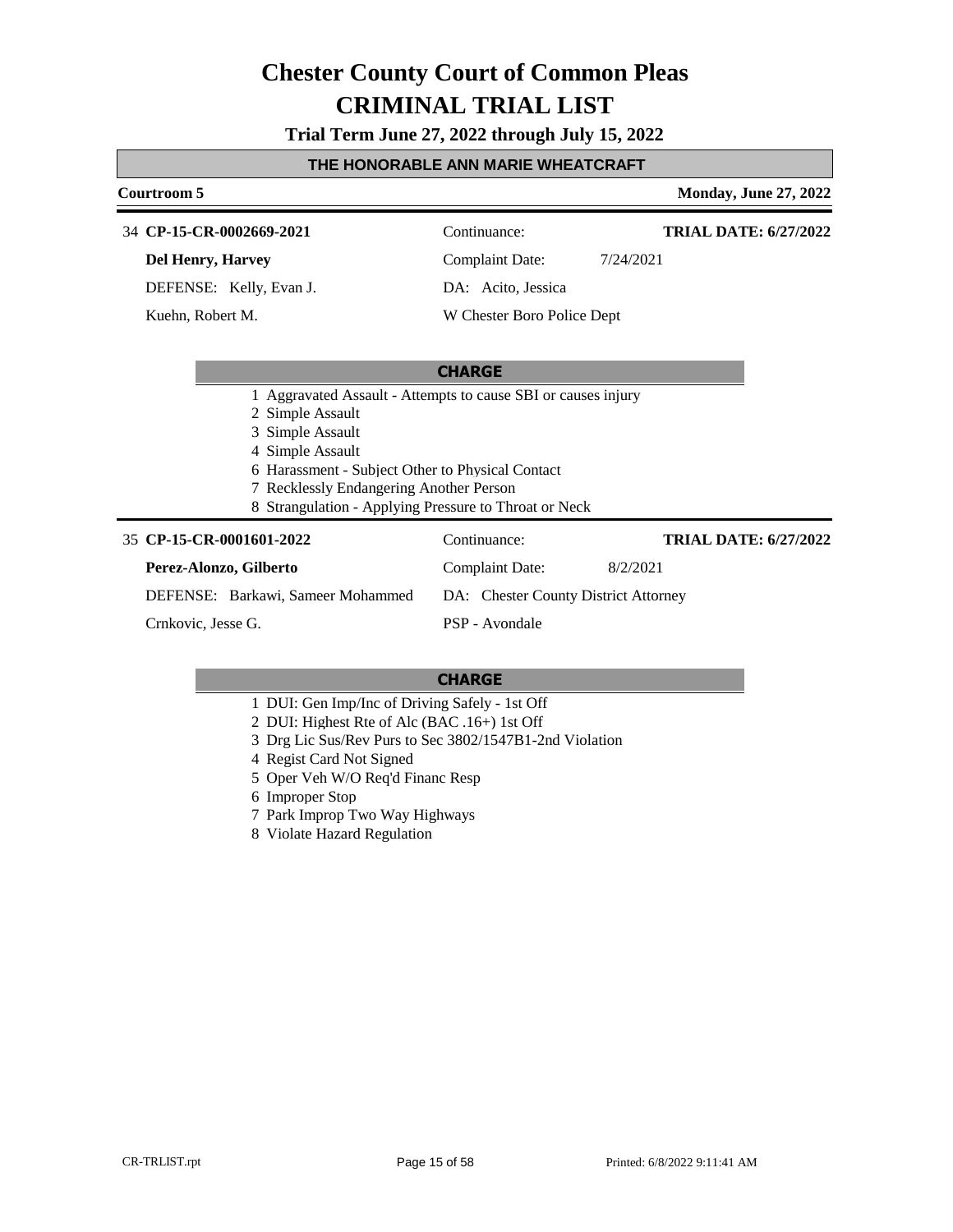**Trial Term June 27, 2022 through July 15, 2022**

#### **THE HONORABLE ANN MARIE WHEATCRAFT**

#### **Courtroom 5 Monday, June 27, 2022 CP-15-CR-0002669-2021** 34 Continuance: **Del Henry, Harvey** DEFENSE: Kelly, Evan J. Complaint Date: 7/24/2021 DA: Acito, Jessica W Chester Boro Police Dept **TRIAL DATE: 6/27/2022** Kuehn, Robert M.

#### **CHARGE**

- 1 Aggravated Assault Attempts to cause SBI or causes injury
- 2 Simple Assault
- 3 Simple Assault
- 4 Simple Assault
- 6 Harassment Subject Other to Physical Contact
- 7 Recklessly Endangering Another Person
- 8 Strangulation Applying Pressure to Throat or Neck

#### **CP-15-CR-0001601-2022** 35 Continuance:

| <b>CP-15-CR-0001601-2022</b>                                           | Continuance:    | <b>TRIAL DATE: 6/27/2022</b> |
|------------------------------------------------------------------------|-----------------|------------------------------|
| Perez-Alonzo, Gilberto                                                 | Complaint Date: | 8/2/2021                     |
| DEFENSE: Barkawi, Sameer Mohammed DA: Chester County District Attorney |                 |                              |
| Crnkovic, Jesse G.                                                     | PSP - Avondale  |                              |

- 1 DUI: Gen Imp/Inc of Driving Safely 1st Off
- 2 DUI: Highest Rte of Alc (BAC .16+) 1st Off
- 3 Drg Lic Sus/Rev Purs to Sec 3802/1547B1-2nd Violation
- 4 Regist Card Not Signed
- 5 Oper Veh W/O Req'd Financ Resp
- 6 Improper Stop
- 7 Park Improp Two Way Highways
- 8 Violate Hazard Regulation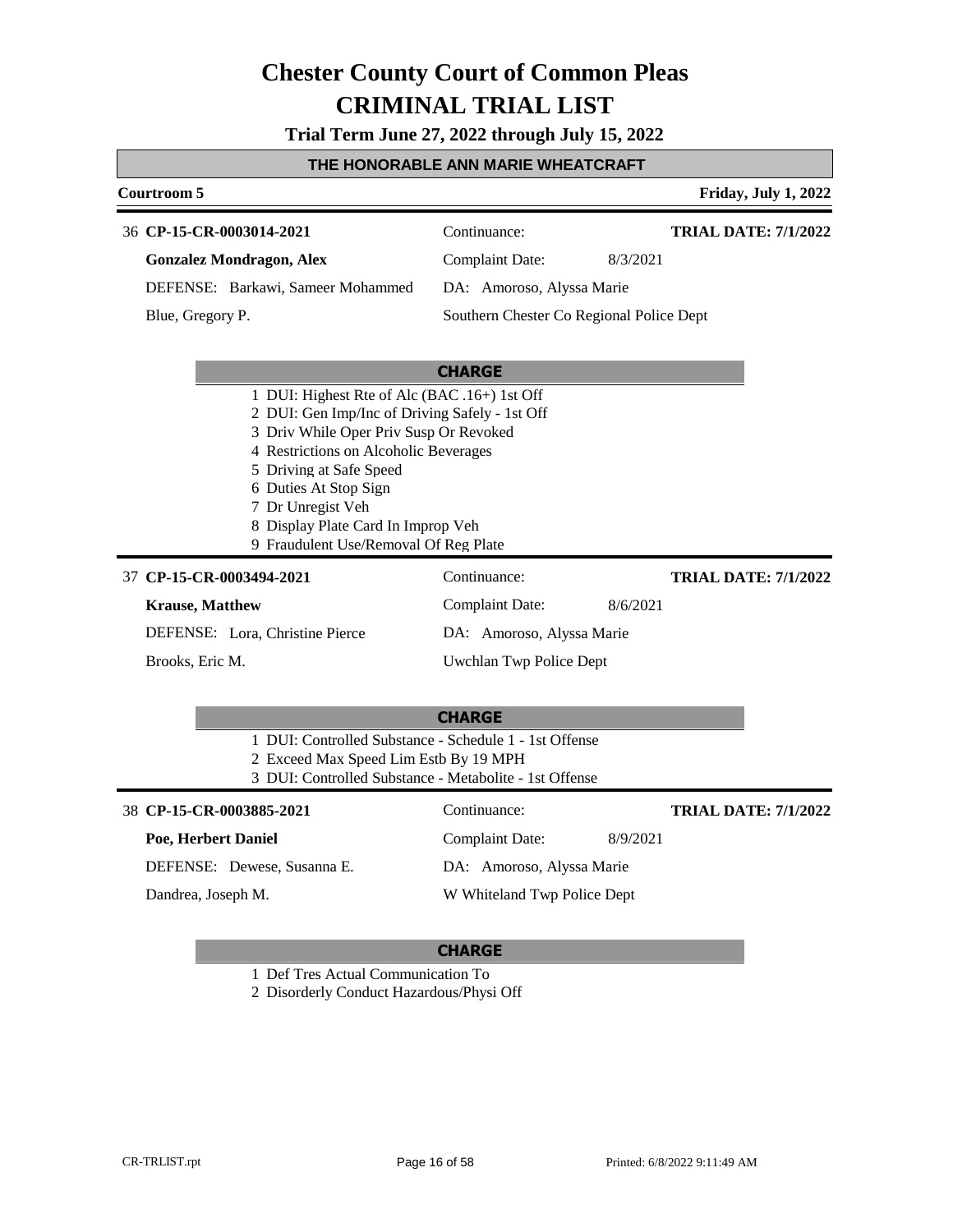**Trial Term June 27, 2022 through July 15, 2022**

#### **THE HONORABLE ANN MARIE WHEATCRAFT**

### **Courtroom 5 Friday, July 1, 2022 CHARGE CP-15-CR-0003014-2021** 36 Continuance: **Gonzalez Mondragon, Alex** DEFENSE: Barkawi, Sameer Mohammed Complaint Date: 8/3/2021 DA: Amoroso, Alyssa Marie Southern Chester Co Regional Police Dept **TRIAL DATE: 7/1/2022** Blue, Gregory P. 1 DUI: Highest Rte of Alc (BAC .16+) 1st Off 2 DUI: Gen Imp/Inc of Driving Safely - 1st Off 3 Driv While Oper Priv Susp Or Revoked 4 Restrictions on Alcoholic Beverages 5 Driving at Safe Speed 6 Duties At Stop Sign 7 Dr Unregist Veh 8 Display Plate Card In Improp Veh 9 Fraudulent Use/Removal Of Reg Plate **CP-15-CR-0003494-2021** 37 Continuance: **Krause, Matthew** DEFENSE: Lora, Christine Pierce Complaint Date: 8/6/2021 DA: Amoroso, Alyssa Marie **TRIAL DATE: 7/1/2022**

Brooks, Eric M.

Uwchlan Twp Police Dept

| <b>CHARGE</b>                                          |  |
|--------------------------------------------------------|--|
| 1 DUI: Controlled Substance - Schedule 1 - 1st Offense |  |
| 2 Exceed Max Speed Lim Estb By 19 MPH                  |  |

3 DUI: Controlled Substance - Metabolite - 1st Offense

#### **CP-15-CR-0003885-2021** 38 Continuance:

### **Poe, Herbert Daniel**

Dandrea, Joseph M.

DEFENSE: Dewese, Susanna E.

Complaint Date: 8/9/2021 DA: Amoroso, Alyssa Marie W Whiteland Twp Police Dept **TRIAL DATE: 7/1/2022**

#### **CHARGE**

1 Def Tres Actual Communication To

2 Disorderly Conduct Hazardous/Physi Off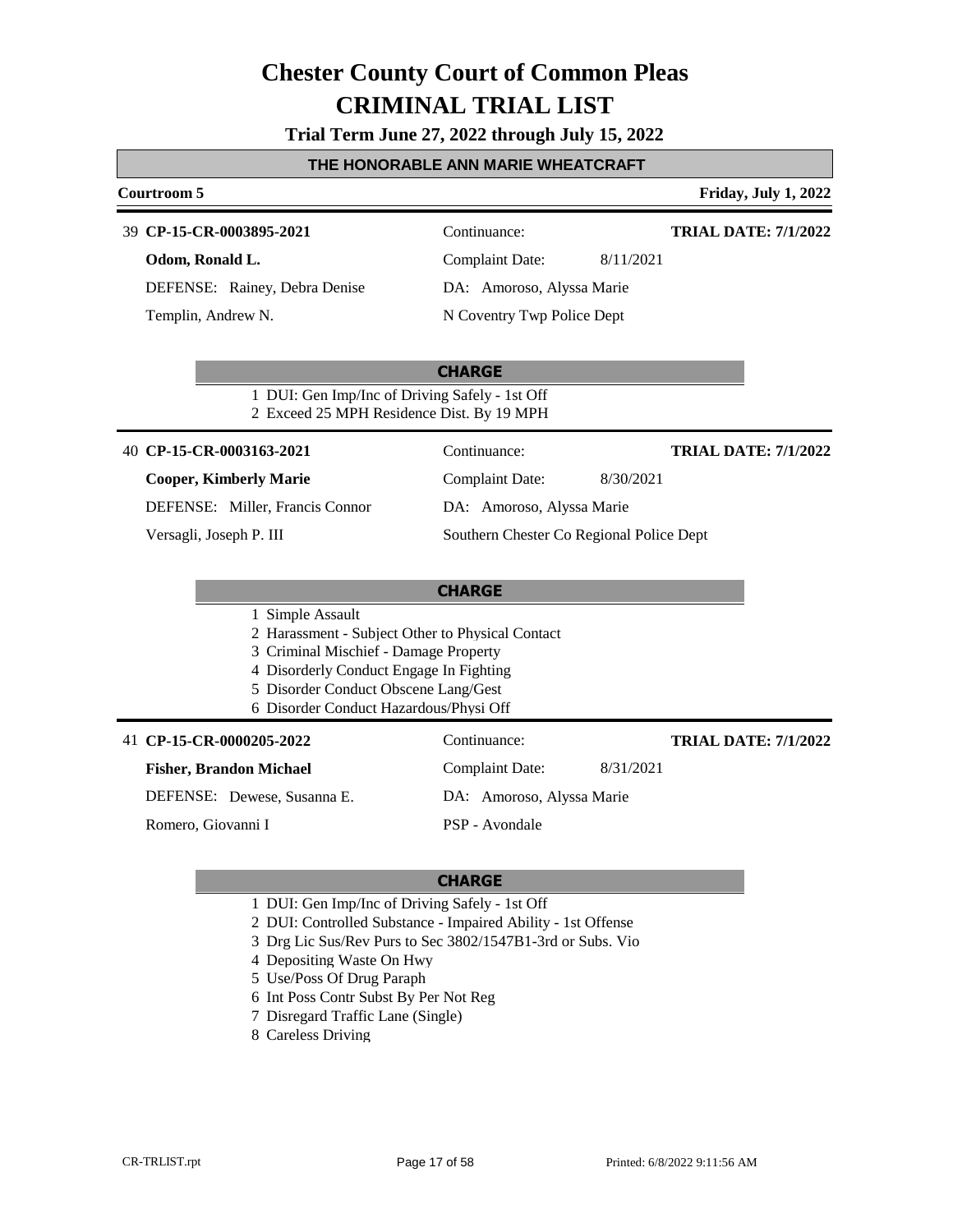**Trial Term June 27, 2022 through July 15, 2022**

#### **THE HONORABLE ANN MARIE WHEATCRAFT**

### **Courtroom 5 Friday, July 1, 2022 CHARGE CP-15-CR-0003895-2021** 39 Continuance: **Odom, Ronald L.** DEFENSE: Rainey, Debra Denise Complaint Date: 8/11/2021 DA: Amoroso, Alyssa Marie N Coventry Twp Police Dept **TRIAL DATE: 7/1/2022** Templin, Andrew N. 1 DUI: Gen Imp/Inc of Driving Safely - 1st Off 2 Exceed 25 MPH Residence Dist. By 19 MPH **CHARGE CP-15-CR-0003163-2021** 40 Continuance: **Cooper, Kimberly Marie** DEFENSE: Miller, Francis Connor Complaint Date: 8/30/2021 DA: Amoroso, Alyssa Marie Southern Chester Co Regional Police Dept **TRIAL DATE: 7/1/2022** Versagli, Joseph P. III 1 Simple Assault 2 Harassment - Subject Other to Physical Contact 3 Criminal Mischief - Damage Property 4 Disorderly Conduct Engage In Fighting 5 Disorder Conduct Obscene Lang/Gest 6 Disorder Conduct Hazardous/Physi Off 41 **CP-15-CR-0000205-2022** Continuance: **Fisher, Brandon Michael TRIAL DATE: 7/1/2022**

DEFENSE: Dewese, Susanna E.

Romero, Giovanni I

Complaint Date: 8/31/2021

DA: Amoroso, Alyssa Marie

PSP - Avondale

- 1 DUI: Gen Imp/Inc of Driving Safely 1st Off
- 2 DUI: Controlled Substance Impaired Ability 1st Offense
- 3 Drg Lic Sus/Rev Purs to Sec 3802/1547B1-3rd or Subs. Vio
- 4 Depositing Waste On Hwy
- 5 Use/Poss Of Drug Paraph
- 6 Int Poss Contr Subst By Per Not Reg
- 7 Disregard Traffic Lane (Single)
- 8 Careless Driving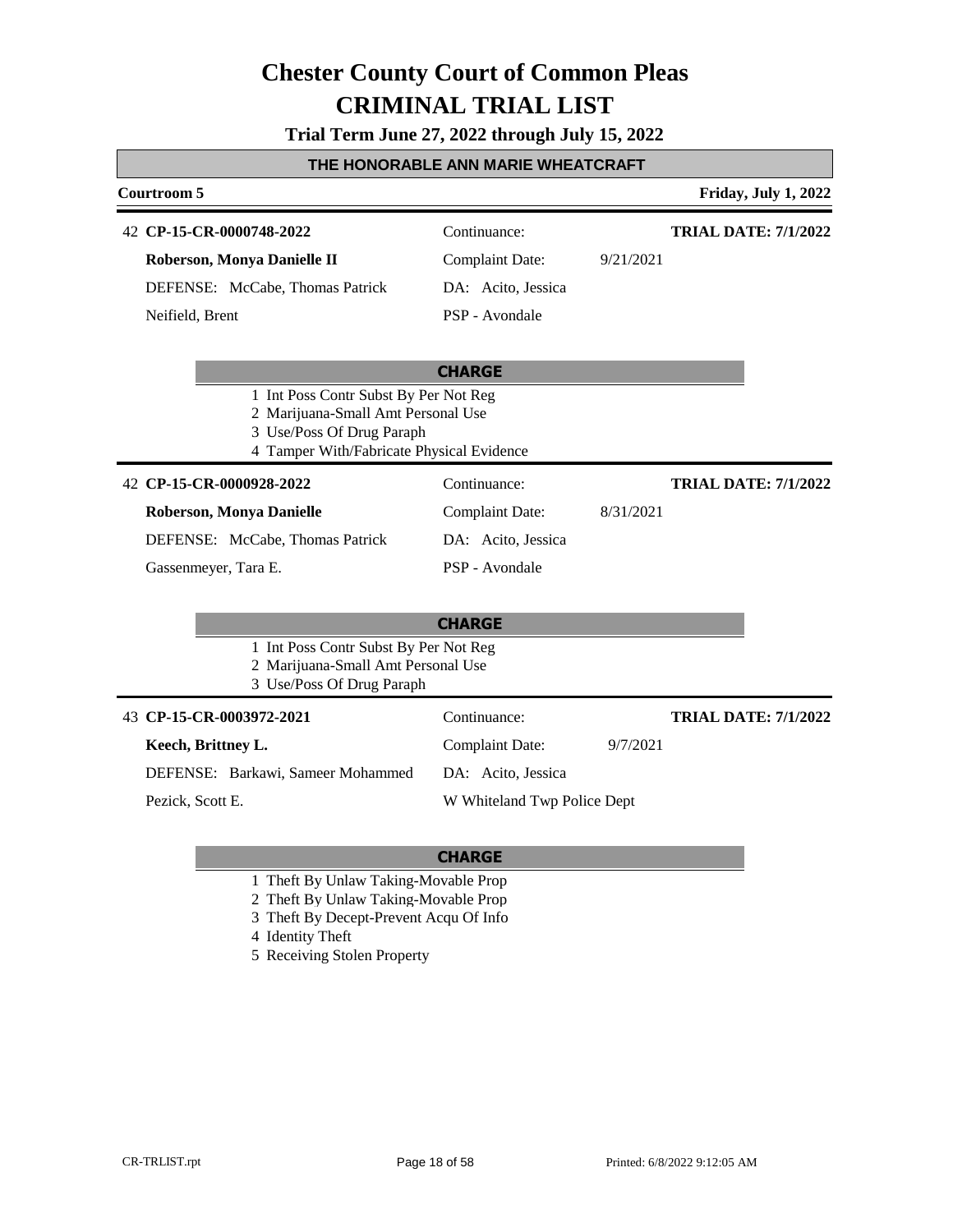#### **Trial Term June 27, 2022 through July 15, 2022**

#### **THE HONORABLE ANN MARIE WHEATCRAFT**

| Courtroom 5                     |                    |           | <b>Friday, July 1, 2022</b> |
|---------------------------------|--------------------|-----------|-----------------------------|
| 42 CP-15-CR-0000748-2022        | Continuance:       |           | <b>TRIAL DATE: 7/1/2022</b> |
| Roberson, Monya Danielle II     | Complaint Date:    | 9/21/2021 |                             |
| DEFENSE: McCabe, Thomas Patrick | DA: Acito, Jessica |           |                             |
| Neifield, Brent                 | PSP - Avondale     |           |                             |
|                                 |                    |           |                             |

### **CHARGE** 1 Int Poss Contr Subst By Per Not Reg 2 Marijuana-Small Amt Personal Use 3 Use/Poss Of Drug Paraph

4 Tamper With/Fabricate Physical Evidence **CP-15-CR-0000928-2022** 42 Continuance: **Roberson, Monya Danielle** DEFENSE: McCabe, Thomas Patrick Complaint Date: 8/31/2021 DA: Acito, Jessica **TRIAL DATE: 7/1/2022**

Gassenmeyer, Tara E.

#### **CHARGE**

PSP - Avondale

- 1 Int Poss Contr Subst By Per Not Reg
- 2 Marijuana-Small Amt Personal Use
- 3 Use/Poss Of Drug Paraph

| 43 CP-15-CR-0003972-2021          | Continuance:                |          | <b>TRIAL DATE: 7/1/2022</b> |
|-----------------------------------|-----------------------------|----------|-----------------------------|
| Keech, Brittney L.                | Complaint Date:             | 9/7/2021 |                             |
| DEFENSE: Barkawi, Sameer Mohammed | DA: Acito, Jessica          |          |                             |
| Pezick, Scott E.                  | W Whiteland Twp Police Dept |          |                             |

- 1 Theft By Unlaw Taking-Movable Prop
- 2 Theft By Unlaw Taking-Movable Prop
- 3 Theft By Decept-Prevent Acqu Of Info
- 4 Identity Theft
- 5 Receiving Stolen Property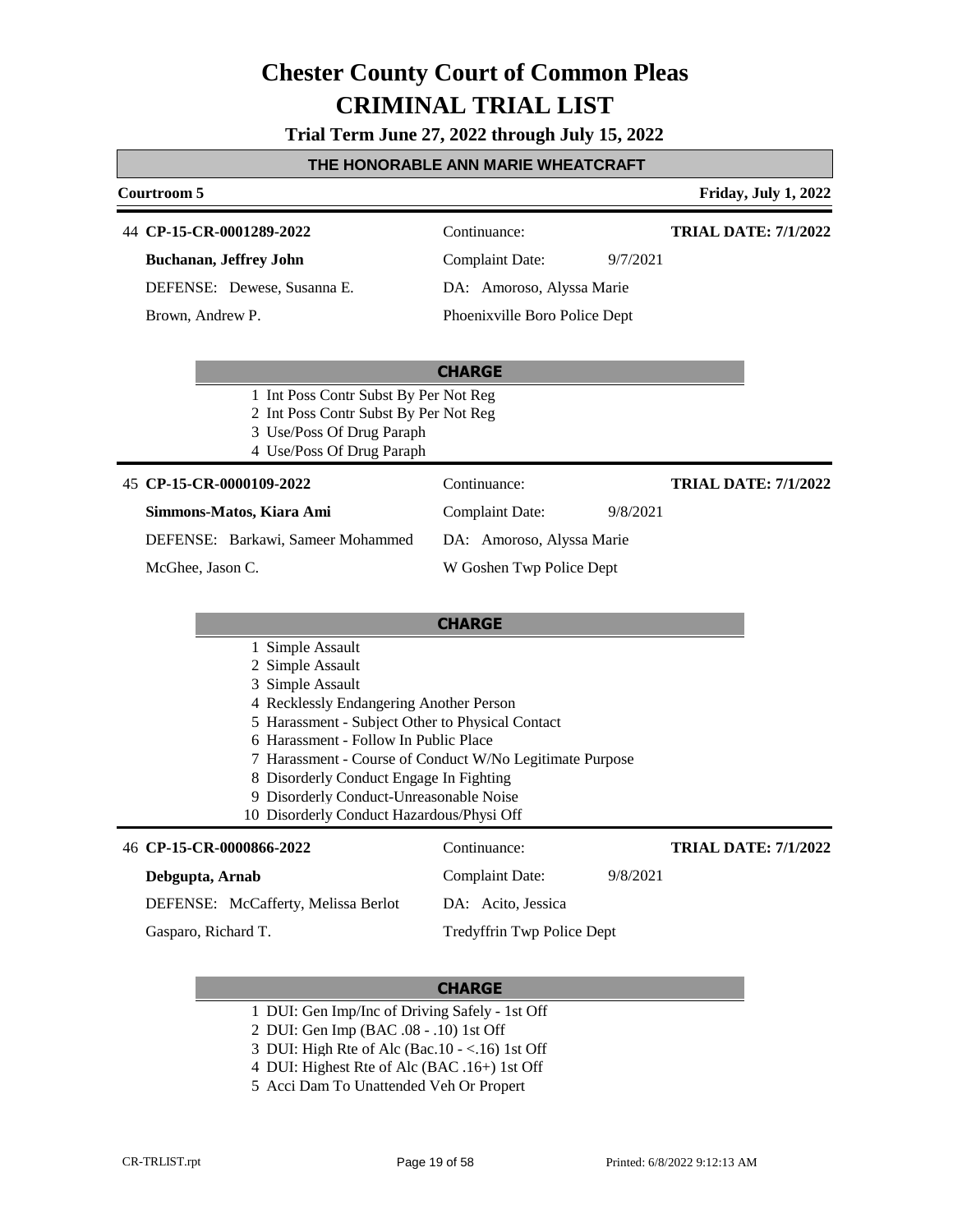**Trial Term June 27, 2022 through July 15, 2022**

### **THE HONORABLE ANN MARIE WHEATCRAFT**

|                                                                                                                                                                                                                                                                                                                                     | <u>I HE HONORABLE ANN MARIE WHEATCRAFT</u>               |                             |
|-------------------------------------------------------------------------------------------------------------------------------------------------------------------------------------------------------------------------------------------------------------------------------------------------------------------------------------|----------------------------------------------------------|-----------------------------|
| Courtroom 5                                                                                                                                                                                                                                                                                                                         |                                                          | <b>Friday, July 1, 2022</b> |
| 44 CP-15-CR-0001289-2022                                                                                                                                                                                                                                                                                                            | Continuance:                                             | <b>TRIAL DATE: 7/1/2022</b> |
| <b>Buchanan, Jeffrey John</b>                                                                                                                                                                                                                                                                                                       | <b>Complaint Date:</b><br>9/7/2021                       |                             |
| DEFENSE: Dewese, Susanna E.                                                                                                                                                                                                                                                                                                         | DA: Amoroso, Alyssa Marie                                |                             |
| Brown, Andrew P.                                                                                                                                                                                                                                                                                                                    | Phoenixville Boro Police Dept                            |                             |
|                                                                                                                                                                                                                                                                                                                                     | <b>CHARGE</b>                                            |                             |
| 1 Int Poss Contr Subst By Per Not Reg<br>2 Int Poss Contr Subst By Per Not Reg<br>3 Use/Poss Of Drug Paraph<br>4 Use/Poss Of Drug Paraph                                                                                                                                                                                            |                                                          |                             |
| 45 CP-15-CR-0000109-2022                                                                                                                                                                                                                                                                                                            | Continuance:                                             | <b>TRIAL DATE: 7/1/2022</b> |
| Simmons-Matos, Kiara Ami                                                                                                                                                                                                                                                                                                            | <b>Complaint Date:</b><br>9/8/2021                       |                             |
| DEFENSE: Barkawi, Sameer Mohammed                                                                                                                                                                                                                                                                                                   | DA: Amoroso, Alyssa Marie                                |                             |
| McGhee, Jason C.                                                                                                                                                                                                                                                                                                                    | W Goshen Twp Police Dept                                 |                             |
|                                                                                                                                                                                                                                                                                                                                     | <b>CHARGE</b>                                            |                             |
| 1 Simple Assault<br>2 Simple Assault<br>3 Simple Assault<br>4 Recklessly Endangering Another Person<br>5 Harassment - Subject Other to Physical Contact<br>6 Harassment - Follow In Public Place<br>8 Disorderly Conduct Engage In Fighting<br>9 Disorderly Conduct-Unreasonable Noise<br>10 Disorderly Conduct Hazardous/Physi Off | 7 Harassment - Course of Conduct W/No Legitimate Purpose |                             |
| 46 CP-15-CR-0000866-2022                                                                                                                                                                                                                                                                                                            | Continuance:                                             | <b>TRIAL DATE: 7/1/2022</b> |
| Debgupta, Arnab                                                                                                                                                                                                                                                                                                                     | 9/8/2021<br><b>Complaint Date:</b>                       |                             |
| DEFENSE: McCafferty, Melissa Berlot                                                                                                                                                                                                                                                                                                 | DA: Acito, Jessica                                       |                             |

Gasparo, Richard T.

Tredyffrin Twp Police Dept

- 1 DUI: Gen Imp/Inc of Driving Safely 1st Off
- 2 DUI: Gen Imp (BAC .08 .10) 1st Off
- 3 DUI: High Rte of Alc (Bac.10 <.16) 1st Off
- 4 DUI: Highest Rte of Alc (BAC .16+) 1st Off
- 5 Acci Dam To Unattended Veh Or Propert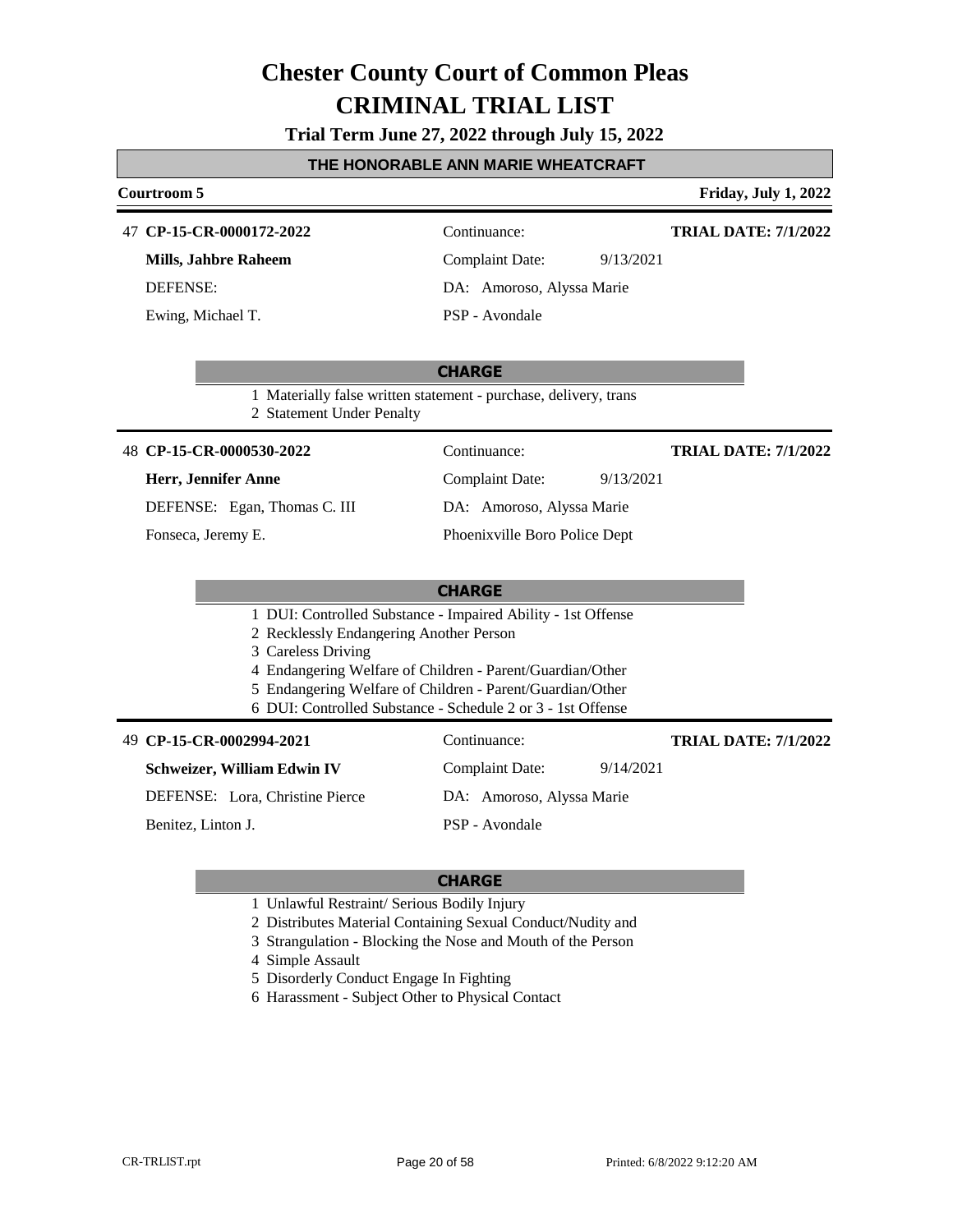**Trial Term June 27, 2022 through July 15, 2022**

#### **THE HONORABLE ANN MARIE WHEATCRAFT**

### **Courtroom 5 Friday, July 1, 2022 CHARGE CP-15-CR-0000172-2022** 47 Continuance: **Mills, Jahbre Raheem** DEFENSE: Complaint Date: 9/13/2021 DA: Amoroso, Alyssa Marie PSP - Avondale **TRIAL DATE: 7/1/2022** Ewing, Michael T. 1 Materially false written statement - purchase, delivery, trans 2 Statement Under Penalty **CHARGE CP-15-CR-0000530-2022** 48 Continuance: **Herr, Jennifer Anne** DEFENSE: Egan, Thomas C. III Complaint Date: 9/13/2021 DA: Amoroso, Alyssa Marie Phoenixville Boro Police Dept **TRIAL DATE: 7/1/2022** Fonseca, Jeremy E. 1 DUI: Controlled Substance - Impaired Ability - 1st Offense 2 Recklessly Endangering Another Person 3 Careless Driving 4 Endangering Welfare of Children - Parent/Guardian/Other 5 Endangering Welfare of Children - Parent/Guardian/Other 6 DUI: Controlled Substance - Schedule 2 or 3 - 1st Offense **CP-15-CR-0002994-2021** 49 Continuance: **Schweizer, William Edwin IV** DEFENSE: Lora, Christine Pierce Complaint Date: 9/14/2021 DA: Amoroso, Alyssa Marie PSP - Avondale **TRIAL DATE: 7/1/2022** Benitez, Linton J.

- 1 Unlawful Restraint/ Serious Bodily Injury
- 2 Distributes Material Containing Sexual Conduct/Nudity and
- 3 Strangulation Blocking the Nose and Mouth of the Person
- 4 Simple Assault
- 5 Disorderly Conduct Engage In Fighting
- 6 Harassment Subject Other to Physical Contact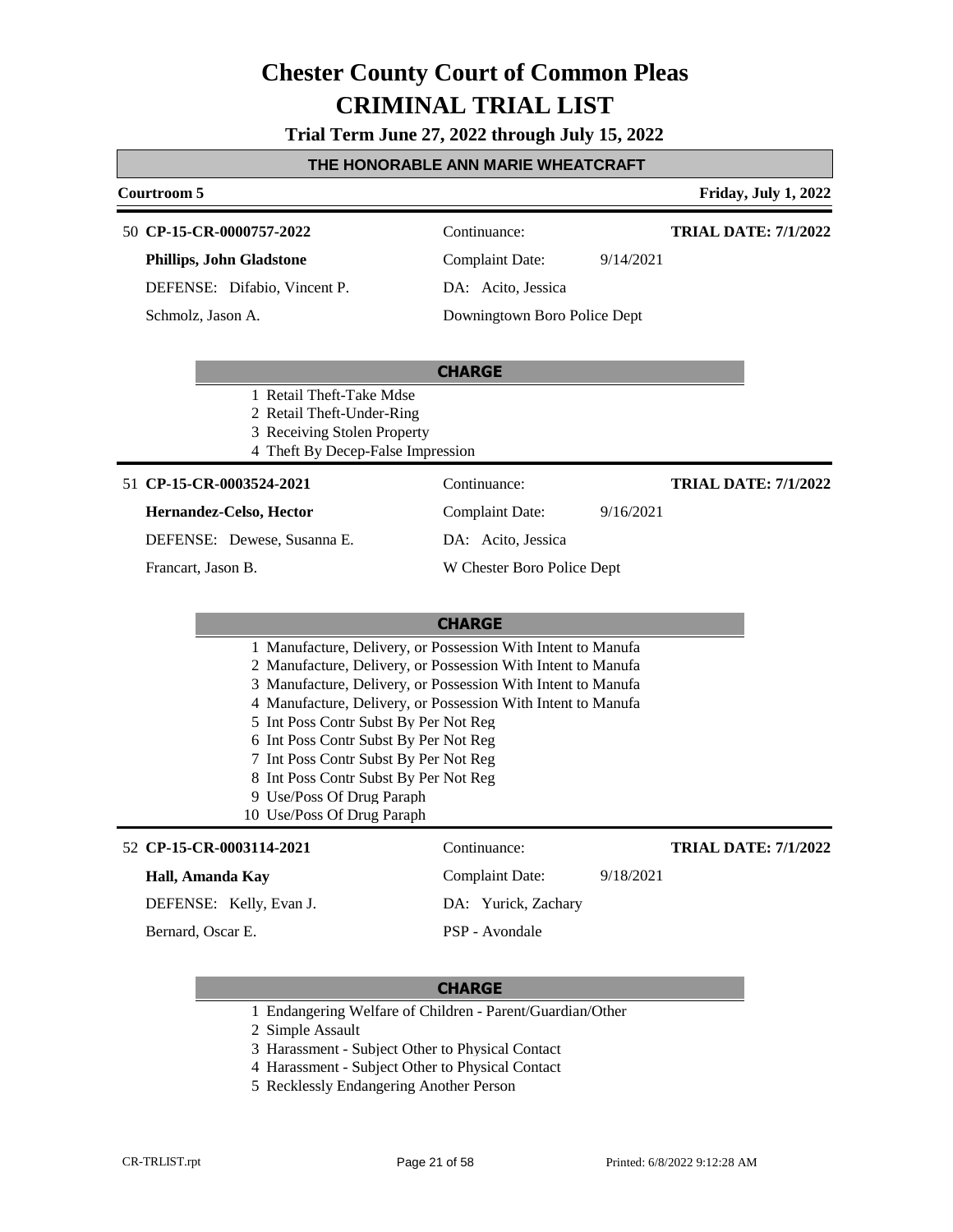**Trial Term June 27, 2022 through July 15, 2022**

#### **THE HONORABLE ANN MARIE WHEATCRAFT**

### **Courtroom 5 Friday, July 1, 2022 CHARGE CP-15-CR-0000757-2022** 50 Continuance: **Phillips, John Gladstone** DEFENSE: Difabio, Vincent P. Complaint Date: 9/14/2021 DA: Acito, Jessica Downingtown Boro Police Dept **TRIAL DATE: 7/1/2022** Schmolz, Jason A. 1 Retail Theft-Take Mdse 2 Retail Theft-Under-Ring 3 Receiving Stolen Property 4 Theft By Decep-False Impression **CHARGE CP-15-CR-0003524-2021** 51 Continuance: **Hernandez-Celso, Hector** DEFENSE: Dewese, Susanna E. Complaint Date: 9/16/2021 DA: Acito, Jessica W Chester Boro Police Dept **TRIAL DATE: 7/1/2022** Francart, Jason B. 1 Manufacture, Delivery, or Possession With Intent to Manufa 2 Manufacture, Delivery, or Possession With Intent to Manufa 3 Manufacture, Delivery, or Possession With Intent to Manufa 4 Manufacture, Delivery, or Possession With Intent to Manufa 5 Int Poss Contr Subst By Per Not Reg 6 Int Poss Contr Subst By Per Not Reg 7 Int Poss Contr Subst By Per Not Reg 8 Int Poss Contr Subst By Per Not Reg 9 Use/Poss Of Drug Paraph 10 Use/Poss Of Drug Paraph **CP-15-CR-0003114-2021** 52 Continuance: **Hall, Amanda Kay** DEFENSE: Kelly, Evan J. Complaint Date: 9/18/2021 DA: Yurick, Zachary PSP - Avondale **TRIAL DATE: 7/1/2022** Bernard, Oscar E.

- 1 Endangering Welfare of Children Parent/Guardian/Other
- 2 Simple Assault
- 3 Harassment Subject Other to Physical Contact
- 4 Harassment Subject Other to Physical Contact
- 5 Recklessly Endangering Another Person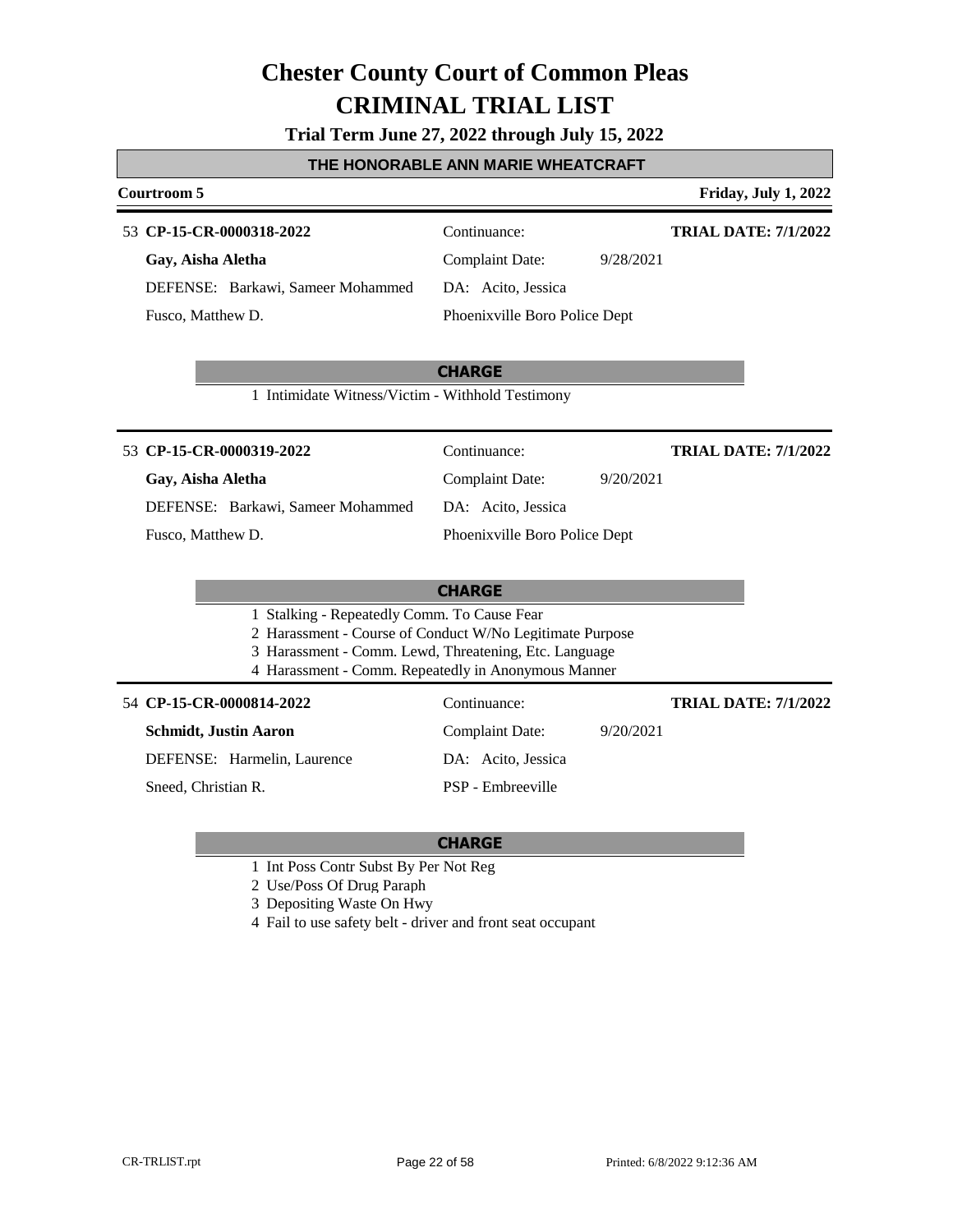**Trial Term June 27, 2022 through July 15, 2022**

#### **THE HONORABLE ANN MARIE WHEATCRAFT**

#### **Courtroom 5 Friday, July 1, 2022**

#### **CP-15-CR-0000318-2022** 53 Continuance:

**Gay, Aisha Aletha** DEFENSE: Barkawi, Sameer Mohammed Fusco, Matthew D.

**TRIAL DATE: 7/1/2022**

**TRIAL DATE: 7/1/2022**

Complaint Date: 9/28/2021 DA: Acito, Jessica Phoenixville Boro Police Dept

**CHARGE**

1 Intimidate Witness/Victim - Withhold Testimony

#### 53 **CP-15-CR-0000319-2022** Continuance:

### **Gay, Aisha Aletha**

DEFENSE: Barkawi, Sameer Mohammed

Fusco, Matthew D.

### Complaint Date: 9/20/2021 DA: Acito, Jessica

Phoenixville Boro Police Dept

### **CHARGE**

- 1 Stalking Repeatedly Comm. To Cause Fear
- 2 Harassment Course of Conduct W/No Legitimate Purpose
- 3 Harassment Comm. Lewd, Threatening, Etc. Language
- 4 Harassment Comm. Repeatedly in Anonymous Manner

#### **CP-15-CR-0000814-2022** 54 Continuance:

**Schmidt, Justin Aaron**

DEFENSE: Harmelin, Laurence

Sneed, Christian R.

### DA: Acito, Jessica PSP - Embreeville

#### **CHARGE**

- 1 Int Poss Contr Subst By Per Not Reg
- 2 Use/Poss Of Drug Paraph
- 3 Depositing Waste On Hwy
- 4 Fail to use safety belt driver and front seat occupant

Complaint Date: 9/20/2021

**TRIAL DATE: 7/1/2022**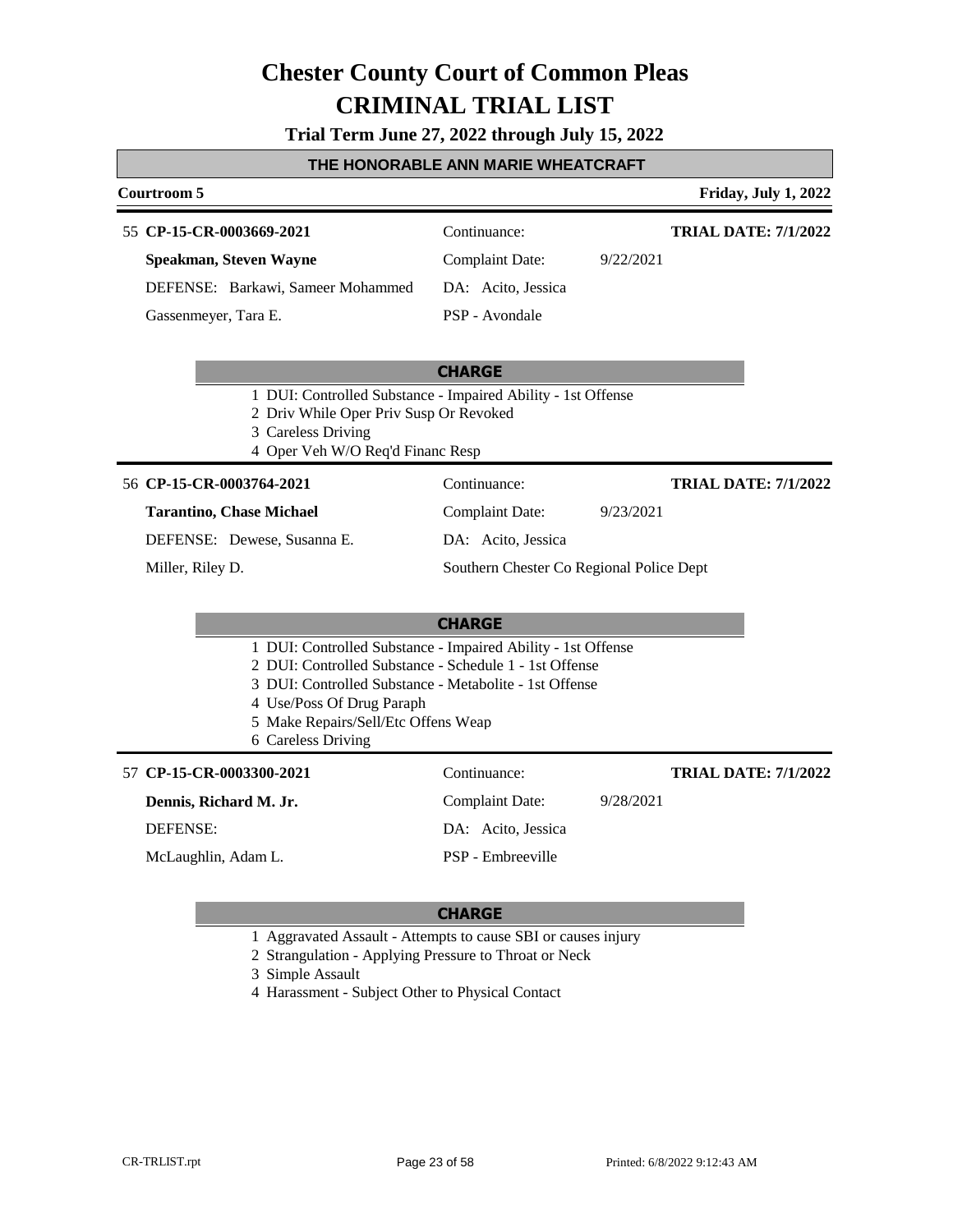**Trial Term June 27, 2022 through July 15, 2022**

#### **THE HONORABLE ANN MARIE WHEATCRAFT**

#### **Courtroom 5 Friday, July 1, 2022** 55 **CP-15-CR-0003669-2021** Continuance: **Speakman, Steven Wayne** DEFENSE: Barkawi, Sameer Mohammed Complaint Date: 9/22/2021 DA: Acito, Jessica PSP - Avondale **TRIAL DATE: 7/1/2022** Gassenmeyer, Tara E.

#### **CHARGE**

- 1 DUI: Controlled Substance Impaired Ability 1st Offense
- 2 Driv While Oper Priv Susp Or Revoked
- 3 Careless Driving
- 4 Oper Veh W/O Req'd Financ Resp

#### 56 **CP-15-CR-0003764-2021** Continuance:

#### **Tarantino, Chase Michael**

DEFENSE: Dewese, Susanna E.

Miller, Riley D.

DA: Acito, Jessica Southern Chester Co Regional Police Dept

**TRIAL DATE: 7/1/2022**

Complaint Date: 9/23/2021

#### **CHARGE**

- 1 DUI: Controlled Substance Impaired Ability 1st Offense
- 2 DUI: Controlled Substance Schedule 1 1st Offense
- 3 DUI: Controlled Substance Metabolite 1st Offense
- 4 Use/Poss Of Drug Paraph
- 5 Make Repairs/Sell/Etc Offens Weap
- 6 Careless Driving

**CP-15-CR-0003300-2021** 57 Continuance: **Dennis, Richard M. Jr.** DEFENSE: Complaint Date: 9/28/2021 DA: Acito, Jessica PSP - Embreeville **TRIAL DATE: 7/1/2022** McLaughlin, Adam L.

#### **CHARGE**

- 1 Aggravated Assault Attempts to cause SBI or causes injury
- 2 Strangulation Applying Pressure to Throat or Neck

3 Simple Assault

4 Harassment - Subject Other to Physical Contact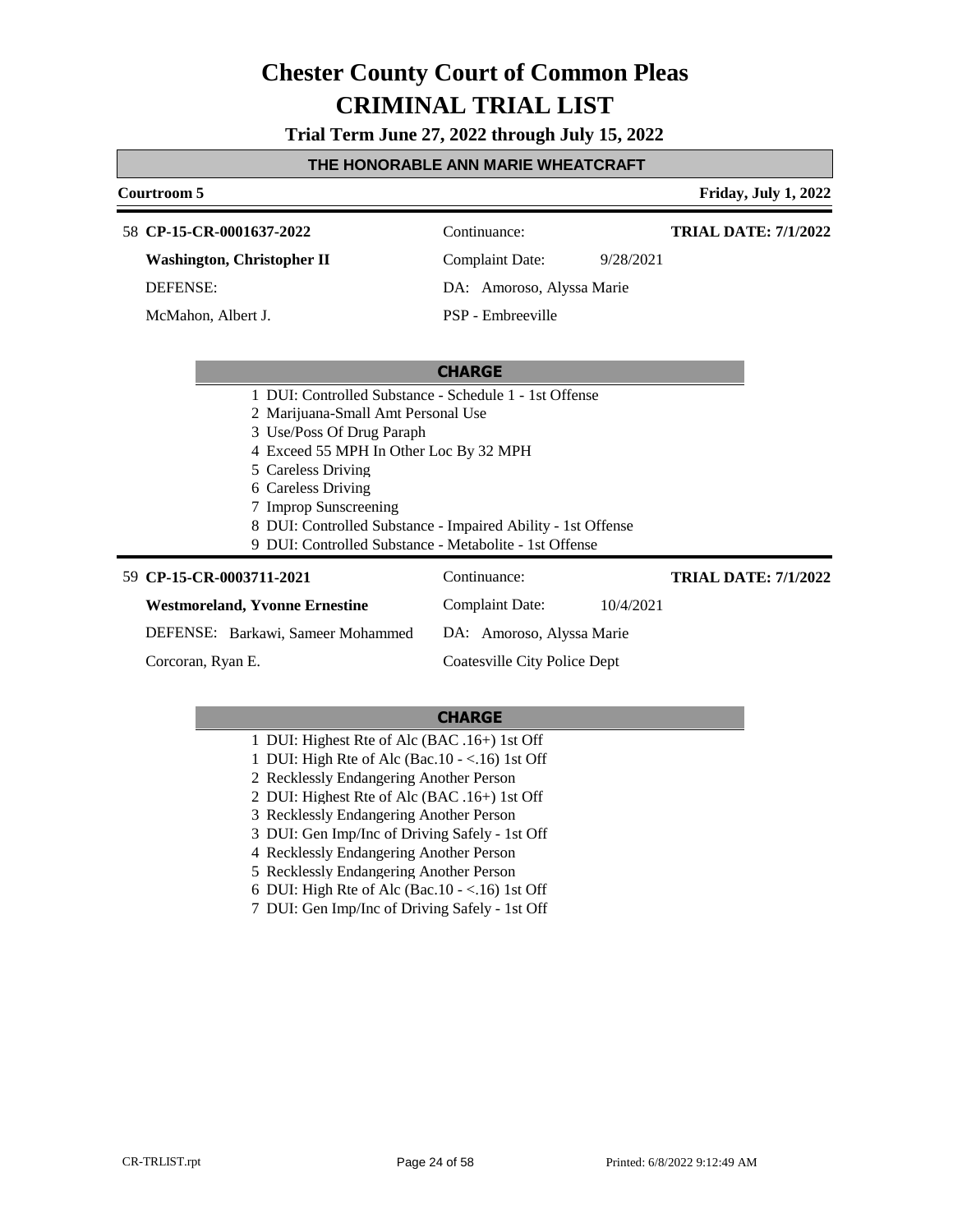**Trial Term June 27, 2022 through July 15, 2022**

#### **THE HONORABLE ANN MARIE WHEATCRAFT**

#### **Courtroom 5 Friday, July 1, 2022**

| 58 CP-15-CR-0001637-2022          | Continuance:    | <b>TRIAL DATE: 7/1/2022</b> |
|-----------------------------------|-----------------|-----------------------------|
| <b>Washington, Christopher II</b> | Complaint Date: | 9/28/2021                   |

DEFENSE:

McMahon, Albert J.

DA: Amoroso, Alyssa Marie PSP - Embreeville

#### **CHARGE**

- 1 DUI: Controlled Substance Schedule 1 1st Offense
- 2 Marijuana-Small Amt Personal Use
- 3 Use/Poss Of Drug Paraph
- 4 Exceed 55 MPH In Other Loc By 32 MPH
- 5 Careless Driving
- 6 Careless Driving
- 7 Improp Sunscreening
- 8 DUI: Controlled Substance Impaired Ability 1st Offense
- 9 DUI: Controlled Substance Metabolite 1st Offense

#### **CP-15-CR-0003711-2021** 59 Continuance:

Corcoran, Ryan E.

**Westmoreland, Yvonne Ernestine**

DEFENSE: Barkawi, Sameer Mohammed Complaint Date: 10/4/2021 DA: Amoroso, Alyssa Marie Coatesville City Police Dept **TRIAL DATE: 7/1/2022**

- 1 DUI: Highest Rte of Alc (BAC .16+) 1st Off
- 1 DUI: High Rte of Alc (Bac.10 <.16) 1st Off
- 2 Recklessly Endangering Another Person
- 2 DUI: Highest Rte of Alc (BAC .16+) 1st Off
- 3 Recklessly Endangering Another Person
- 3 DUI: Gen Imp/Inc of Driving Safely 1st Off
- 4 Recklessly Endangering Another Person
- 5 Recklessly Endangering Another Person
- 6 DUI: High Rte of Alc (Bac.10 <.16) 1st Off
- 7 DUI: Gen Imp/Inc of Driving Safely 1st Off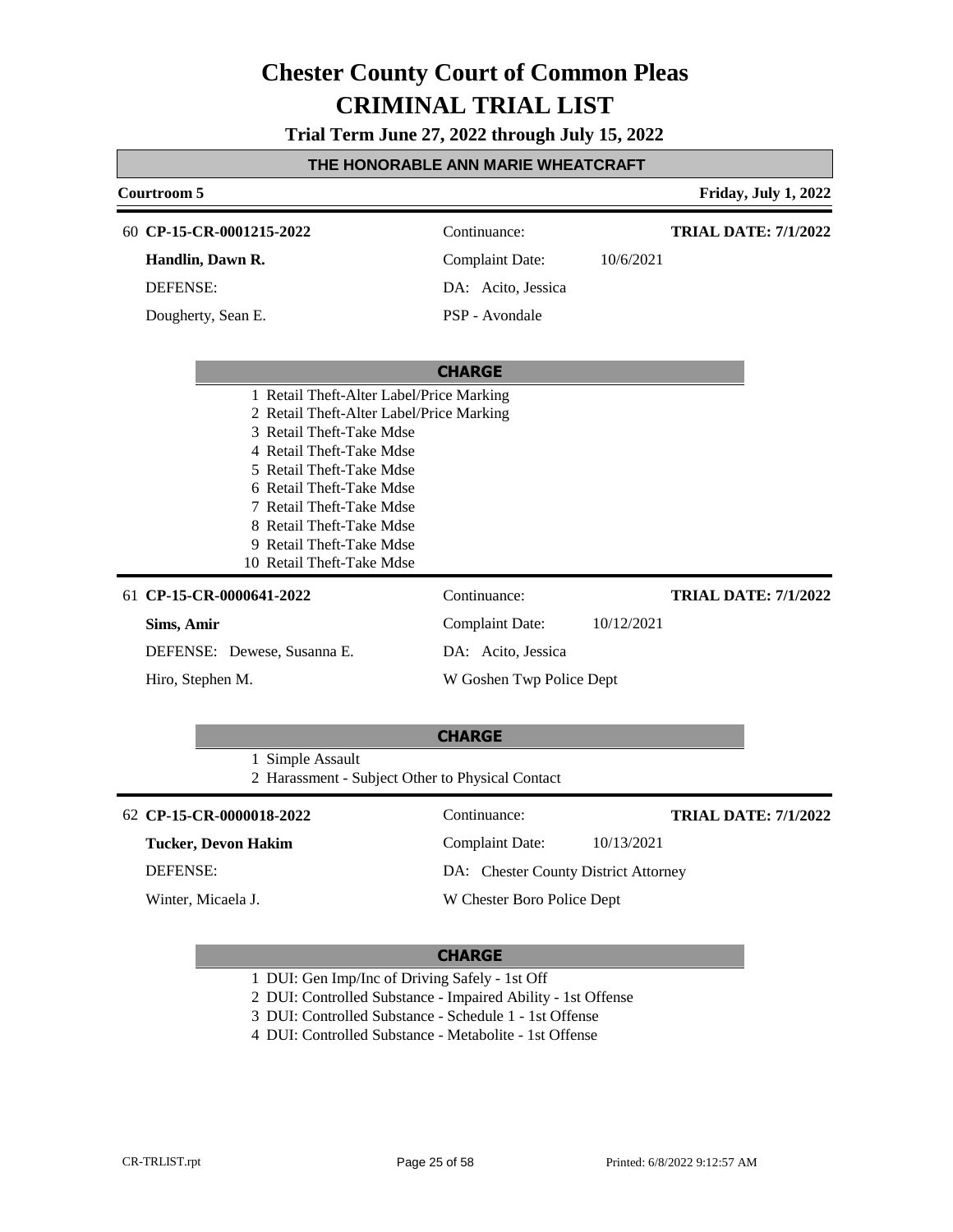**Trial Term June 27, 2022 through July 15, 2022**

| THE HONORABLE ANN MARIE WHEATCRAFT                                                                                                                                                                                                                                                                                    |                          |            |                             |  |
|-----------------------------------------------------------------------------------------------------------------------------------------------------------------------------------------------------------------------------------------------------------------------------------------------------------------------|--------------------------|------------|-----------------------------|--|
| Courtroom 5                                                                                                                                                                                                                                                                                                           |                          |            | <b>Friday, July 1, 2022</b> |  |
| 60 CP-15-CR-0001215-2022                                                                                                                                                                                                                                                                                              | Continuance:             |            | <b>TRIAL DATE: 7/1/2022</b> |  |
| Handlin, Dawn R.                                                                                                                                                                                                                                                                                                      | <b>Complaint Date:</b>   | 10/6/2021  |                             |  |
| DEFENSE:                                                                                                                                                                                                                                                                                                              | DA: Acito, Jessica       |            |                             |  |
| Dougherty, Sean E.                                                                                                                                                                                                                                                                                                    | PSP - Avondale           |            |                             |  |
|                                                                                                                                                                                                                                                                                                                       | <b>CHARGE</b>            |            |                             |  |
| 1 Retail Theft-Alter Label/Price Marking<br>2 Retail Theft-Alter Label/Price Marking<br>3 Retail Theft-Take Mdse<br>4 Retail Theft-Take Mdse<br>5 Retail Theft-Take Mdse<br>6 Retail Theft-Take Mdse<br>7 Retail Theft-Take Mdse<br>8 Retail Theft-Take Mdse<br>9 Retail Theft-Take Mdse<br>10 Retail Theft-Take Mdse |                          |            |                             |  |
| 61 CP-15-CR-0000641-2022                                                                                                                                                                                                                                                                                              | Continuance:             |            | <b>TRIAL DATE: 7/1/2022</b> |  |
| Sims, Amir                                                                                                                                                                                                                                                                                                            | <b>Complaint Date:</b>   | 10/12/2021 |                             |  |
| DEFENSE: Dewese, Susanna E.                                                                                                                                                                                                                                                                                           | DA: Acito, Jessica       |            |                             |  |
| Hiro, Stephen M.                                                                                                                                                                                                                                                                                                      | W Goshen Twp Police Dept |            |                             |  |
|                                                                                                                                                                                                                                                                                                                       | <b>CHARGE</b>            |            |                             |  |
| 1 Simple Assault                                                                                                                                                                                                                                                                                                      |                          |            |                             |  |

2 Harassment - Subject Other to Physical Contact

#### **CP-15-CR-0000018-2022** 62 Continuance:

### **Tucker, Devon Hakim**

DEFENSE:

Winter, Micaela J.

#### **CHARGE**

Complaint Date: 10/13/2021 DA: Chester County District Attorney

W Chester Boro Police Dept

- 1 DUI: Gen Imp/Inc of Driving Safely 1st Off
- 2 DUI: Controlled Substance Impaired Ability 1st Offense
- 3 DUI: Controlled Substance Schedule 1 1st Offense
- 4 DUI: Controlled Substance Metabolite 1st Offense

**TRIAL DATE: 7/1/2022**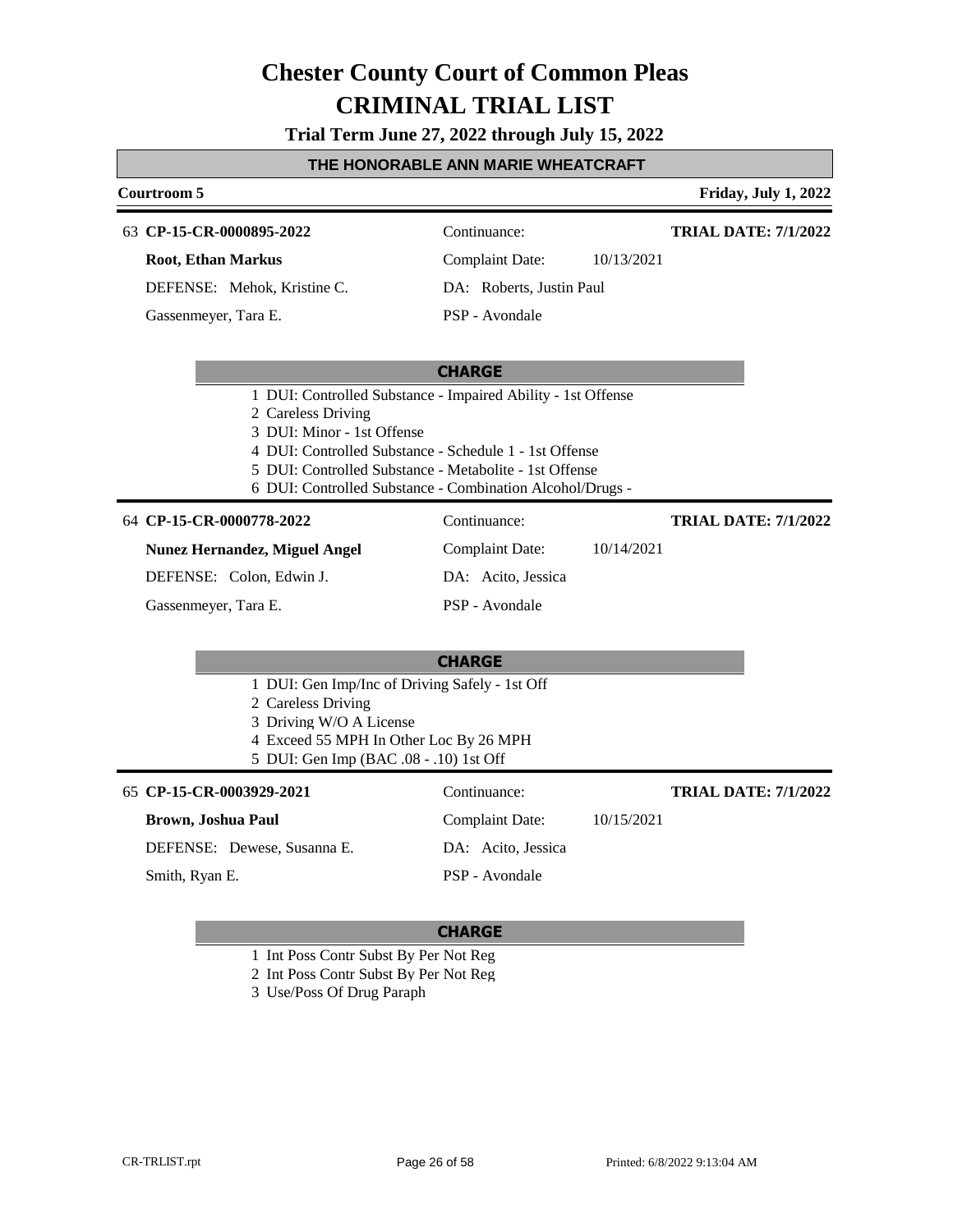**Trial Term June 27, 2022 through July 15, 2022**

#### **THE HONORABLE ANN MARIE WHEATCRAFT**

### **Courtroom 5 Friday, July 1, 2022 CHARGE CP-15-CR-0000895-2022** 63 Continuance: **Root, Ethan Markus** DEFENSE: Mehok, Kristine C. Complaint Date: 10/13/2021 DA: Roberts, Justin Paul PSP - Avondale **TRIAL DATE: 7/1/2022** Gassenmeyer, Tara E. 1 DUI: Controlled Substance - Impaired Ability - 1st Offense 2 Careless Driving 3 DUI: Minor - 1st Offense 4 DUI: Controlled Substance - Schedule 1 - 1st Offense 5 DUI: Controlled Substance - Metabolite - 1st Offense 6 DUI: Controlled Substance - Combination Alcohol/Drugs - **CHARGE CP-15-CR-0000778-2022** 64 Continuance: **Nunez Hernandez, Miguel Angel** DEFENSE: Colon, Edwin J. Complaint Date: 10/14/2021 DA: Acito, Jessica PSP - Avondale **TRIAL DATE: 7/1/2022** Gassenmeyer, Tara E. 1 DUI: Gen Imp/Inc of Driving Safely - 1st Off 2 Careless Driving 3 Driving W/O A License 4 Exceed 55 MPH In Other Loc By 26 MPH 5 DUI: Gen Imp (BAC .08 - .10) 1st Off **CP-15-CR-0003929-2021** 65 Continuance: **Brown, Joshua Paul** DEFENSE: Dewese, Susanna E. Complaint Date: 10/15/2021 DA: Acito, Jessica PSP - Avondale **TRIAL DATE: 7/1/2022** Smith, Ryan E.

- 1 Int Poss Contr Subst By Per Not Reg
- 2 Int Poss Contr Subst By Per Not Reg
- 3 Use/Poss Of Drug Paraph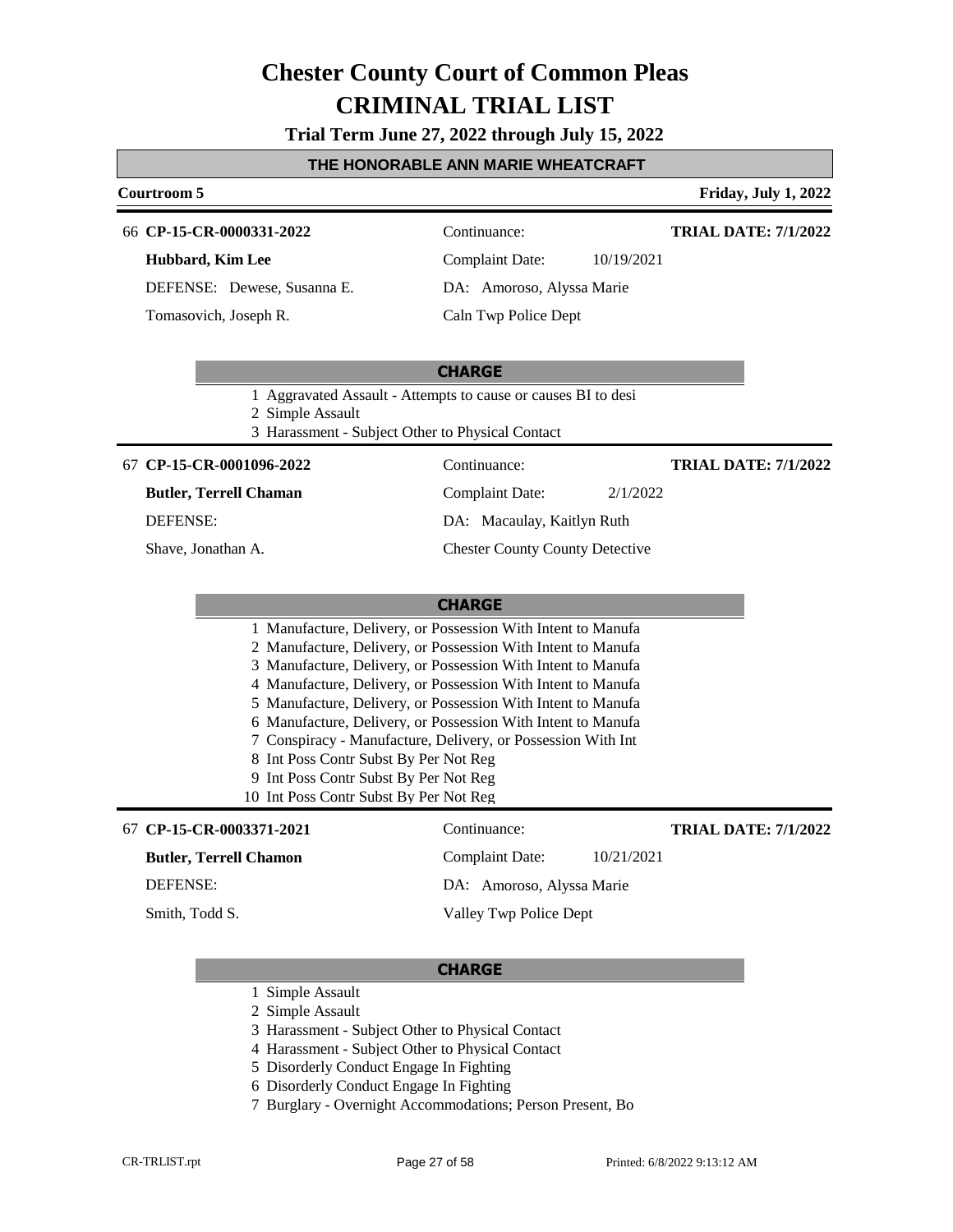**Trial Term June 27, 2022 through July 15, 2022**

#### **THE HONORABLE ANN MARIE WHEATCRAFT**

### **Courtroom 5 Friday, July 1, 2022**

66 **CP-15-CR-0000331-2022** Continuance:

#### **Hubbard, Kim Lee**

DEFENSE: Dewese, Susanna E.

Tomasovich, Joseph R.

**TRIAL DATE: 7/1/2022**

Complaint Date: 10/19/2021 DA: Amoroso, Alyssa Marie Caln Twp Police Dept

### **CHARGE**

1 Aggravated Assault - Attempts to cause or causes BI to desi

2 Simple Assault

3 Harassment - Subject Other to Physical Contact

#### **CP-15-CR-0001096-2022** 67 Continuance:

**Butler, Terrell Chaman**

DEFENSE:

Shave, Jonathan A.

**TRIAL DATE: 7/1/2022**

### Complaint Date: 2/1/2022 DA: Macaulay, Kaitlyn Ruth

Chester County County Detective

### **CHARGE**

|  | 1 Manufacture, Delivery, or Possession With Intent to Manufa<br>2 Manufacture, Delivery, or Possession With Intent to Manufa<br>3 Manufacture, Delivery, or Possession With Intent to Manufa<br>4 Manufacture, Delivery, or Possession With Intent to Manufa<br>5 Manufacture, Delivery, or Possession With Intent to Manufa<br>6 Manufacture, Delivery, or Possession With Intent to Manufa<br>7 Conspiracy - Manufacture, Delivery, or Possession With Int<br>8 Int Poss Contr Subst By Per Not Reg<br>9 Int Poss Contr Subst By Per Not Reg<br>10 Int Poss Contr Subst By Per Not Reg |
|--|------------------------------------------------------------------------------------------------------------------------------------------------------------------------------------------------------------------------------------------------------------------------------------------------------------------------------------------------------------------------------------------------------------------------------------------------------------------------------------------------------------------------------------------------------------------------------------------|

#### **CP-15-CR-0003371-2021** 67 Continuance:

#### **Butler, Terrell Chamon**

DEFENSE:

Smith, Todd S.

### Complaint Date: 10/21/2021

**TRIAL DATE: 7/1/2022**

DA: Amoroso, Alyssa Marie

Valley Twp Police Dept

- 1 Simple Assault
- 2 Simple Assault
- 3 Harassment Subject Other to Physical Contact
- 4 Harassment Subject Other to Physical Contact
- 5 Disorderly Conduct Engage In Fighting
- 6 Disorderly Conduct Engage In Fighting
- 7 Burglary Overnight Accommodations; Person Present, Bo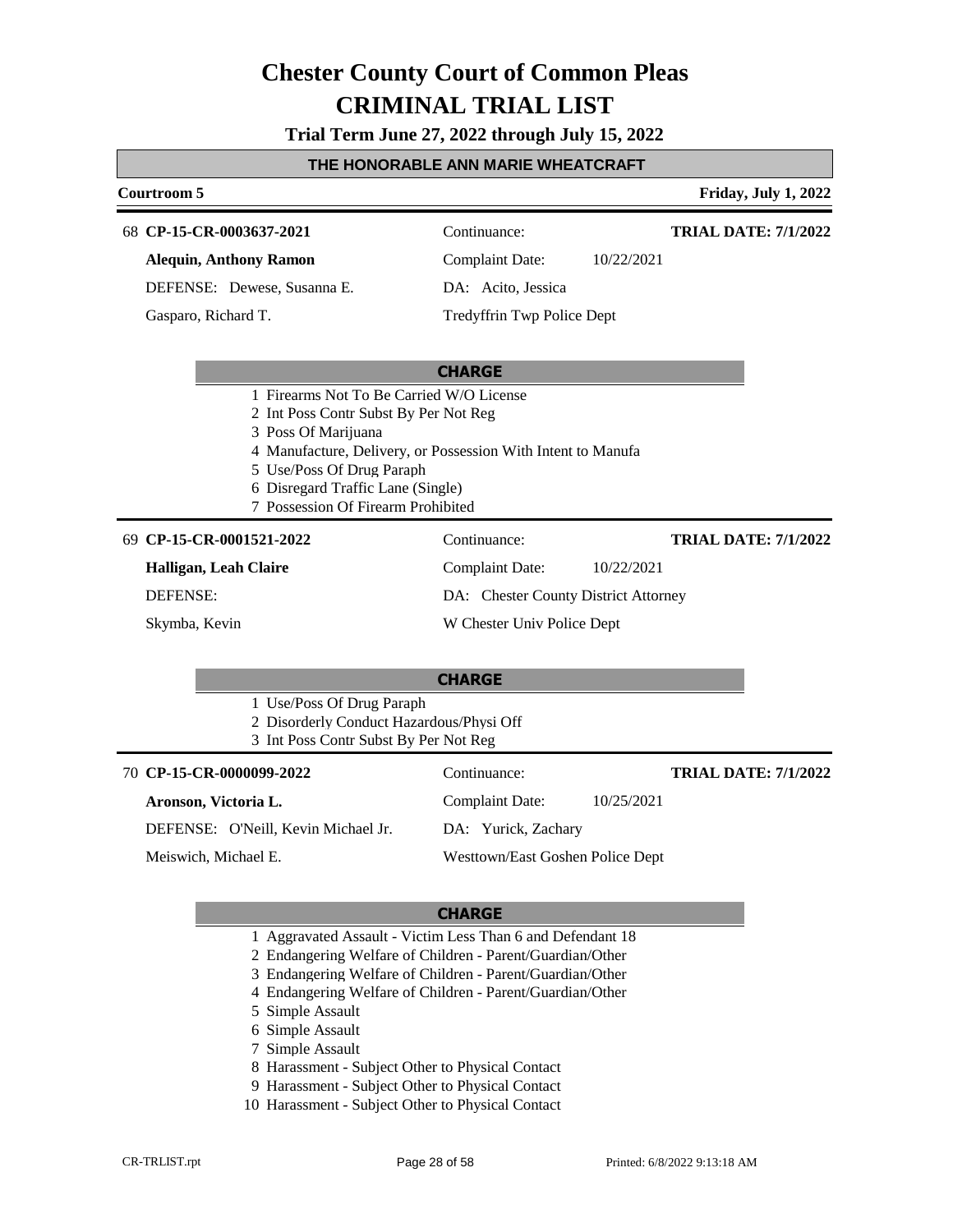**Trial Term June 27, 2022 through July 15, 2022**

#### **THE HONORABLE ANN MARIE WHEATCRAFT**

### **Courtroom 5 Friday, July 1, 2022 CHARGE CP-15-CR-0003637-2021** 68 Continuance: **Alequin, Anthony Ramon** DEFENSE: Dewese, Susanna E. Complaint Date: 10/22/2021 DA: Acito, Jessica Tredyffrin Twp Police Dept **TRIAL DATE: 7/1/2022** Gasparo, Richard T. 1 Firearms Not To Be Carried W/O License 2 Int Poss Contr Subst By Per Not Reg 3 Poss Of Marijuana 4 Manufacture, Delivery, or Possession With Intent to Manufa 5 Use/Poss Of Drug Paraph 6 Disregard Traffic Lane (Single) 7 Possession Of Firearm Prohibited **CHARGE CP-15-CR-0001521-2022** 69 Continuance: **Halligan, Leah Claire** DEFENSE: Complaint Date: 10/22/2021 DA: Chester County District Attorney W Chester Univ Police Dept **TRIAL DATE: 7/1/2022** Skymba, Kevin 1 Use/Poss Of Drug Paraph 2 Disorderly Conduct Hazardous/Physi Off 3 Int Poss Contr Subst By Per Not Reg **CP-15-CR-0000099-2022** 70 Continuance: **Aronson, Victoria L.** DEFENSE: O'Neill, Kevin Michael Jr. Complaint Date: 10/25/2021 DA: Yurick, Zachary Westtown/East Goshen Police Dept **TRIAL DATE: 7/1/2022** Meiswich, Michael E.

- 1 Aggravated Assault Victim Less Than 6 and Defendant 18
- 2 Endangering Welfare of Children Parent/Guardian/Other
- 3 Endangering Welfare of Children Parent/Guardian/Other
- 4 Endangering Welfare of Children Parent/Guardian/Other
- 5 Simple Assault
- 6 Simple Assault
- 7 Simple Assault
- 8 Harassment Subject Other to Physical Contact
- 9 Harassment Subject Other to Physical Contact
- 10 Harassment Subject Other to Physical Contact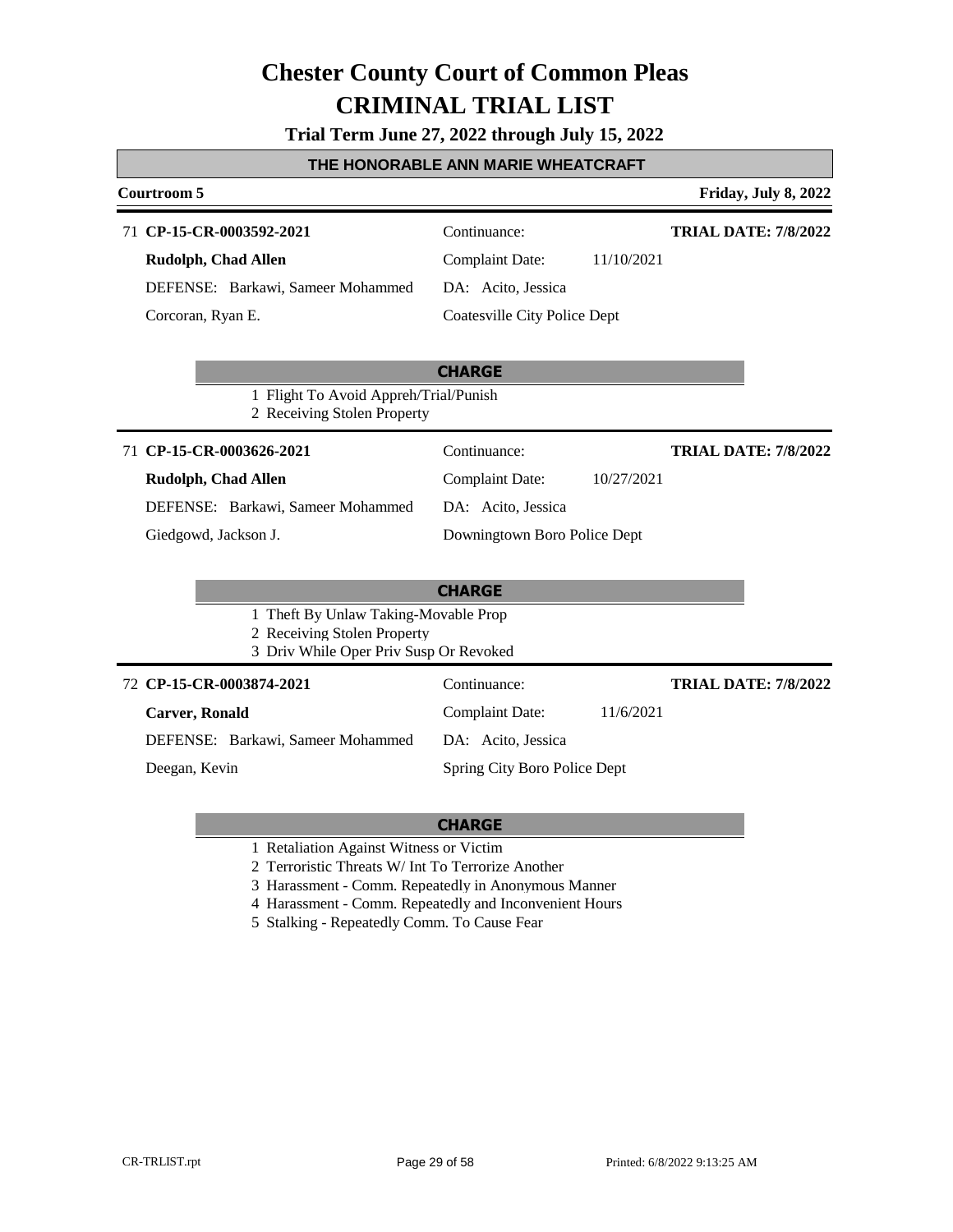**Trial Term June 27, 2022 through July 15, 2022**

| Courtroom 5                                                                                                         |                                                                                                                   | Friday, July 8, 2022        |
|---------------------------------------------------------------------------------------------------------------------|-------------------------------------------------------------------------------------------------------------------|-----------------------------|
| 71 CP-15-CR-0003592-2021<br>Rudolph, Chad Allen<br>DEFENSE: Barkawi, Sameer Mohammed<br>Corcoran, Ryan E.           | Continuance:<br><b>Complaint Date:</b><br>11/10/2021<br>DA: Acito, Jessica<br><b>Coatesville City Police Dept</b> | <b>TRIAL DATE: 7/8/2022</b> |
| 1 Flight To Avoid Appreh/Trial/Punish<br>2 Receiving Stolen Property                                                | <b>CHARGE</b>                                                                                                     |                             |
| 71 CP-15-CR-0003626-2021<br><b>Rudolph, Chad Allen</b><br>DEFENSE: Barkawi, Sameer Mohammed<br>Giedgowd, Jackson J. | Continuance:<br>10/27/2021<br><b>Complaint Date:</b><br>DA: Acito, Jessica<br>Downingtown Boro Police Dept        | <b>TRIAL DATE: 7/8/2022</b> |
| 1 Theft By Unlaw Taking-Movable Prop<br>2 Receiving Stolen Property<br>3 Driv While Oper Priv Susp Or Revoked       | <b>CHARGE</b>                                                                                                     |                             |
| 72 CP-15-CR-0003874-2021<br><b>Carver, Ronald</b><br>DEFENSE: Barkawi, Sameer Mohammed<br>Deegan, Kevin             | Continuance:<br><b>Complaint Date:</b><br>11/6/2021<br>DA: Acito, Jessica<br>Spring City Boro Police Dept         | <b>TRIAL DATE: 7/8/2022</b> |

- 1 Retaliation Against Witness or Victim
- 2 Terroristic Threats W/ Int To Terrorize Another
- 3 Harassment Comm. Repeatedly in Anonymous Manner
- 4 Harassment Comm. Repeatedly and Inconvenient Hours
- 5 Stalking Repeatedly Comm. To Cause Fear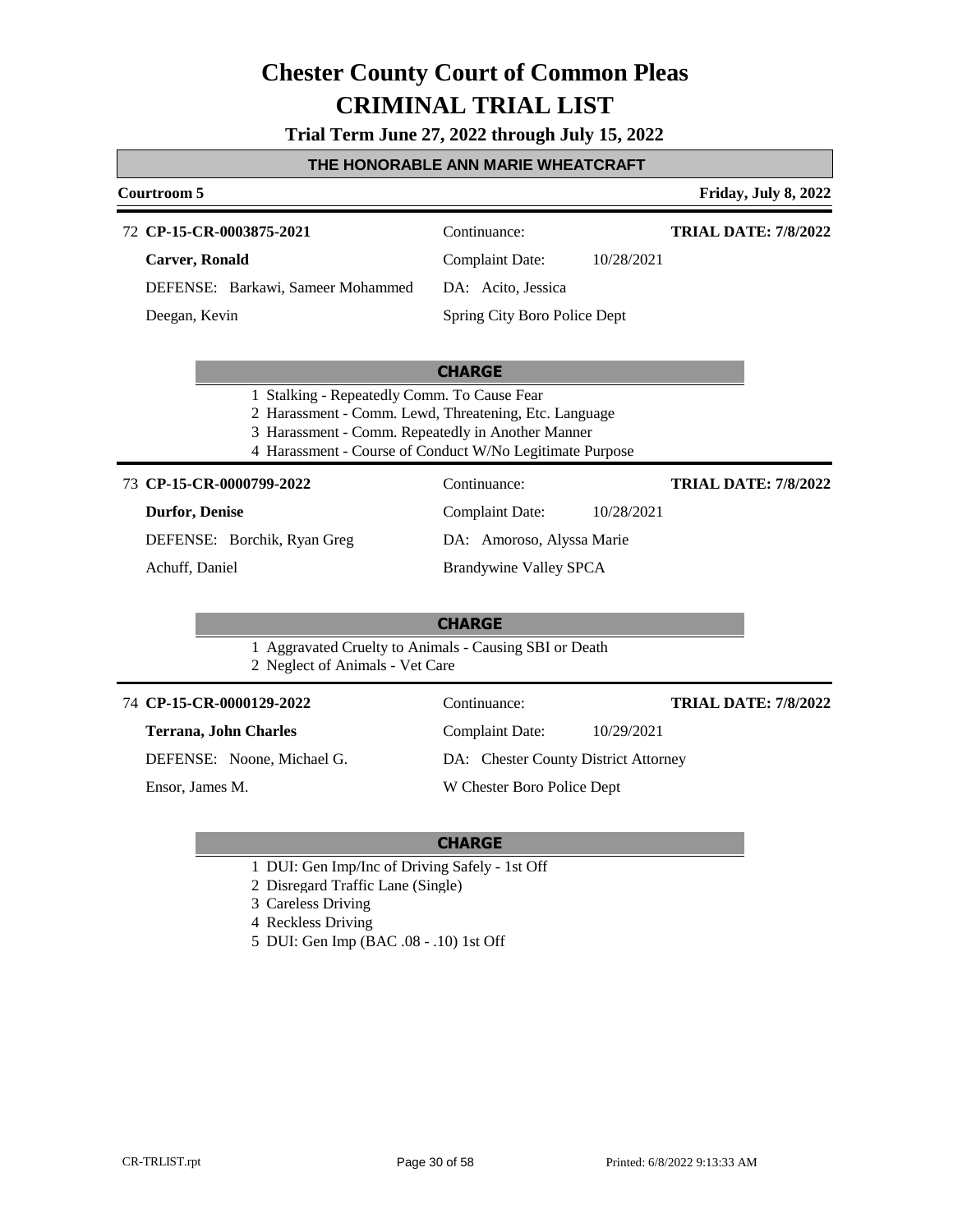**Trial Term June 27, 2022 through July 15, 2022**

#### **THE HONORABLE ANN MARIE WHEATCRAFT**

#### **Courtroom 5 Friday, July 8, 2022 CP-15-CR-0003875-2021** 72 Continuance: **Carver, Ronald** DEFENSE: Barkawi, Sameer Mohammed Complaint Date: 10/28/2021 DA: Acito, Jessica Spring City Boro Police Dept **TRIAL DATE: 7/8/2022** Deegan, Kevin

#### **CHARGE**

- 1 Stalking Repeatedly Comm. To Cause Fear
- 2 Harassment Comm. Lewd, Threatening, Etc. Language
- 3 Harassment Comm. Repeatedly in Another Manner
- 4 Harassment Course of Conduct W/No Legitimate Purpose

**CP-15-CR-0000799-2022** 73 Continuance:

#### **Durfor, Denise**

DEFENSE: Borchik, Ryan Greg

Achuff, Daniel

DA: Amoroso, Alyssa Marie

Brandywine Valley SPCA

Complaint Date: 10/28/2021

#### **CHARGE**

- 1 Aggravated Cruelty to Animals Causing SBI or Death
- 2 Neglect of Animals Vet Care

#### **CP-15-CR-0000129-2022** 74 Continuance:

**Terrana, John Charles**

DEFENSE: Noone, Michael G.

Ensor, James M.

DA: Chester County District Attorney

W Chester Boro Police Dept

### **CHARGE**

- 1 DUI: Gen Imp/Inc of Driving Safely 1st Off
- 2 Disregard Traffic Lane (Single)
- 3 Careless Driving
- 4 Reckless Driving
- 5 DUI: Gen Imp (BAC .08 .10) 1st Off

Complaint Date: 10/29/2021 **TRIAL DATE: 7/8/2022**

**TRIAL DATE: 7/8/2022**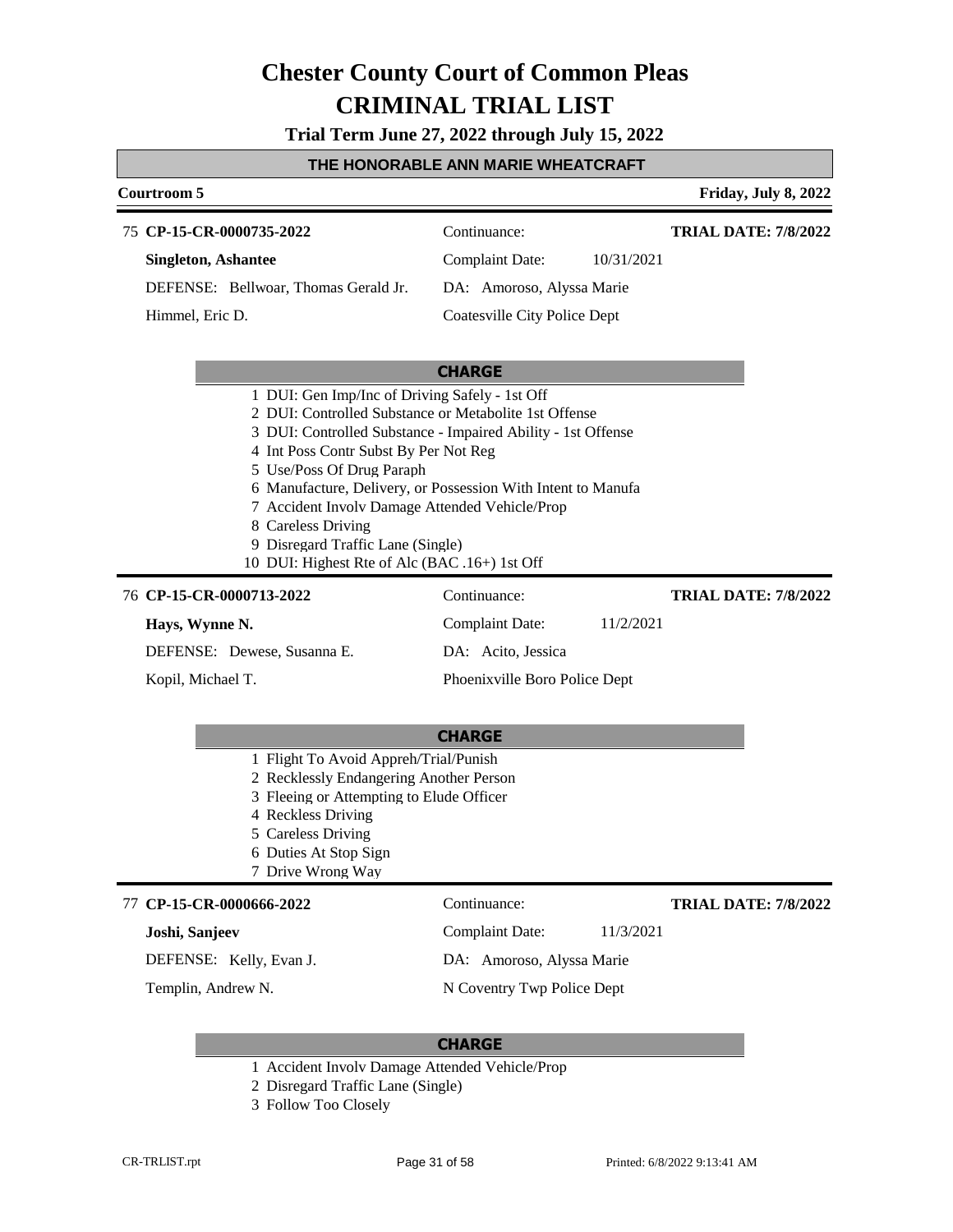**Trial Term June 27, 2022 through July 15, 2022**

### **THE HONORABLE ANN MARIE WHEATCRAFT**

| Courtroom 5                                                                                                                                                                                                                                                                               |                                                                                                                              | Friday, July 8, 2022        |
|-------------------------------------------------------------------------------------------------------------------------------------------------------------------------------------------------------------------------------------------------------------------------------------------|------------------------------------------------------------------------------------------------------------------------------|-----------------------------|
| 75 CP-15-CR-0000735-2022                                                                                                                                                                                                                                                                  | Continuance:                                                                                                                 | <b>TRIAL DATE: 7/8/2022</b> |
| <b>Singleton, Ashantee</b>                                                                                                                                                                                                                                                                | <b>Complaint Date:</b><br>10/31/2021                                                                                         |                             |
| DEFENSE: Bellwoar, Thomas Gerald Jr.                                                                                                                                                                                                                                                      | DA: Amoroso, Alyssa Marie                                                                                                    |                             |
| Himmel, Eric D.                                                                                                                                                                                                                                                                           | Coatesville City Police Dept                                                                                                 |                             |
|                                                                                                                                                                                                                                                                                           | <b>CHARGE</b>                                                                                                                |                             |
| 2 DUI: Controlled Substance or Metabolite 1st Offense<br>4 Int Poss Contr Subst By Per Not Reg<br>5 Use/Poss Of Drug Paraph<br>7 Accident Involv Damage Attended Vehicle/Prop<br>8 Careless Driving<br>9 Disregard Traffic Lane (Single)<br>10 DUI: Highest Rte of Alc (BAC .16+) 1st Off | 3 DUI: Controlled Substance - Impaired Ability - 1st Offense<br>6 Manufacture, Delivery, or Possession With Intent to Manufa |                             |
| 76 CP-15-CR-0000713-2022                                                                                                                                                                                                                                                                  | Continuance:                                                                                                                 | <b>TRIAL DATE: 7/8/2022</b> |
| Hays, Wynne N.                                                                                                                                                                                                                                                                            | Complaint Date:<br>11/2/2021                                                                                                 |                             |
| DEFENSE: Dewese, Susanna E.                                                                                                                                                                                                                                                               | DA: Acito, Jessica                                                                                                           |                             |
| Kopil, Michael T.                                                                                                                                                                                                                                                                         | Phoenixville Boro Police Dept                                                                                                |                             |
|                                                                                                                                                                                                                                                                                           | <b>CHARGE</b>                                                                                                                |                             |

- 1 Flight To Avoid Appreh/Trial/Punish
- 2 Recklessly Endangering Another Person
- 3 Fleeing or Attempting to Elude Officer
- 4 Reckless Driving
- 5 Careless Driving
- 6 Duties At Stop Sign
- 7 Drive Wrong Way

#### 77 CP-15-CR-0000666-2022 Continuance:

### **Joshi, Sanjeev**

DEFENSE: Kelly, Evan J.

Templin, Andrew N.

### **TRIAL DATE: 7/8/2022**

Complaint Date: 11/3/2021

DA: Amoroso, Alyssa Marie

N Coventry Twp Police Dept

- 1 Accident Involv Damage Attended Vehicle/Prop
- 2 Disregard Traffic Lane (Single)
- 3 Follow Too Closely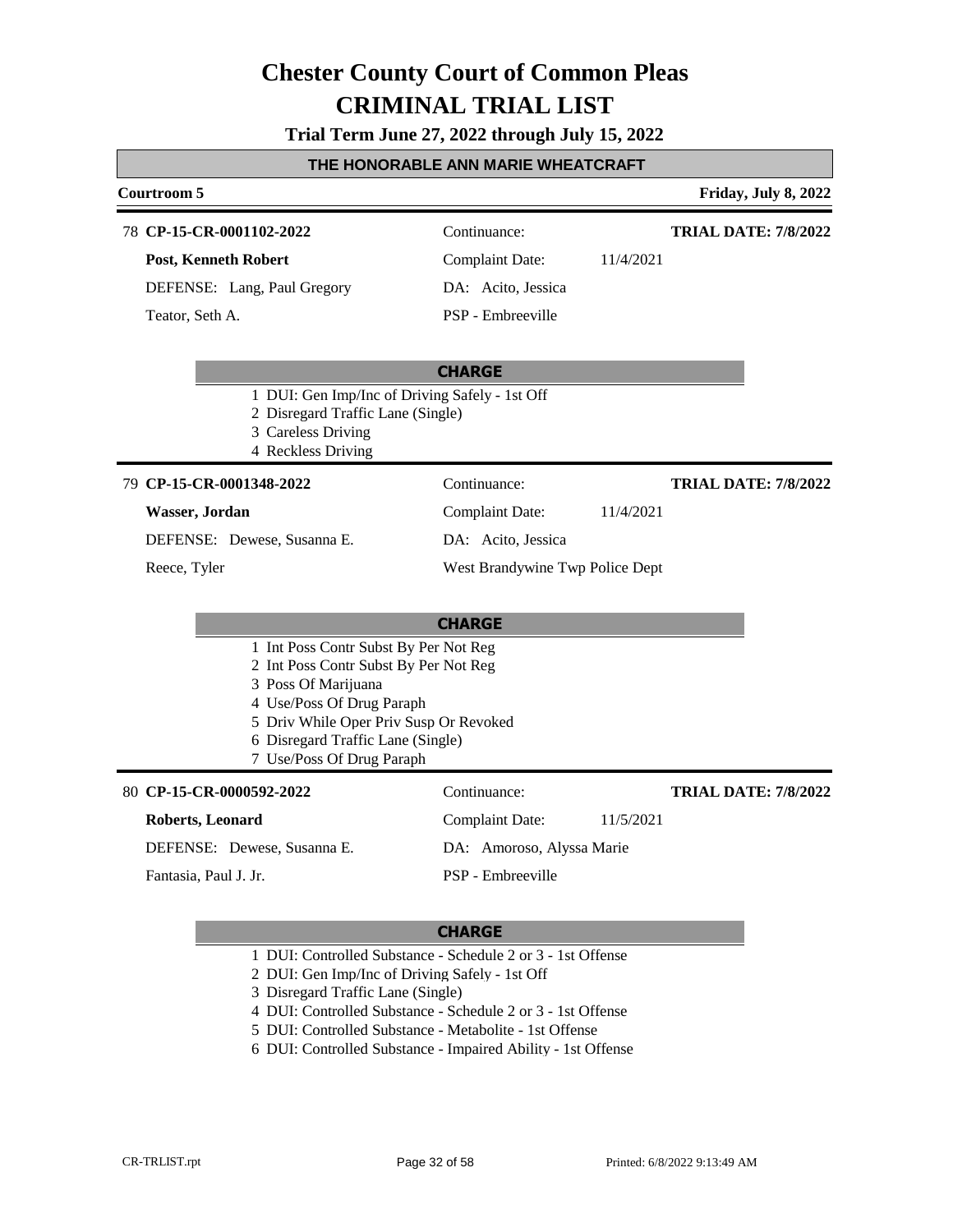**Trial Term June 27, 2022 through July 15, 2022**

#### **THE HONORABLE ANN MARIE WHEATCRAFT**

#### **Courtroom 5 Friday, July 8, 2022**

#### **CP-15-CR-0001102-2022** 78 Continuance:

**Post, Kenneth Robert**

DEFENSE: Lang, Paul Gregory Teator, Seth A.

Complaint Date: 11/4/2021

DA: Acito, Jessica PSP - Embreeville

**TRIAL DATE: 7/8/2022**

**TRIAL DATE: 7/8/2022**

**TRIAL DATE: 7/8/2022**

#### **CHARGE**

- 1 DUI: Gen Imp/Inc of Driving Safely 1st Off
- 2 Disregard Traffic Lane (Single)
- 3 Careless Driving
- 4 Reckless Driving

#### **CP-15-CR-0001348-2022** 79 Continuance:

### **Wasser, Jordan**

DEFENSE: Dewese, Susanna E.

#### Reece, Tyler

### Complaint Date: 11/4/2021 DA: Acito, Jessica

West Brandywine Twp Police Dept

#### **CHARGE**

- 1 Int Poss Contr Subst By Per Not Reg
- 2 Int Poss Contr Subst By Per Not Reg
- 3 Poss Of Marijuana
- 4 Use/Poss Of Drug Paraph
- 5 Driv While Oper Priv Susp Or Revoked
- 6 Disregard Traffic Lane (Single)
- 7 Use/Poss Of Drug Paraph

#### **CP-15-CR-0000592-2022** 80 Continuance:

| Roberts, Leonard            | 11/5/2021<br>Complaint Date: |
|-----------------------------|------------------------------|
| DEFENSE: Dewese, Susanna E. | DA: Amoroso, Alyssa Marie    |
| Fantasia, Paul J. Jr.       | PSP - Embreeville            |

- 1 DUI: Controlled Substance Schedule 2 or 3 1st Offense
- 2 DUI: Gen Imp/Inc of Driving Safely 1st Off
- 3 Disregard Traffic Lane (Single)
- 4 DUI: Controlled Substance Schedule 2 or 3 1st Offense
- 5 DUI: Controlled Substance Metabolite 1st Offense
- 6 DUI: Controlled Substance Impaired Ability 1st Offense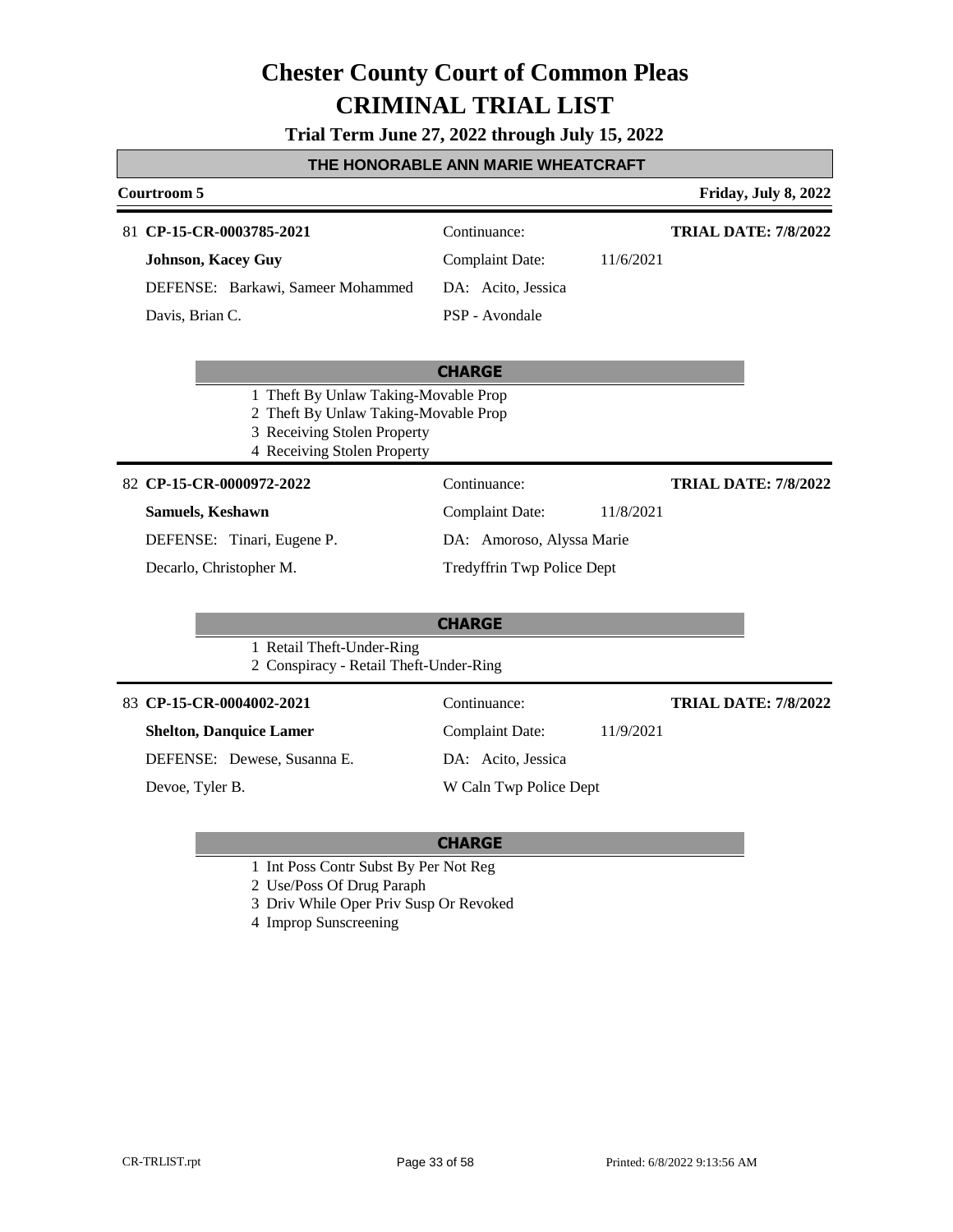**Trial Term June 27, 2022 through July 15, 2022**

### **THE HONORABLE ANN MARIE WHEATCRAFT**

| Courtroom 5                                                                                                                                |                                                                                             | Friday, July 8, 2022        |
|--------------------------------------------------------------------------------------------------------------------------------------------|---------------------------------------------------------------------------------------------|-----------------------------|
| 81 CP-15-CR-0003785-2021<br><b>Johnson, Kacey Guy</b><br>DEFENSE: Barkawi, Sameer Mohammed<br>Davis, Brian C.                              | Continuance:<br><b>Complaint Date:</b><br>11/6/2021<br>DA: Acito, Jessica<br>PSP - Avondale | <b>TRIAL DATE: 7/8/2022</b> |
| 1 Theft By Unlaw Taking-Movable Prop<br>2 Theft By Unlaw Taking-Movable Prop<br>3 Receiving Stolen Property<br>4 Receiving Stolen Property | <b>CHARGE</b>                                                                               |                             |
| 82 CP-15-CR-0000972-2022                                                                                                                   | Continuance:                                                                                | <b>TRIAL DATE: 7/8/2022</b> |
| <b>Samuels, Keshawn</b>                                                                                                                    | <b>Complaint Date:</b><br>11/8/2021                                                         |                             |
| DEFENSE: Tinari, Eugene P.                                                                                                                 | DA: Amoroso, Alyssa Marie                                                                   |                             |
| Decarlo, Christopher M.                                                                                                                    | Tredyffrin Twp Police Dept                                                                  |                             |
| 1 Retail Theft-Under-Ring<br>2 Conspiracy - Retail Theft-Under-Ring                                                                        | <b>CHARGE</b>                                                                               |                             |
| 83 CP-15-CR-0004002-2021                                                                                                                   | Continuance:                                                                                | <b>TRIAL DATE: 7/8/2022</b> |
| <b>Shelton, Danquice Lamer</b>                                                                                                             | <b>Complaint Date:</b><br>11/9/2021                                                         |                             |
| DEFENSE: Dewese, Susanna E.                                                                                                                | DA: Acito, Jessica                                                                          |                             |
| Devoe, Tyler B.                                                                                                                            | W Caln Twp Police Dept                                                                      |                             |

- 1 Int Poss Contr Subst By Per Not Reg
- 2 Use/Poss Of Drug Paraph
- 3 Driv While Oper Priv Susp Or Revoked
- 4 Improp Sunscreening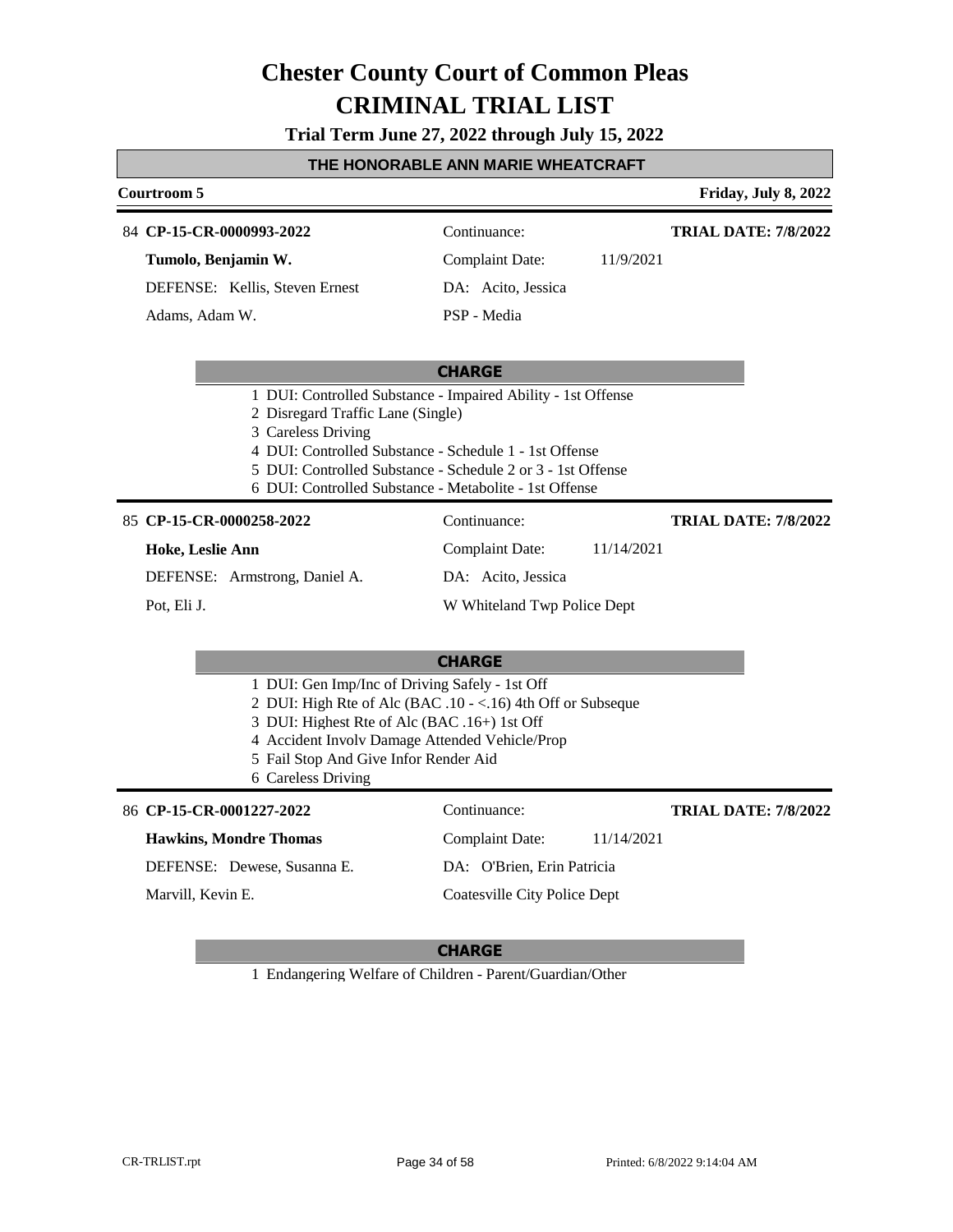**Trial Term June 27, 2022 through July 15, 2022**

| THE HONORABLE ANN MARIE WHEATCRAFT |  |  |  |
|------------------------------------|--|--|--|
|                                    |  |  |  |

### **THE HONORABLE ANN MARIE WHEATCRAFT Courtroom 5 Friday, July 8, 2022 CHARGE** 84 **CP-15-CR-0000993-2022** Continuance: **Tumolo, Benjamin W.** DEFENSE: Kellis, Steven Ernest Complaint Date: 11/9/2021 DA: Acito, Jessica PSP - Media **TRIAL DATE: 7/8/2022** Adams, Adam W. 1 DUI: Controlled Substance - Impaired Ability - 1st Offense 2 Disregard Traffic Lane (Single) 3 Careless Driving 4 DUI: Controlled Substance - Schedule 1 - 1st Offense 5 DUI: Controlled Substance - Schedule 2 or 3 - 1st Offense 6 DUI: Controlled Substance - Metabolite - 1st Offense **CHARGE** 85 **CP-15-CR-0000258-2022** Continuance: **Hoke, Leslie Ann** DEFENSE: Armstrong, Daniel A. Complaint Date: 11/14/2021 DA: Acito, Jessica W Whiteland Twp Police Dept **TRIAL DATE: 7/8/2022** Pot, Eli J. 1 DUI: Gen Imp/Inc of Driving Safely - 1st Off 2 DUI: High Rte of Alc (BAC .10 - <.16) 4th Off or Subseque 3 DUI: Highest Rte of Alc (BAC .16+) 1st Off 4 Accident Involv Damage Attended Vehicle/Prop 5 Fail Stop And Give Infor Render Aid 6 Careless Driving 86 **CP-15-CR-0001227-2022** Continuance: **Hawkins, Mondre Thomas** DEFENSE: Dewese, Susanna E. Complaint Date: 11/14/2021 DA: O'Brien, Erin Patricia Coatesville City Police Dept **TRIAL DATE: 7/8/2022** Marvill, Kevin E.

#### **CHARGE**

1 Endangering Welfare of Children - Parent/Guardian/Other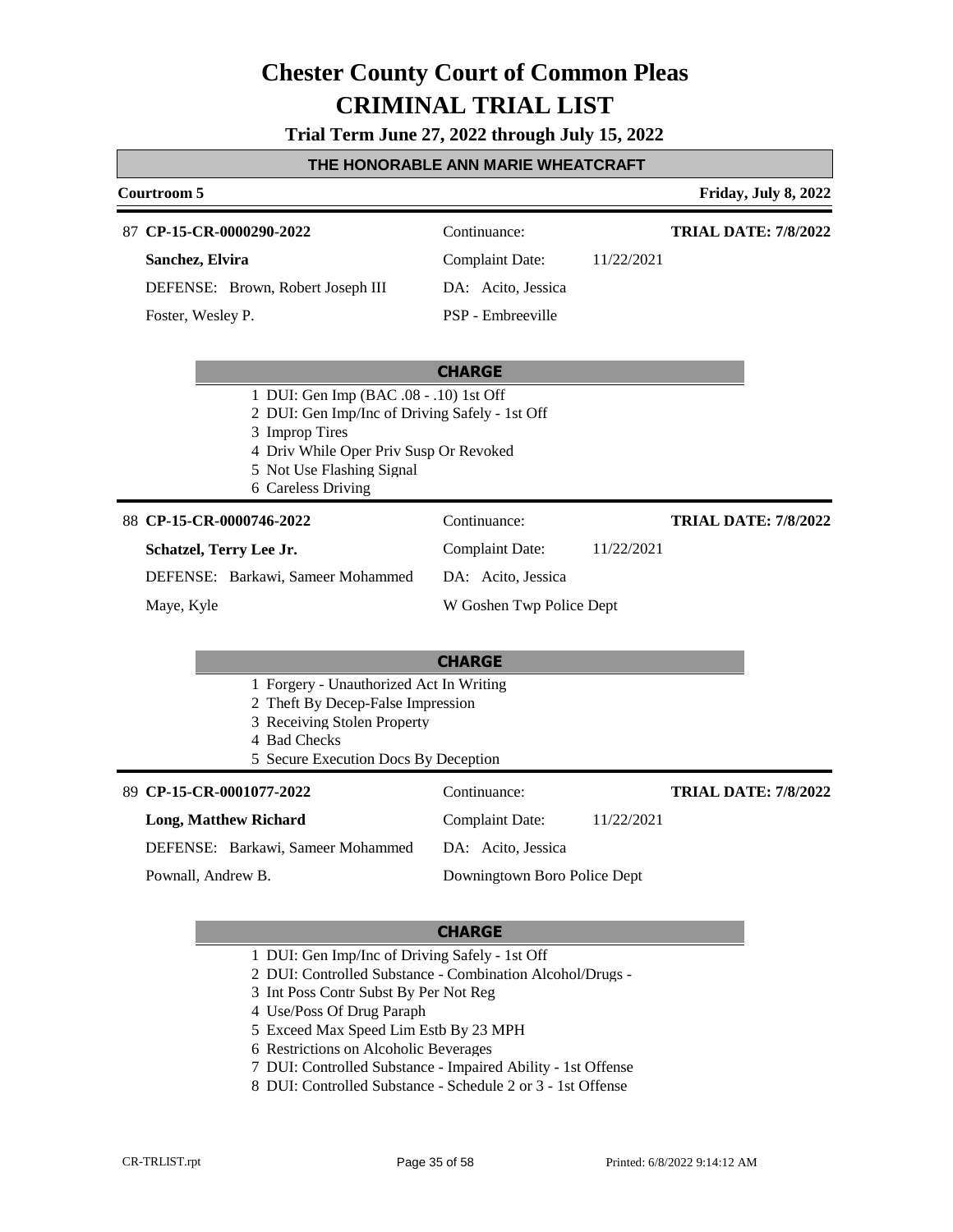**Trial Term June 27, 2022 through July 15, 2022**

| <u>I HE HONORABLE ANN WARIE WHEATCRAFI</u> |                                                                                                                                                                                                                                                                                           |  |  |  |
|--------------------------------------------|-------------------------------------------------------------------------------------------------------------------------------------------------------------------------------------------------------------------------------------------------------------------------------------------|--|--|--|
|                                            | Friday, July 8, 2022                                                                                                                                                                                                                                                                      |  |  |  |
| Continuance:                               | <b>TRIAL DATE: 7/8/2022</b>                                                                                                                                                                                                                                                               |  |  |  |
| <b>Complaint Date:</b><br>11/22/2021       |                                                                                                                                                                                                                                                                                           |  |  |  |
| DA: Acito, Jessica                         |                                                                                                                                                                                                                                                                                           |  |  |  |
| PSP - Embreeville                          |                                                                                                                                                                                                                                                                                           |  |  |  |
| <b>CHARGE</b>                              |                                                                                                                                                                                                                                                                                           |  |  |  |
|                                            |                                                                                                                                                                                                                                                                                           |  |  |  |
| Continuance:                               | <b>TRIAL DATE: 7/8/2022</b>                                                                                                                                                                                                                                                               |  |  |  |
| <b>Complaint Date:</b><br>11/22/2021       |                                                                                                                                                                                                                                                                                           |  |  |  |
| DA: Acito, Jessica                         |                                                                                                                                                                                                                                                                                           |  |  |  |
| W Goshen Twp Police Dept                   |                                                                                                                                                                                                                                                                                           |  |  |  |
| <b>CHARGE</b>                              |                                                                                                                                                                                                                                                                                           |  |  |  |
|                                            |                                                                                                                                                                                                                                                                                           |  |  |  |
| Continuance:                               | <b>TRIAL DATE: 7/8/2022</b>                                                                                                                                                                                                                                                               |  |  |  |
| <b>Complaint Date:</b><br>11/22/2021       |                                                                                                                                                                                                                                                                                           |  |  |  |
| DA: Acito, Jessica                         |                                                                                                                                                                                                                                                                                           |  |  |  |
| Downingtown Boro Police Dept               |                                                                                                                                                                                                                                                                                           |  |  |  |
|                                            | 1 DUI: Gen Imp (BAC .08 - .10) 1st Off<br>2 DUI: Gen Imp/Inc of Driving Safely - 1st Off<br>4 Driv While Oper Priv Susp Or Revoked<br>1 Forgery - Unauthorized Act In Writing<br>2 Theft By Decep-False Impression<br>3 Receiving Stolen Property<br>5 Secure Execution Docs By Deception |  |  |  |

- 1 DUI: Gen Imp/Inc of Driving Safely 1st Off
- 2 DUI: Controlled Substance Combination Alcohol/Drugs -
- 3 Int Poss Contr Subst By Per Not Reg
- 4 Use/Poss Of Drug Paraph
- 5 Exceed Max Speed Lim Estb By 23 MPH
- 6 Restrictions on Alcoholic Beverages
- 7 DUI: Controlled Substance Impaired Ability 1st Offense
- 8 DUI: Controlled Substance Schedule 2 or 3 1st Offense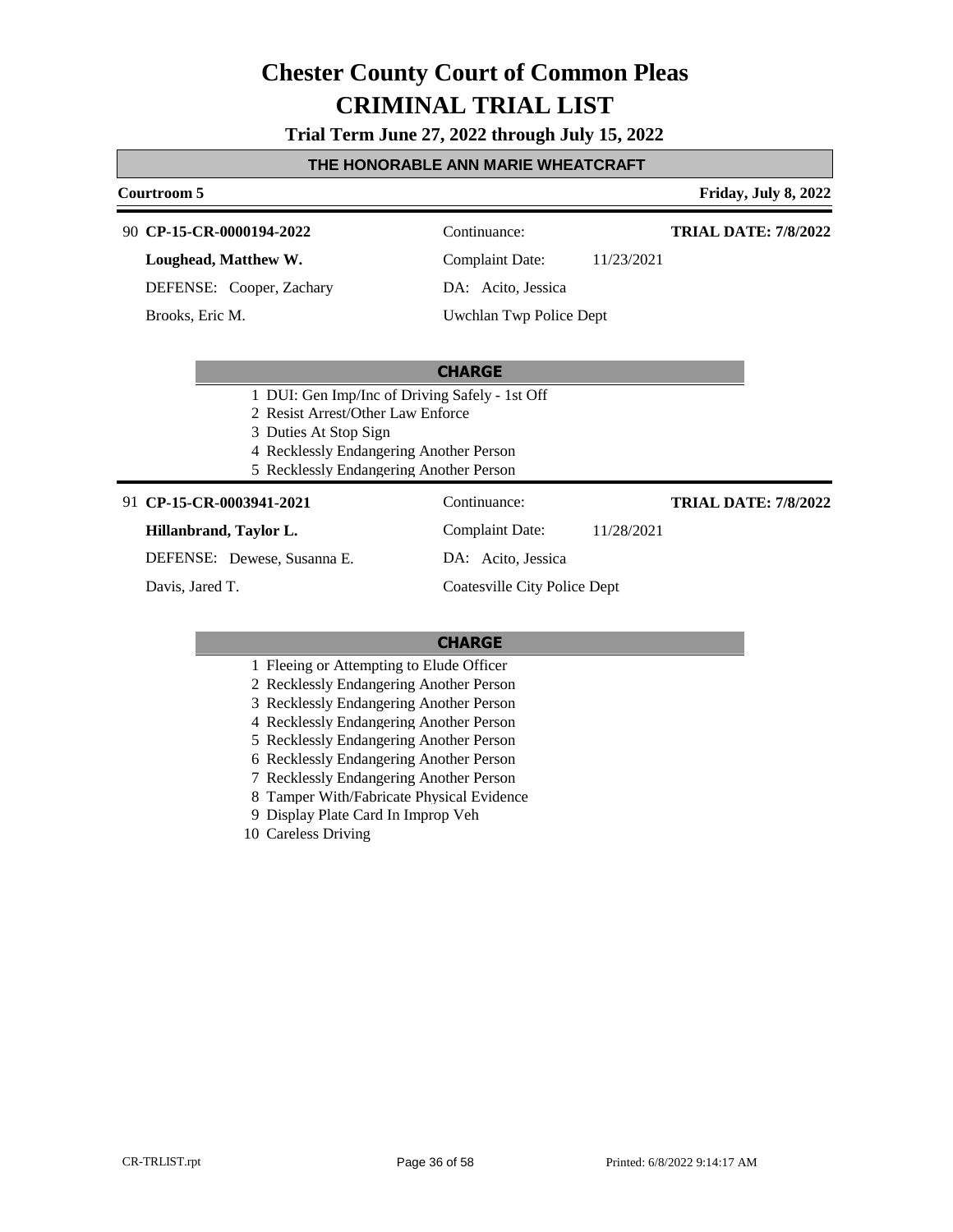**Trial Term June 27, 2022 through July 15, 2022**

#### **THE HONORABLE ANN MARIE WHEATCRAFT**

#### **Courtroom 5 Friday, July 8, 2022**

#### **CP-15-CR-0000194-2022** 90 Continuance:

**Loughead, Matthew W.**

DEFENSE: Cooper, Zachary

Brooks, Eric M.

Complaint Date: 11/23/2021

**TRIAL DATE: 7/8/2022**

DA: Acito, Jessica

Uwchlan Twp Police Dept

#### **CHARGE**

- 1 DUI: Gen Imp/Inc of Driving Safely 1st Off
- 2 Resist Arrest/Other Law Enforce
- 3 Duties At Stop Sign
- 4 Recklessly Endangering Another Person
- 5 Recklessly Endangering Another Person

#### **CP-15-CR-0003941-2021** 91 Continuance:

**Hillanbrand, Taylor L.**

DEFENSE: Dewese, Susanna E.

Davis, Jared T.

Complaint Date: 11/28/2021

DA: Acito, Jessica

**TRIAL DATE: 7/8/2022**

Coatesville City Police Dept

- 1 Fleeing or Attempting to Elude Officer
- 2 Recklessly Endangering Another Person
- 3 Recklessly Endangering Another Person
- 4 Recklessly Endangering Another Person
- 5 Recklessly Endangering Another Person
- 6 Recklessly Endangering Another Person
- 7 Recklessly Endangering Another Person
- 8 Tamper With/Fabricate Physical Evidence
- 9 Display Plate Card In Improp Veh
- 10 Careless Driving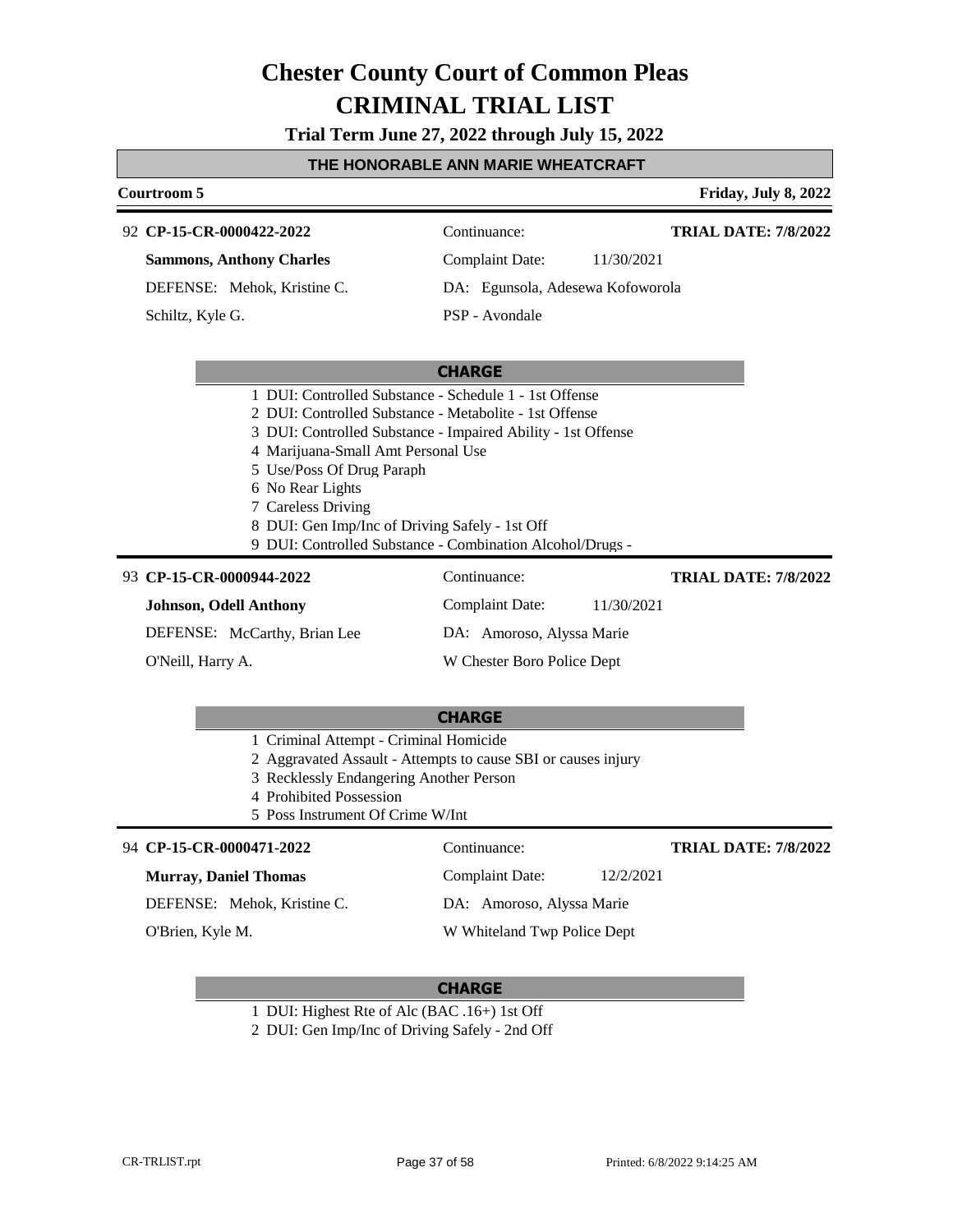**Trial Term June 27, 2022 through July 15, 2022**

#### **THE HONORABLE ANN MARIE WHEATCRAFT**

#### **Courtroom 5 Friday, July 8, 2022**

#### **CP-15-CR-0000422-2022** 92 Continuance:

### **Sammons, Anthony Charles**

DEFENSE: Mehok, Kristine C.

Schiltz, Kyle G.

**TRIAL DATE: 7/8/2022**

Complaint Date: 11/30/2021 DA: Egunsola, Adesewa Kofoworola

PSP - Avondale

#### **CHARGE**

- 1 DUI: Controlled Substance Schedule 1 1st Offense
- 2 DUI: Controlled Substance Metabolite 1st Offense
- 3 DUI: Controlled Substance Impaired Ability 1st Offense
- 4 Marijuana-Small Amt Personal Use
- 5 Use/Poss Of Drug Paraph
- 6 No Rear Lights
- 7 Careless Driving
- 8 DUI: Gen Imp/Inc of Driving Safely 1st Off
- 9 DUI: Controlled Substance Combination Alcohol/Drugs -

#### **CP-15-CR-0000944-2022** 93 Continuance:

**Johnson, Odell Anthony**

DEFENSE: McCarthy, Brian Lee O'Neill, Harry A.

DA: Amoroso, Alyssa Marie W Chester Boro Police Dept

Complaint Date: 11/30/2021

### **CHARGE** 1 Criminal Attempt - Criminal Homicide

- 2 Aggravated Assault Attempts to cause SBI or causes injury
- 3 Recklessly Endangering Another Person
- 4 Prohibited Possession

#### 5 Poss Instrument Of Crime W/Int

#### **CP-15-CR-0000471-2022** 94 Continuance:

#### **Murray, Daniel Thomas**

DEFENSE: Mehok, Kristine C.

O'Brien, Kyle M.

### Complaint Date: 12/2/2021 DA: Amoroso, Alyssa Marie

#### W Whiteland Twp Police Dept

#### **CHARGE**

- 1 DUI: Highest Rte of Alc (BAC .16+) 1st Off
- 2 DUI: Gen Imp/Inc of Driving Safely 2nd Off

**TRIAL DATE: 7/8/2022**

**TRIAL DATE: 7/8/2022**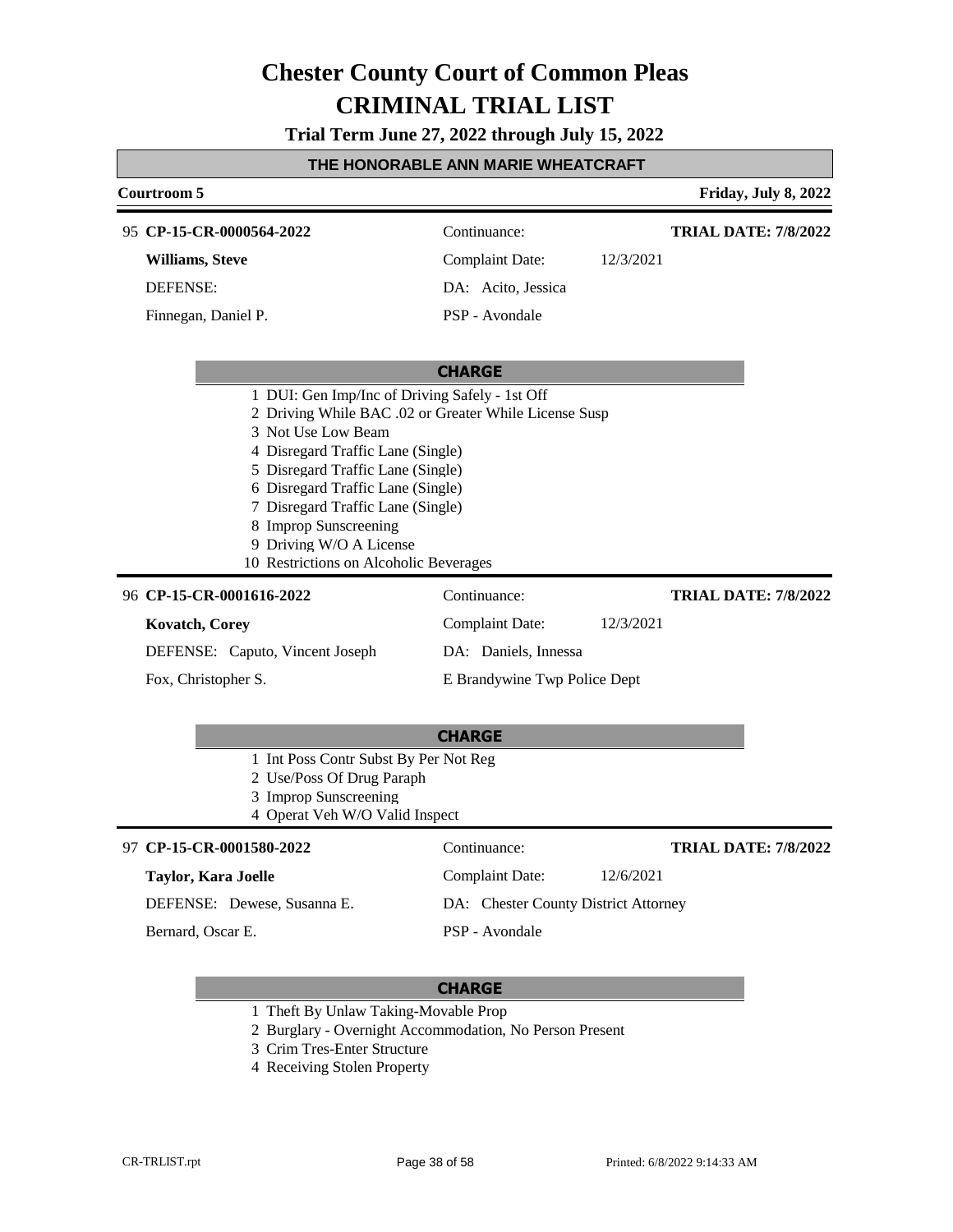**Trial Term June 27, 2022 through July 15, 2022**

| THE HONORABLE ANN MARIE WHEATCRAFT                                                                                                                                                                                                                                                                                                                                              |                              |           |                             |  |
|---------------------------------------------------------------------------------------------------------------------------------------------------------------------------------------------------------------------------------------------------------------------------------------------------------------------------------------------------------------------------------|------------------------------|-----------|-----------------------------|--|
| <b>Courtroom 5</b>                                                                                                                                                                                                                                                                                                                                                              |                              |           | Friday, July 8, 2022        |  |
| 95 CP-15-CR-0000564-2022                                                                                                                                                                                                                                                                                                                                                        | Continuance:                 |           | <b>TRIAL DATE: 7/8/2022</b> |  |
| Williams, Steve                                                                                                                                                                                                                                                                                                                                                                 | <b>Complaint Date:</b>       | 12/3/2021 |                             |  |
| <b>DEFENSE:</b>                                                                                                                                                                                                                                                                                                                                                                 | DA: Acito, Jessica           |           |                             |  |
| Finnegan, Daniel P.                                                                                                                                                                                                                                                                                                                                                             | PSP - Avondale               |           |                             |  |
|                                                                                                                                                                                                                                                                                                                                                                                 |                              |           |                             |  |
|                                                                                                                                                                                                                                                                                                                                                                                 | <b>CHARGE</b>                |           |                             |  |
| 1 DUI: Gen Imp/Inc of Driving Safely - 1st Off<br>2 Driving While BAC .02 or Greater While License Susp<br>3 Not Use Low Beam<br>4 Disregard Traffic Lane (Single)<br>5 Disregard Traffic Lane (Single)<br>6 Disregard Traffic Lane (Single)<br>7 Disregard Traffic Lane (Single)<br>8 Improp Sunscreening<br>9 Driving W/O A License<br>10 Restrictions on Alcoholic Beverages |                              |           |                             |  |
| 96 CP-15-CR-0001616-2022                                                                                                                                                                                                                                                                                                                                                        | Continuance:                 |           | <b>TRIAL DATE: 7/8/2022</b> |  |
| <b>Kovatch, Corey</b>                                                                                                                                                                                                                                                                                                                                                           | <b>Complaint Date:</b>       | 12/3/2021 |                             |  |
| DEFENSE: Caputo, Vincent Joseph                                                                                                                                                                                                                                                                                                                                                 | DA: Daniels, Innessa         |           |                             |  |
| Fox, Christopher S.                                                                                                                                                                                                                                                                                                                                                             | E Brandywine Twp Police Dept |           |                             |  |
|                                                                                                                                                                                                                                                                                                                                                                                 |                              |           |                             |  |

|  | ÷<br>×<br>--<br>w. |
|--|--------------------|
|  |                    |

- 1 Int Poss Contr Subst By Per Not Reg
- 2 Use/Poss Of Drug Paraph
- 3 Improp Sunscreening
- 4 Operat Veh W/O Valid Inspect

| 97 CP-15-CR-0001580-2022    | Continuance:                         | <b>TRIAL DATE: 7/8/2022</b> |
|-----------------------------|--------------------------------------|-----------------------------|
| Taylor, Kara Joelle         | Complaint Date:                      | 12/6/2021                   |
| DEFENSE: Dewese, Susanna E. | DA: Chester County District Attorney |                             |
| Bernard, Oscar E.           | PSP - Avondale                       |                             |

- 1 Theft By Unlaw Taking-Movable Prop
- 2 Burglary Overnight Accommodation, No Person Present
- 3 Crim Tres-Enter Structure
- 4 Receiving Stolen Property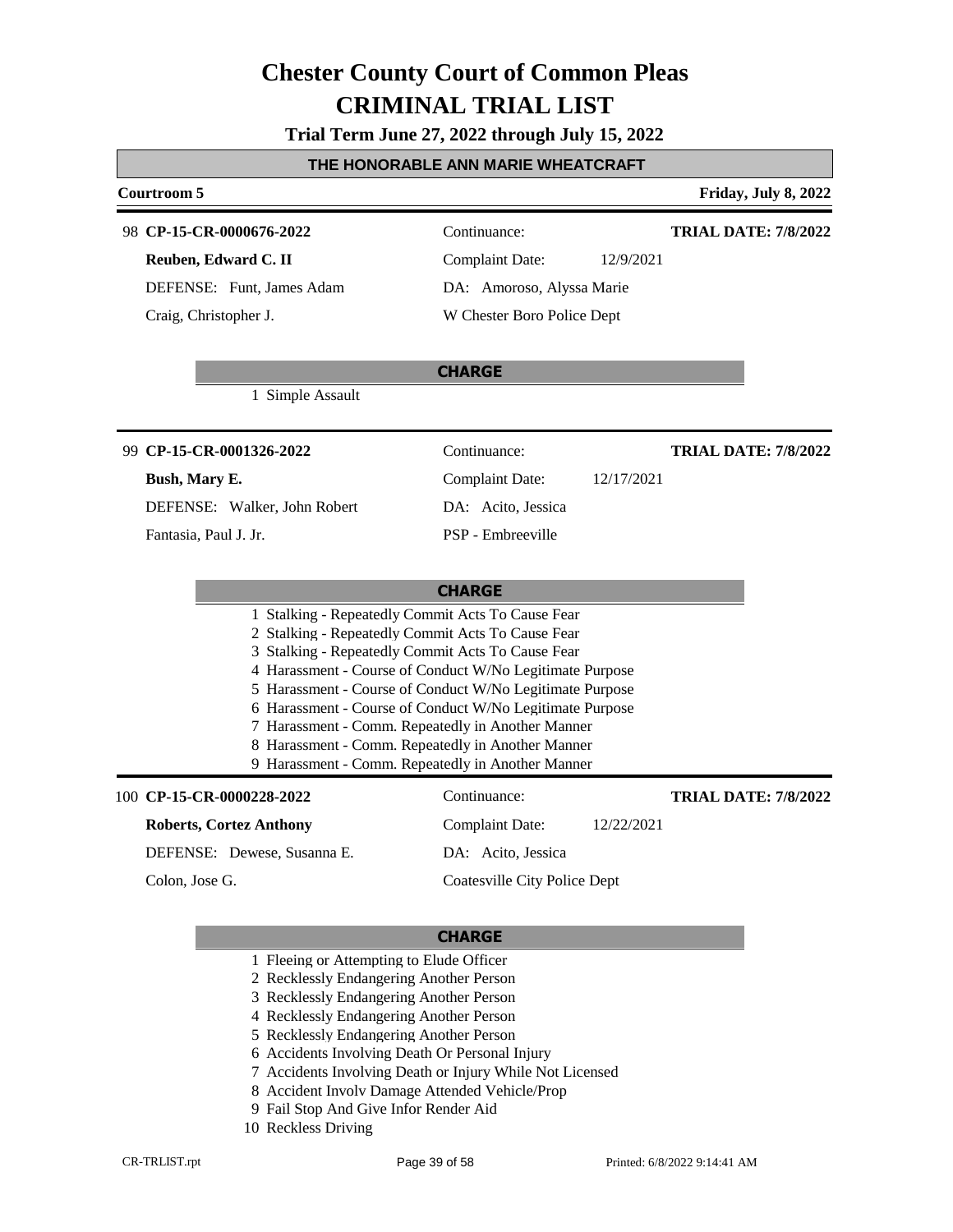**Trial Term June 27, 2022 through July 15, 2022**

#### **THE HONORABLE ANN MARIE WHEATCRAFT**

#### **Courtroom 5 Friday, July 8, 2022**

#### **CP-15-CR-0000676-2022** 98 Continuance:

**Reuben, Edward C. II** DEFENSE: Funt, James Adam Craig, Christopher J.

**TRIAL DATE: 7/8/2022**

### Complaint Date: 12/9/2021 DA: Amoroso, Alyssa Marie W Chester Boro Police Dept

### 1 Simple Assault

**CP-15-CR-0001326-2022** 99 Continuance:

#### **Bush, Mary E.**

DEFENSE: Walker, John Robert

Fantasia, Paul J. Jr.

Complaint Date: 12/17/2021 DA: Acito, Jessica PSP - Embreeville

### **TRIAL DATE: 7/8/2022**

### **CHARGE**

**CHARGE**

- 1 Stalking Repeatedly Commit Acts To Cause Fear
- 2 Stalking Repeatedly Commit Acts To Cause Fear
- 3 Stalking Repeatedly Commit Acts To Cause Fear
- 4 Harassment Course of Conduct W/No Legitimate Purpose
- 5 Harassment Course of Conduct W/No Legitimate Purpose
- 6 Harassment Course of Conduct W/No Legitimate Purpose
- 7 Harassment Comm. Repeatedly in Another Manner
- 8 Harassment Comm. Repeatedly in Another Manner
- 9 Harassment Comm. Repeatedly in Another Manner

#### 100 **CP-15-CR-0000228-2022** Continuance:

**Roberts, Cortez Anthony** DEFENSE: Dewese, Susanna E. Complaint Date: 12/22/2021 DA: Acito, Jessica Coatesville City Police Dept Colon, Jose G.

#### **CHARGE**

- 1 Fleeing or Attempting to Elude Officer
- 2 Recklessly Endangering Another Person
- 3 Recklessly Endangering Another Person
- 4 Recklessly Endangering Another Person
- 5 Recklessly Endangering Another Person
- 6 Accidents Involving Death Or Personal Injury
- 7 Accidents Involving Death or Injury While Not Licensed
- 8 Accident Involv Damage Attended Vehicle/Prop
- 9 Fail Stop And Give Infor Render Aid
- 10 Reckless Driving

**TRIAL DATE: 7/8/2022**

CR-TRLIST.rpt Page 39 of 58 Printed: 6/8/2022 9:14:41 AM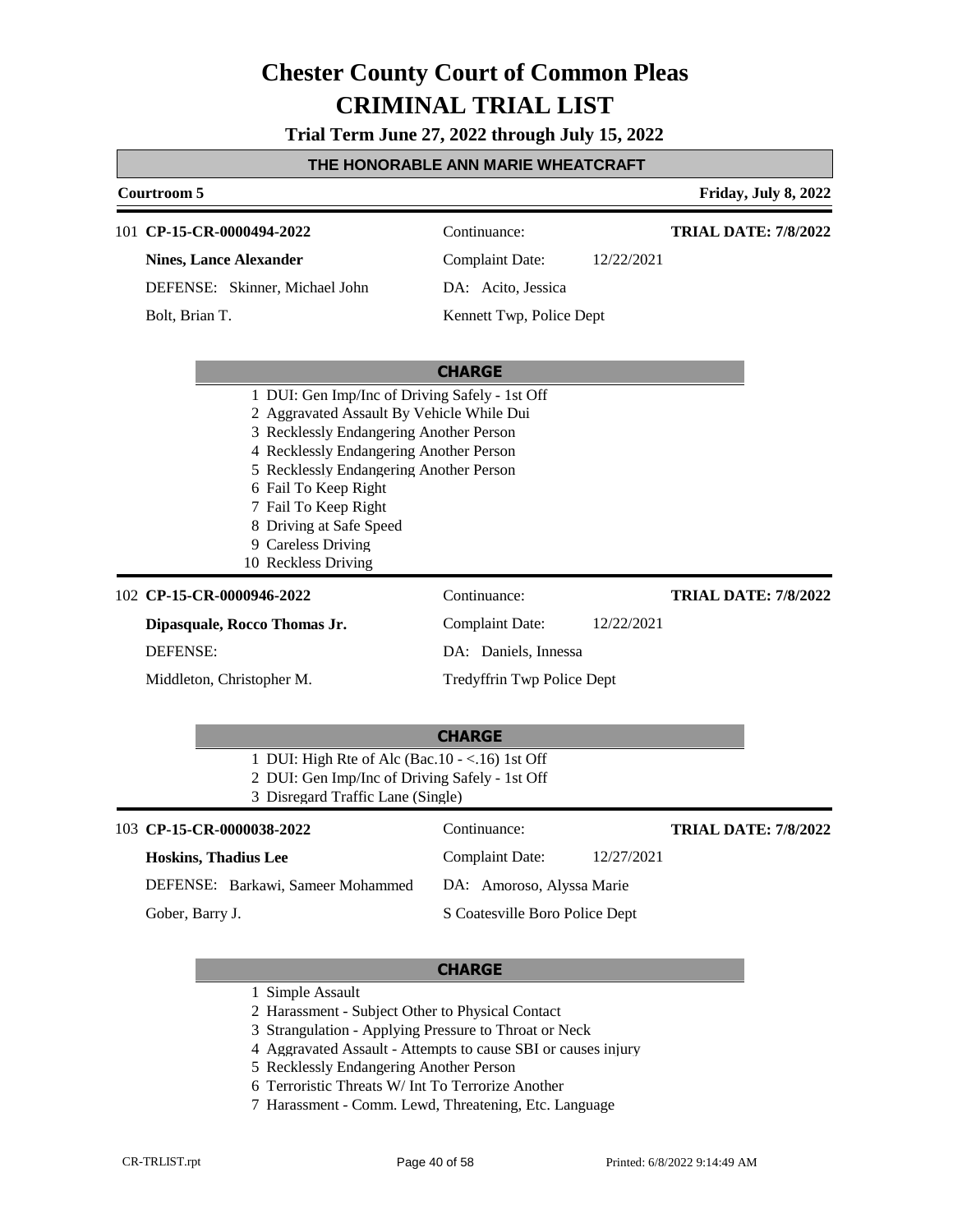**Trial Term June 27, 2022 through July 15, 2022**

| Courtroom 5                                                                                                                                                                                                                                                                                                                                          |                            |            | Friday, July 8, 2022        |
|------------------------------------------------------------------------------------------------------------------------------------------------------------------------------------------------------------------------------------------------------------------------------------------------------------------------------------------------------|----------------------------|------------|-----------------------------|
| 101 CP-15-CR-0000494-2022                                                                                                                                                                                                                                                                                                                            | Continuance:               |            | <b>TRIAL DATE: 7/8/2022</b> |
| <b>Nines, Lance Alexander</b>                                                                                                                                                                                                                                                                                                                        | <b>Complaint Date:</b>     | 12/22/2021 |                             |
| DEFENSE: Skinner, Michael John                                                                                                                                                                                                                                                                                                                       | DA: Acito, Jessica         |            |                             |
| Bolt, Brian T.                                                                                                                                                                                                                                                                                                                                       | Kennett Twp, Police Dept   |            |                             |
|                                                                                                                                                                                                                                                                                                                                                      | <b>CHARGE</b>              |            |                             |
| 1 DUI: Gen Imp/Inc of Driving Safely - 1st Off<br>2 Aggravated Assault By Vehicle While Dui<br>3 Recklessly Endangering Another Person<br>4 Recklessly Endangering Another Person<br>5 Recklessly Endangering Another Person<br>6 Fail To Keep Right<br>7 Fail To Keep Right<br>8 Driving at Safe Speed<br>9 Careless Driving<br>10 Reckless Driving |                            |            |                             |
| 102 CP-15-CR-0000946-2022                                                                                                                                                                                                                                                                                                                            | Continuance:               |            | <b>TRIAL DATE: 7/8/2022</b> |
| Dipasquale, Rocco Thomas Jr.                                                                                                                                                                                                                                                                                                                         | <b>Complaint Date:</b>     | 12/22/2021 |                             |
| <b>DEFENSE:</b>                                                                                                                                                                                                                                                                                                                                      | DA: Daniels, Innessa       |            |                             |
| Middleton, Christopher M.                                                                                                                                                                                                                                                                                                                            | Tredyffrin Twp Police Dept |            |                             |
|                                                                                                                                                                                                                                                                                                                                                      | <b>CHARGE</b>              |            |                             |

- 1 DUI: High Rte of Alc (Bac.10 <.16) 1st Off
- 2 DUI: Gen Imp/Inc of Driving Safely 1st Off
- 3 Disregard Traffic Lane (Single)

### **CP-15-CR-0000038-2022** 103 Continuance: **Hoskins, Thadius Lee**

**TRIAL DATE: 7/8/2022**

DEFENSE: Barkawi, Sameer Mohammed

Gober, Barry J.

S Coatesville Boro Police Dept

DA: Amoroso, Alyssa Marie

Complaint Date: 12/27/2021

- 1 Simple Assault
- 2 Harassment Subject Other to Physical Contact
- 3 Strangulation Applying Pressure to Throat or Neck
- 4 Aggravated Assault Attempts to cause SBI or causes injury
- 5 Recklessly Endangering Another Person
- 6 Terroristic Threats W/ Int To Terrorize Another
- 7 Harassment Comm. Lewd, Threatening, Etc. Language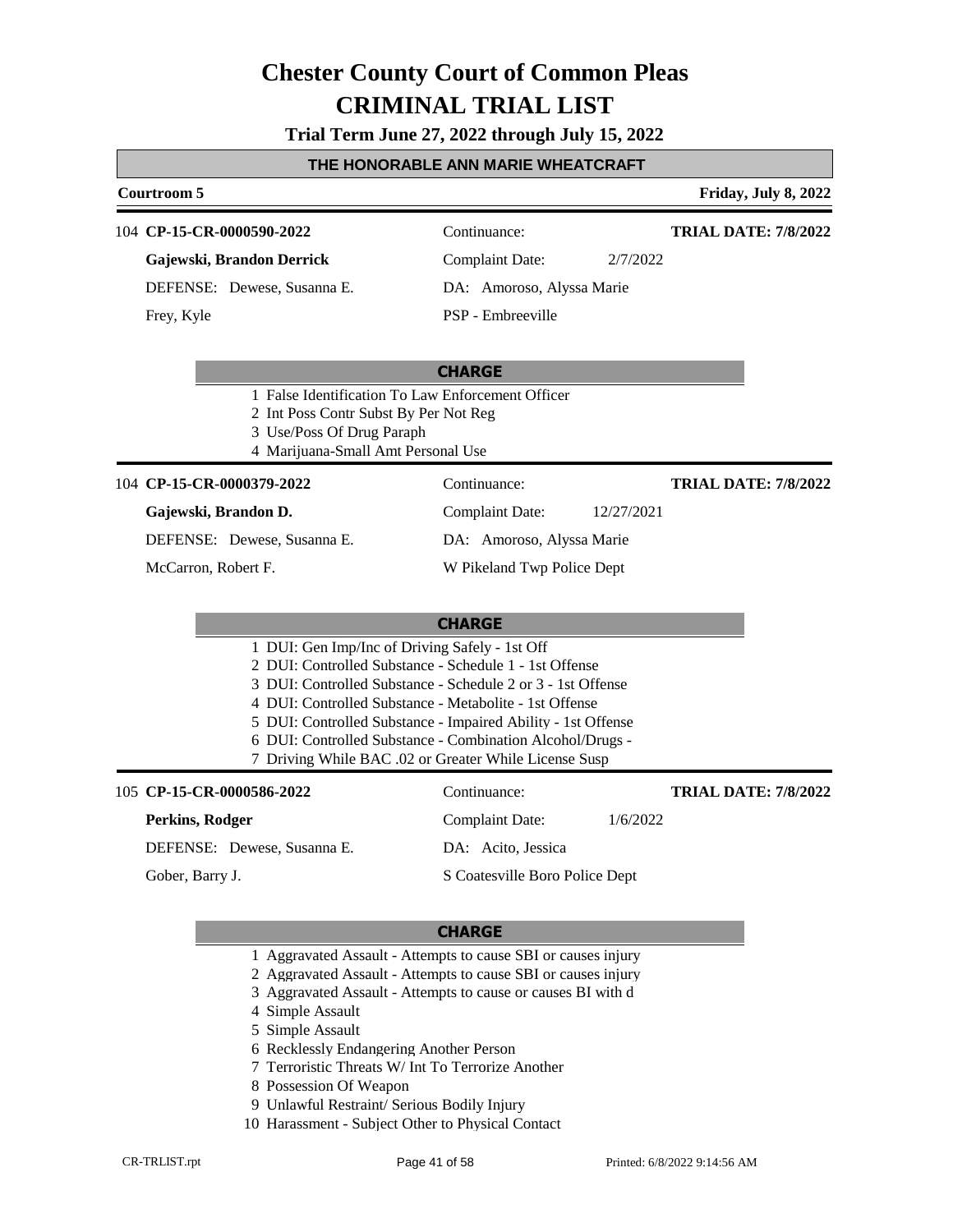**Trial Term June 27, 2022 through July 15, 2022**

#### **THE HONORABLE ANN MARIE WHEATCRAFT**

### **Courtroom 5 Friday, July 8, 2022 CHARGE** 104 **CP-15-CR-0000590-2022** Continuance: **Gajewski, Brandon Derrick** DEFENSE: Dewese, Susanna E. Complaint Date: 2/7/2022 DA: Amoroso, Alyssa Marie PSP - Embreeville **TRIAL DATE: 7/8/2022** Frey, Kyle 1 False Identification To Law Enforcement Officer 2 Int Poss Contr Subst By Per Not Reg 3 Use/Poss Of Drug Paraph

4 Marijuana-Small Amt Personal Use

#### 104 **CP-15-CR-0000379-2022** Continuance:

#### **Gajewski, Brandon D.**

DEFENSE: Dewese, Susanna E.

McCarron, Robert F.

DA: Amoroso, Alyssa Marie W Pikeland Twp Police Dept

Complaint Date: 12/27/2021

**TRIAL DATE: 7/8/2022**

#### **CHARGE**

| 1 DUI: Gen Imp/Inc of Driving Safely - 1st Off               |  |
|--------------------------------------------------------------|--|
| 2 DUI: Controlled Substance - Schedule 1 - 1st Offense       |  |
| 3 DUI: Controlled Substance - Schedule 2 or 3 - 1st Offense  |  |
| 4 DUI: Controlled Substance - Metabolite - 1st Offense       |  |
| 5 DUI: Controlled Substance - Impaired Ability - 1st Offense |  |
|                                                              |  |

- 6 DUI: Controlled Substance Combination Alcohol/Drugs -
- 7 Driving While BAC .02 or Greater While License Susp

| 105 CP-15-CR-0000586-2022   | Continuance:                   |          | <b>TRIAL DATE: 7/8/2022</b> |
|-----------------------------|--------------------------------|----------|-----------------------------|
| Perkins, Rodger             | Complaint Date:                | 1/6/2022 |                             |
| DEFENSE: Dewese, Susanna E. | DA: Acito, Jessica             |          |                             |
| Gober, Barry J.             | S Coatesville Boro Police Dept |          |                             |

- 1 Aggravated Assault Attempts to cause SBI or causes injury
- 2 Aggravated Assault Attempts to cause SBI or causes injury
- 3 Aggravated Assault Attempts to cause or causes BI with d
- 4 Simple Assault
- 5 Simple Assault
- 6 Recklessly Endangering Another Person
- 7 Terroristic Threats W/ Int To Terrorize Another
- 8 Possession Of Weapon
- 9 Unlawful Restraint/ Serious Bodily Injury
- 10 Harassment Subject Other to Physical Contact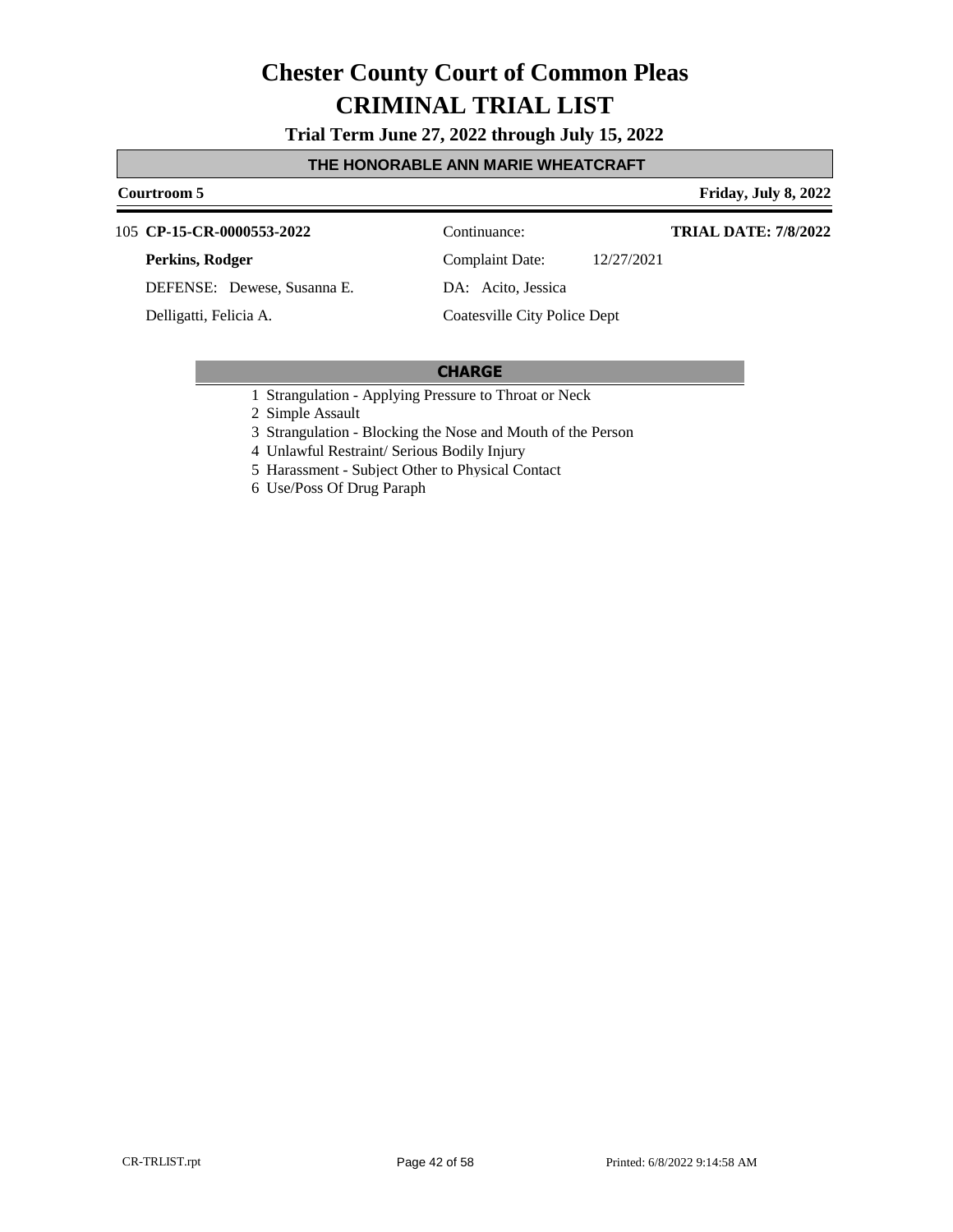**Trial Term June 27, 2022 through July 15, 2022**

#### **THE HONORABLE ANN MARIE WHEATCRAFT**

#### **Courtroom 5 Friday, July 8, 2022**

**CP-15-CR-0000553-2022** 105 Continuance:

#### **Perkins, Rodger**

DEFENSE: Dewese, Susanna E.

Delligatti, Felicia A.

Complaint Date: 12/27/2021

**TRIAL DATE: 7/8/2022**

DA: Acito, Jessica

### Coatesville City Police Dept

- 1 Strangulation Applying Pressure to Throat or Neck
- 2 Simple Assault
- 3 Strangulation Blocking the Nose and Mouth of the Person
- 4 Unlawful Restraint/ Serious Bodily Injury
- 5 Harassment Subject Other to Physical Contact
- 6 Use/Poss Of Drug Paraph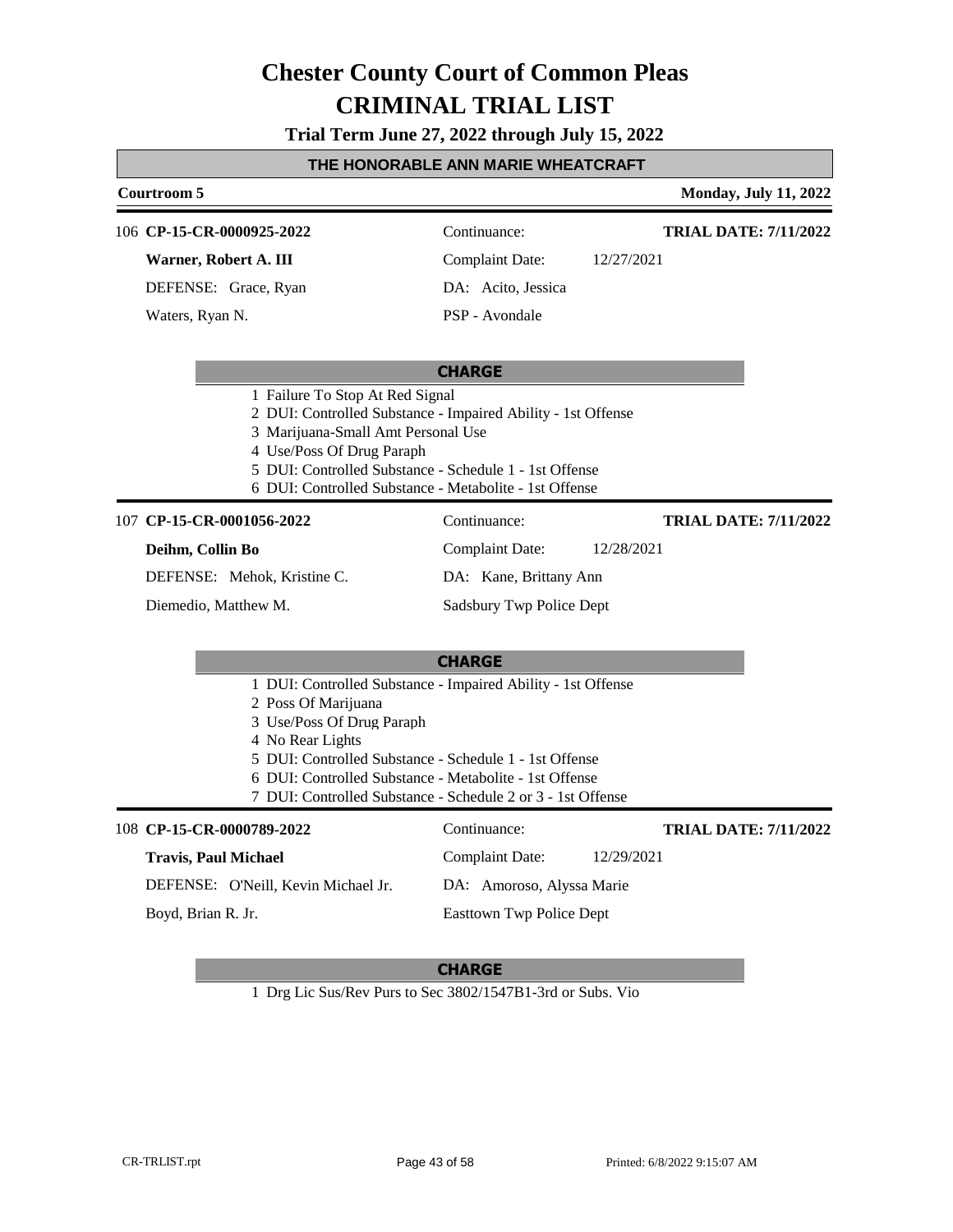**Trial Term June 27, 2022 through July 15, 2022**

#### **THE HONORABLE ANN MARIE WHEATCRAFT**

### **Courtroom 5 Monday, July 11, 2022 CHARGE** 106 **CP-15-CR-0000925-2022** Continuance: **Warner, Robert A. III** DEFENSE: Grace, Ryan Complaint Date: 12/27/2021 DA: Acito, Jessica PSP - Avondale **TRIAL DATE: 7/11/2022** Waters, Ryan N. 1 Failure To Stop At Red Signal 2 DUI: Controlled Substance - Impaired Ability - 1st Offense 3 Marijuana-Small Amt Personal Use 4 Use/Poss Of Drug Paraph 5 DUI: Controlled Substance - Schedule 1 - 1st Offense 6 DUI: Controlled Substance - Metabolite - 1st Offense **CHARGE CP-15-CR-0001056-2022** 107 Continuance: **Deihm, Collin Bo** DEFENSE: Mehok, Kristine C. Complaint Date: 12/28/2021 DA: Kane, Brittany Ann Sadsbury Twp Police Dept **TRIAL DATE: 7/11/2022** Diemedio, Matthew M. 1 DUI: Controlled Substance - Impaired Ability - 1st Offense 2 Poss Of Marijuana 3 Use/Poss Of Drug Paraph 4 No Rear Lights 5 DUI: Controlled Substance - Schedule 1 - 1st Offense 6 DUI: Controlled Substance - Metabolite - 1st Offense 7 DUI: Controlled Substance - Schedule 2 or 3 - 1st Offense **CP-15-CR-0000789-2022** 108 Continuance: **Travis, Paul Michael** DEFENSE: O'Neill, Kevin Michael Jr. Complaint Date: 12/29/2021 DA: Amoroso, Alyssa Marie Easttown Twp Police Dept **TRIAL DATE: 7/11/2022** Boyd, Brian R. Jr.

#### **CHARGE**

1 Drg Lic Sus/Rev Purs to Sec 3802/1547B1-3rd or Subs. Vio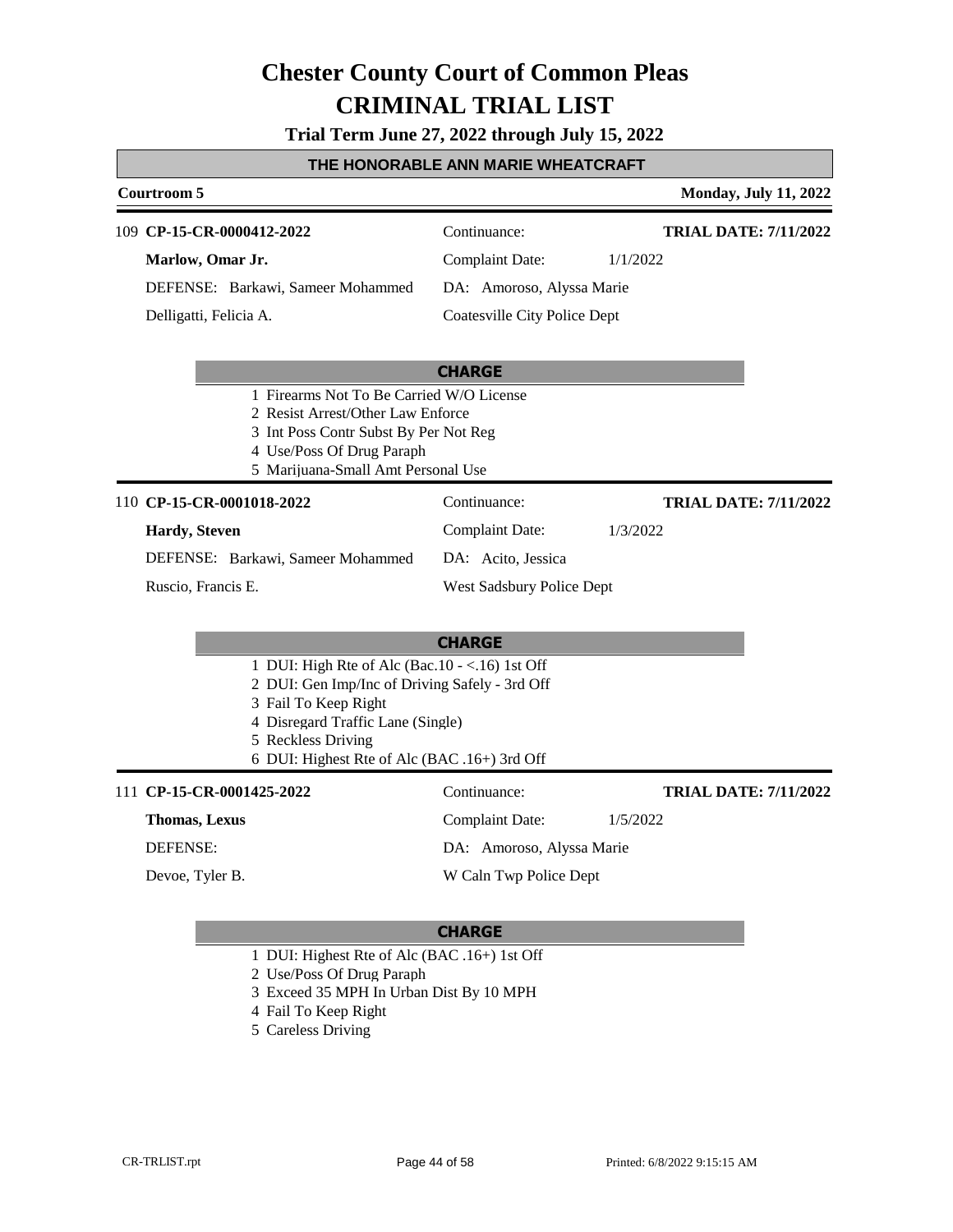**Trial Term June 27, 2022 through July 15, 2022**

| THE HONORABLE ANN MARIE WHEATCRAFT                                       |                                                                                                                                                                                                                                        |                                                                                                            |                                          |
|--------------------------------------------------------------------------|----------------------------------------------------------------------------------------------------------------------------------------------------------------------------------------------------------------------------------------|------------------------------------------------------------------------------------------------------------|------------------------------------------|
| Courtroom 5                                                              |                                                                                                                                                                                                                                        |                                                                                                            | <b>Monday, July 11, 2022</b>             |
| 109 CP-15-CR-0000412-2022<br>Marlow, Omar Jr.<br>Delligatti, Felicia A.  | DEFENSE: Barkawi, Sameer Mohammed                                                                                                                                                                                                      | Continuance:<br><b>Complaint Date:</b><br>DA: Amoroso, Alyssa Marie<br><b>Coatesville City Police Dept</b> | <b>TRIAL DATE: 7/11/2022</b><br>1/1/2022 |
|                                                                          | 1 Firearms Not To Be Carried W/O License<br>2 Resist Arrest/Other Law Enforce<br>3 Int Poss Contr Subst By Per Not Reg<br>4 Use/Poss Of Drug Paraph<br>5 Marijuana-Small Amt Personal Use                                              | <b>CHARGE</b>                                                                                              |                                          |
| 110 CP-15-CR-0001018-2022<br><b>Hardy</b> , Steven<br>Ruscio, Francis E. | DEFENSE: Barkawi, Sameer Mohammed                                                                                                                                                                                                      | Continuance:<br><b>Complaint Date:</b><br>DA: Acito, Jessica<br>West Sadsbury Police Dept                  | <b>TRIAL DATE: 7/11/2022</b><br>1/3/2022 |
|                                                                          | 1 DUI: High Rte of Alc (Bac. $10 - <16$ ) 1st Off<br>2 DUI: Gen Imp/Inc of Driving Safely - 3rd Off<br>3 Fail To Keep Right<br>4 Disregard Traffic Lane (Single)<br>5 Reckless Driving<br>6 DUI: Highest Rte of Alc (BAC .16+) 3rd Off | <b>CHARGE</b>                                                                                              |                                          |
| 111 CP-15-CR-0001425-2022<br><b>Thomas, Lexus</b><br><b>DEFENSE:</b>     |                                                                                                                                                                                                                                        | Continuance:<br><b>Complaint Date:</b><br>DA: Amoroso, Alyssa Marie                                        | <b>TRIAL DATE: 7/11/2022</b><br>1/5/2022 |

### **CHARGE**

W Caln Twp Police Dept

- 1 DUI: Highest Rte of Alc (BAC .16+) 1st Off
- 2 Use/Poss Of Drug Paraph
- 3 Exceed 35 MPH In Urban Dist By 10 MPH
- 4 Fail To Keep Right
- 5 Careless Driving

Devoe, Tyler B.

Г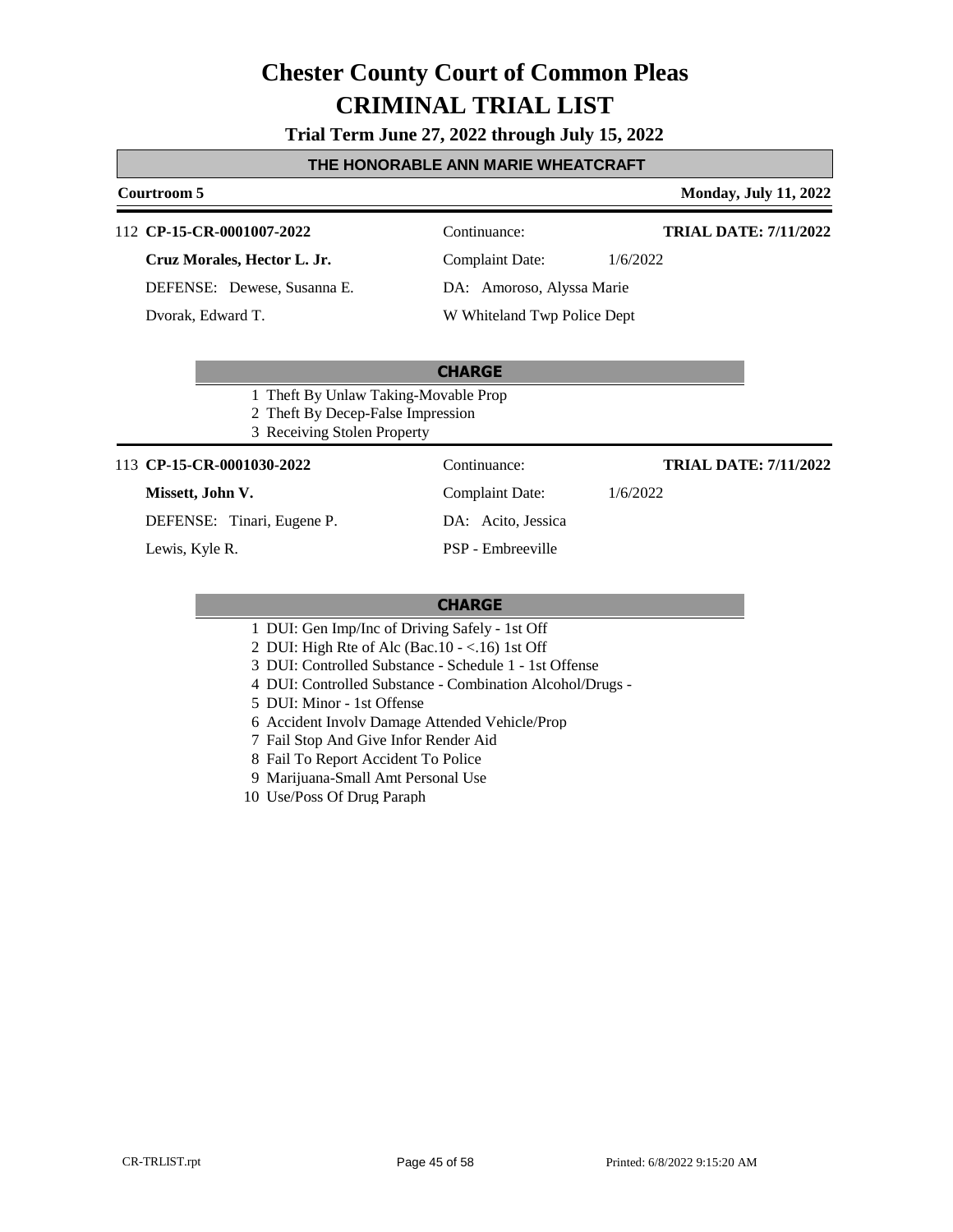**Trial Term June 27, 2022 through July 15, 2022**

#### **THE HONORABLE ANN MARIE WHEATCRAFT**

#### **Courtroom 5 Monday, July 11, 2022**

#### 112 **CP-15-CR-0001007-2022** Continuance:

**Cruz Morales, Hector L. Jr.**

DEFENSE: Dewese, Susanna E.

Dvorak, Edward T.

Complaint Date: 1/6/2022

DA: Amoroso, Alyssa Marie

W Whiteland Twp Police Dept

#### **CHARGE**

- 1 Theft By Unlaw Taking-Movable Prop
- 2 Theft By Decep-False Impression
- 3 Receiving Stolen Property

#### 113 **CP-15-CR-0001030-2022** Continuance:

#### **Missett, John V.**

DEFENSE: Tinari, Eugene P.

Lewis, Kyle R.

DA: Acito, Jessica PSP - Embreeville

#### **TRIAL DATE: 7/11/2022**

**TRIAL DATE: 7/11/2022**

Complaint Date: 1/6/2022

- 1 DUI: Gen Imp/Inc of Driving Safely 1st Off
- 2 DUI: High Rte of Alc (Bac.10 <.16) 1st Off
- 3 DUI: Controlled Substance Schedule 1 1st Offense
- 4 DUI: Controlled Substance Combination Alcohol/Drugs -
- 5 DUI: Minor 1st Offense
- 6 Accident Involv Damage Attended Vehicle/Prop
- 7 Fail Stop And Give Infor Render Aid
- 8 Fail To Report Accident To Police
- 9 Marijuana-Small Amt Personal Use
- 10 Use/Poss Of Drug Paraph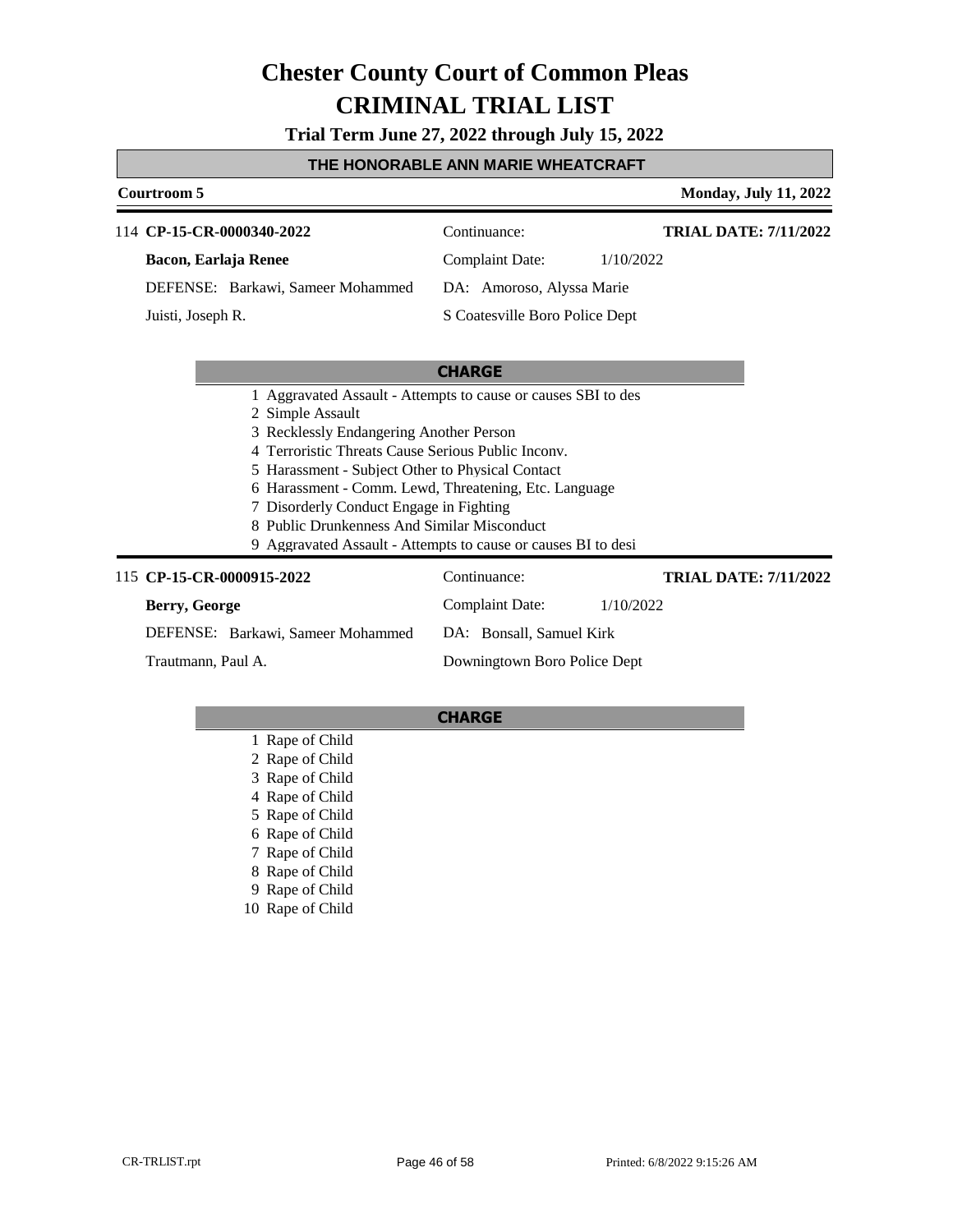**Trial Term June 27, 2022 through July 15, 2022**

#### **THE HONORABLE ANN MARIE WHEATCRAFT**

**Courtroom 5 Monday, July 11, 2022** 

| 114 CP-15-CR-0000340-2022         | Continuance:                   | <b>TRIAL DATE: 7/11/2022</b> |
|-----------------------------------|--------------------------------|------------------------------|
| Bacon, Earlaja Renee              | <b>Complaint Date:</b>         | 1/10/2022                    |
| DEFENSE: Barkawi, Sameer Mohammed | DA: Amoroso, Alyssa Marie      |                              |
| Juisti, Joseph R.                 | S Coatesville Boro Police Dept |                              |

#### **CHARGE**

- 1 Aggravated Assault Attempts to cause or causes SBI to des
- 2 Simple Assault
- 3 Recklessly Endangering Another Person
- 4 Terroristic Threats Cause Serious Public Inconv.
- 5 Harassment Subject Other to Physical Contact
- 6 Harassment Comm. Lewd, Threatening, Etc. Language
- 7 Disorderly Conduct Engage in Fighting
- 8 Public Drunkenness And Similar Misconduct
- 9 Aggravated Assault Attempts to cause or causes BI to desi

#### 115 **CP-15-CR-0000915-2022** Continuance: **Berry, George** DEFENSE: Barkawi, Sameer Mohammed Complaint Date: 1/10/2022 DA: Bonsall, Samuel Kirk Downingtown Boro Police Dept **TRIAL DATE: 7/11/2022** Trautmann, Paul A.

- 1 Rape of Child 2 Rape of Child 3 Rape of Child 4 Rape of Child 5 Rape of Child 6 Rape of Child 7 Rape of Child 8 Rape of Child 9 Rape of Child
- 10 Rape of Child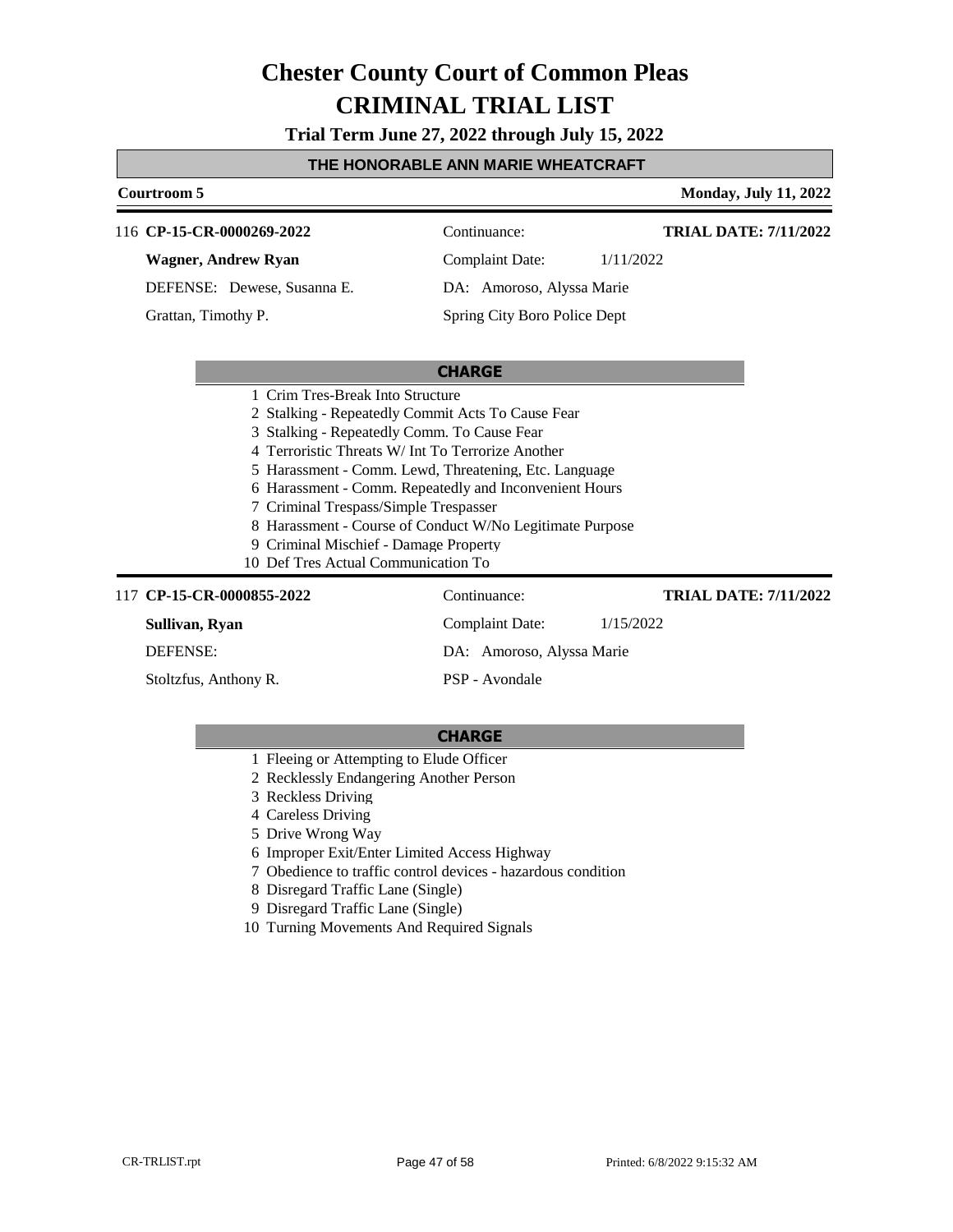**Trial Term June 27, 2022 through July 15, 2022**

#### **THE HONORABLE ANN MARIE WHEATCRAFT**

| Courtroom 5                                           |                                                          | <b>Monday, July 11, 2022</b> |
|-------------------------------------------------------|----------------------------------------------------------|------------------------------|
| 116 CP-15-CR-0000269-2022                             | Continuance:                                             | <b>TRIAL DATE: 7/11/2022</b> |
| Wagner, Andrew Ryan                                   | <b>Complaint Date:</b>                                   | 1/11/2022                    |
| DEFENSE: Dewese, Susanna E.                           | DA: Amoroso, Alyssa Marie                                |                              |
| Grattan, Timothy P.                                   | Spring City Boro Police Dept                             |                              |
|                                                       |                                                          |                              |
| 1 Crim Tres-Break Into Structure                      | <b>CHARGE</b>                                            |                              |
| 2 Stalking - Repeatedly Commit Acts To Cause Fear     |                                                          |                              |
| 3 Stalking - Repeatedly Comm. To Cause Fear           |                                                          |                              |
| 4 Terroristic Threats W/ Int To Terrorize Another     |                                                          |                              |
| 5 Harassment - Comm. Lewd, Threatening, Etc. Language |                                                          |                              |
|                                                       | 6 Harassment - Comm. Repeatedly and Inconvenient Hours   |                              |
| 7 Criminal Trespass/Simple Trespasser                 |                                                          |                              |
|                                                       | 8 Harassment - Course of Conduct W/No Legitimate Purpose |                              |
| 9 Criminal Mischief - Damage Property                 |                                                          |                              |
| 10 Def Tres Actual Communication To                   |                                                          |                              |
| 117 CP-15-CR-0000855-2022                             | Continuance:                                             | <b>TRIAL DATE: 7/11/2022</b> |
| Sullivan, Ryan                                        | Complaint Date:                                          | 1/15/2022                    |
| <b>DEFENSE:</b>                                       | DA: Amoroso, Alyssa Marie                                |                              |
| Stoltzfus, Anthony R.                                 | PSP - Avondale                                           |                              |

- 1 Fleeing or Attempting to Elude Officer
- 2 Recklessly Endangering Another Person
- 3 Reckless Driving
- 4 Careless Driving
- 5 Drive Wrong Way
- 6 Improper Exit/Enter Limited Access Highway
- 7 Obedience to traffic control devices hazardous condition
- 8 Disregard Traffic Lane (Single)
- 9 Disregard Traffic Lane (Single)
- 10 Turning Movements And Required Signals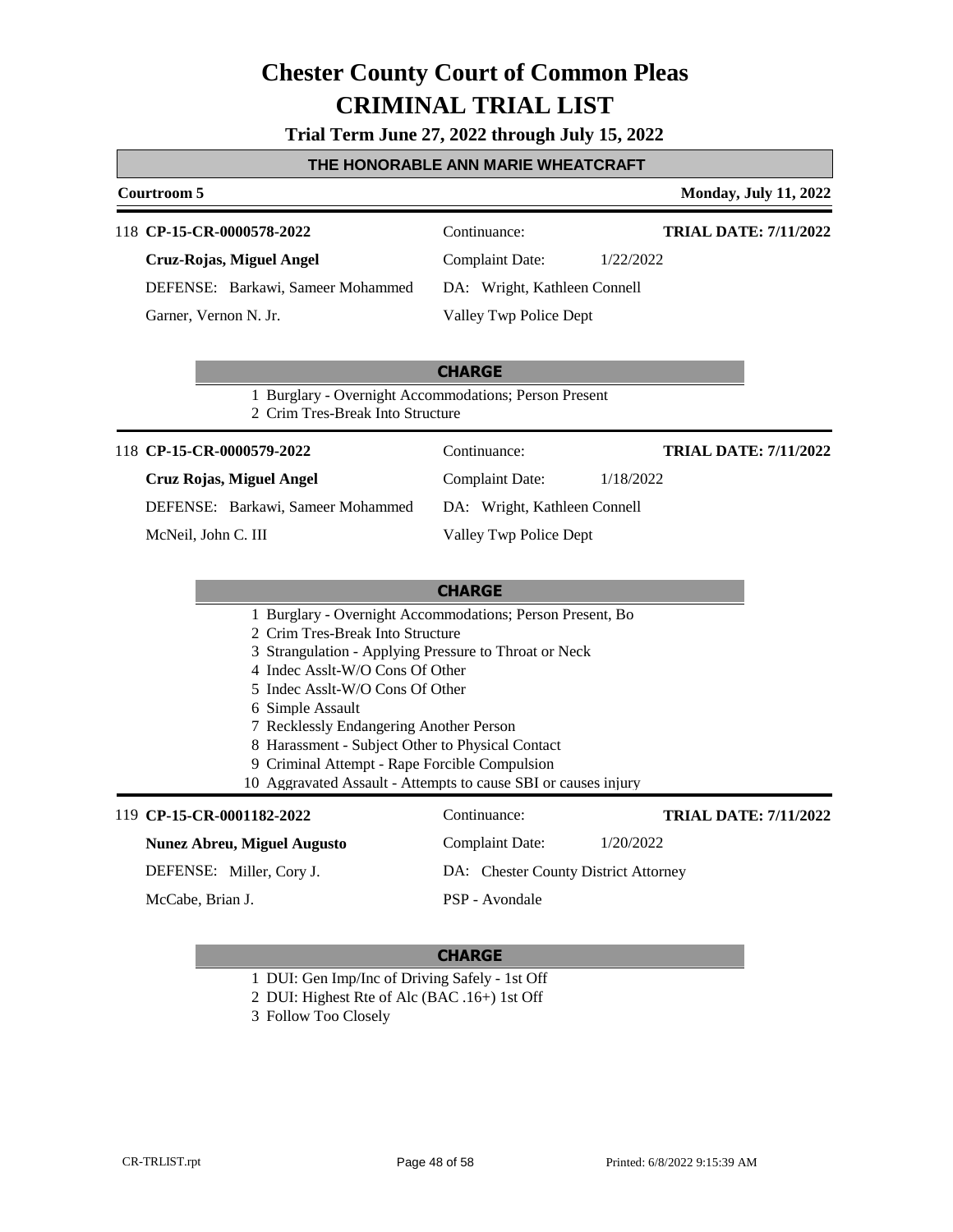**Trial Term June 27, 2022 through July 15, 2022**

#### **THE HONORABLE ANN MARIE WHEATCRAFT**

#### **Courtroom 5 Monday, July 11, 2022**

#### 118 **CP-15-CR-0000578-2022** Continuance:

**Cruz-Rojas, Miguel Angel**

DEFENSE: Barkawi, Sameer Mohammed Garner, Vernon N. Jr.

**TRIAL DATE: 7/11/2022**

Complaint Date: 1/22/2022 DA: Wright, Kathleen Connell

Valley Twp Police Dept

#### **CHARGE**

1 Burglary - Overnight Accommodations; Person Present

2 Crim Tres-Break Into Structure

#### 118 **CP-15-CR-0000579-2022** Continuance:

#### **Cruz Rojas, Miguel Angel**

DEFENSE: Barkawi, Sameer Mohammed

McNeil, John C. III

Complaint Date: 1/18/2022 DA: Wright, Kathleen Connell

**TRIAL DATE: 7/11/2022**

Valley Twp Police Dept

#### **CHARGE**

- 1 Burglary Overnight Accommodations; Person Present, Bo
- 2 Crim Tres-Break Into Structure
- 3 Strangulation Applying Pressure to Throat or Neck
- 4 Indec Asslt-W/O Cons Of Other
- 5 Indec Asslt-W/O Cons Of Other
- 6 Simple Assault
- 7 Recklessly Endangering Another Person
- 8 Harassment Subject Other to Physical Contact
- 9 Criminal Attempt Rape Forcible Compulsion
- 10 Aggravated Assault Attempts to cause SBI or causes injury

#### 119 **CP-15-CR-0001182-2022** Continuance:

#### **Nunez Abreu, Miguel Augusto**

DEFENSE: Miller, Cory J.

McCabe, Brian J.

#### **CHARGE**

PSP - Avondale

- 1 DUI: Gen Imp/Inc of Driving Safely 1st Off
- 2 DUI: Highest Rte of Alc (BAC .16+) 1st Off
- 3 Follow Too Closely

**TRIAL DATE: 7/11/2022**

Complaint Date: 1/20/2022 DA: Chester County District Attorney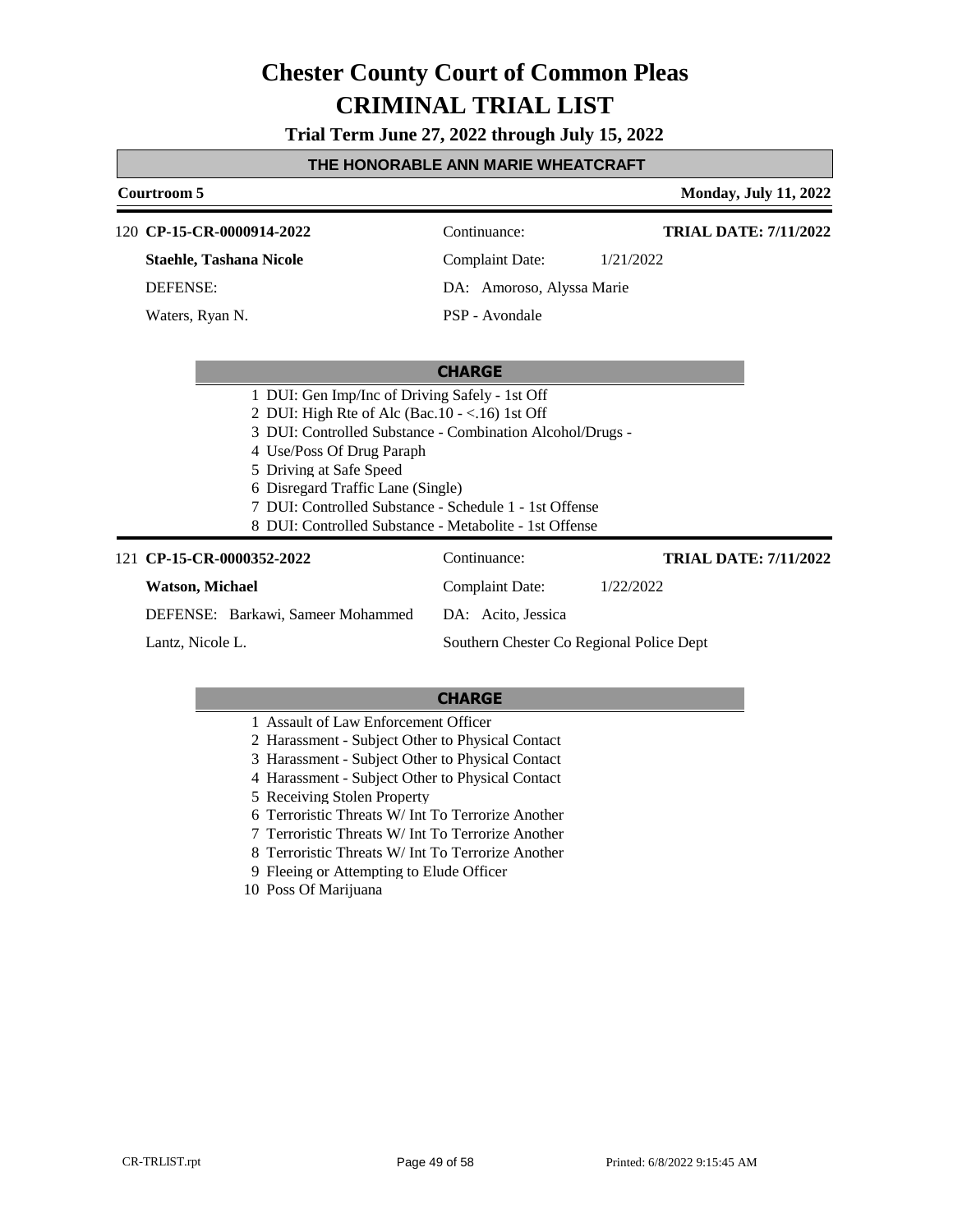**Trial Term June 27, 2022 through July 15, 2022**

#### **THE HONORABLE ANN MARIE WHEATCRAFT**

### **Courtroom 5 Monday, July 11, 2022 CHARGE CP-15-CR-0000914-2022** 120 Continuance: **Staehle, Tashana Nicole** DEFENSE: Complaint Date: 1/21/2022 DA: Amoroso, Alyssa Marie PSP - Avondale **TRIAL DATE: 7/11/2022** Waters, Ryan N. 1 DUI: Gen Imp/Inc of Driving Safely - 1st Off 2 DUI: High Rte of Alc (Bac.10 - <.16) 1st Off 3 DUI: Controlled Substance - Combination Alcohol/Drugs - 4 Use/Poss Of Drug Paraph 5 Driving at Safe Speed 6 Disregard Traffic Lane (Single) 7 DUI: Controlled Substance - Schedule 1 - 1st Offense 8 DUI: Controlled Substance - Metabolite - 1st Offense 121 **CP-15-CR-0000352-2022** Continuance: **Watson, Michael** DEFENSE: Barkawi, Sameer Mohammed Complaint Date: 1/22/2022 DA: Acito, Jessica **TRIAL DATE: 7/11/2022**

Lantz, Nicole L.

Southern Chester Co Regional Police Dept

- 1 Assault of Law Enforcement Officer
- 2 Harassment Subject Other to Physical Contact
- 3 Harassment Subject Other to Physical Contact
- 4 Harassment Subject Other to Physical Contact
- 5 Receiving Stolen Property
- 6 Terroristic Threats W/ Int To Terrorize Another
- 7 Terroristic Threats W/ Int To Terrorize Another
- 8 Terroristic Threats W/ Int To Terrorize Another
- 9 Fleeing or Attempting to Elude Officer
- 10 Poss Of Marijuana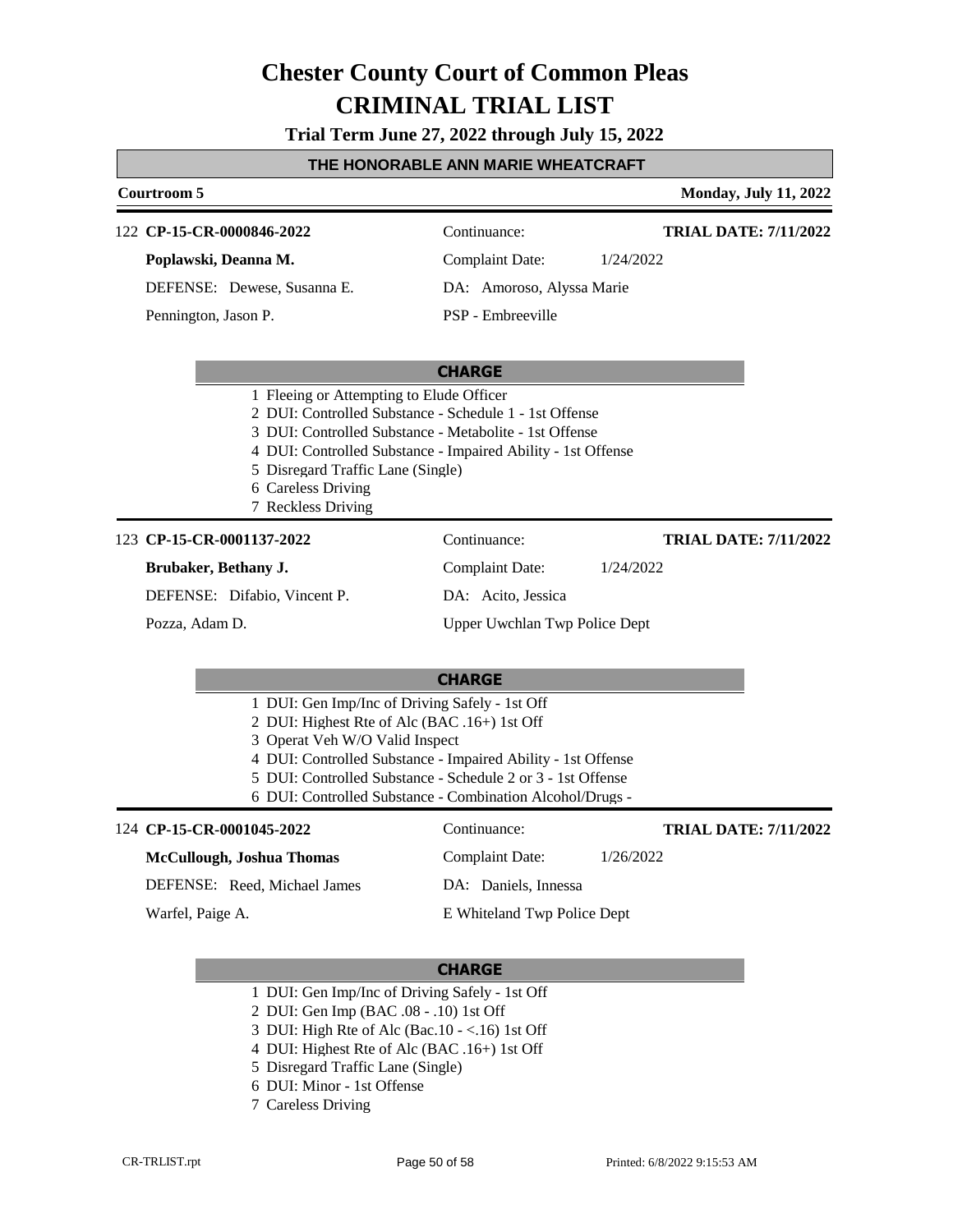**Trial Term June 27, 2022 through July 15, 2022**

#### **THE HONORABLE ANN MARIE WHEATCRAFT**

| Courtroom 5                                                                                                                                                                                                                                   |                                                                                                                                                                                          | <b>Monday, July 11, 2022</b> |
|-----------------------------------------------------------------------------------------------------------------------------------------------------------------------------------------------------------------------------------------------|------------------------------------------------------------------------------------------------------------------------------------------------------------------------------------------|------------------------------|
| 122 CP-15-CR-0000846-2022                                                                                                                                                                                                                     | Continuance:                                                                                                                                                                             | <b>TRIAL DATE: 7/11/2022</b> |
| Poplawski, Deanna M.                                                                                                                                                                                                                          | <b>Complaint Date:</b>                                                                                                                                                                   | 1/24/2022                    |
| DEFENSE: Dewese, Susanna E.                                                                                                                                                                                                                   | DA: Amoroso, Alyssa Marie                                                                                                                                                                |                              |
| Pennington, Jason P.                                                                                                                                                                                                                          | PSP - Embreeville                                                                                                                                                                        |                              |
|                                                                                                                                                                                                                                               | <b>CHARGE</b>                                                                                                                                                                            |                              |
| 1 Fleeing or Attempting to Elude Officer<br>2 DUI: Controlled Substance - Schedule 1 - 1st Offense<br>3 DUI: Controlled Substance - Metabolite - 1st Offense<br>5 Disregard Traffic Lane (Single)<br>6 Careless Driving<br>7 Reckless Driving | 4 DUI: Controlled Substance - Impaired Ability - 1st Offense                                                                                                                             |                              |
| 123 CP-15-CR-0001137-2022                                                                                                                                                                                                                     | Continuance:                                                                                                                                                                             | <b>TRIAL DATE: 7/11/2022</b> |
| Brubaker, Bethany J.                                                                                                                                                                                                                          | <b>Complaint Date:</b>                                                                                                                                                                   | 1/24/2022                    |
| DEFENSE: Difabio, Vincent P.                                                                                                                                                                                                                  | DA: Acito, Jessica                                                                                                                                                                       |                              |
| Pozza, Adam D.                                                                                                                                                                                                                                | Upper Uwchlan Twp Police Dept                                                                                                                                                            |                              |
|                                                                                                                                                                                                                                               | <b>CHARGE</b>                                                                                                                                                                            |                              |
| 1 DUI: Gen Imp/Inc of Driving Safely - 1st Off<br>2 DUI: Highest Rte of Alc (BAC .16+) 1st Off<br>3 Operat Veh W/O Valid Inspect                                                                                                              | 4 DUI: Controlled Substance - Impaired Ability - 1st Offense<br>5 DUI: Controlled Substance - Schedule 2 or 3 - 1st Offense<br>6 DUI: Controlled Substance - Combination Alcohol/Drugs - |                              |
| 124 CP-15-CR-0001045-2022                                                                                                                                                                                                                     | Continuance:                                                                                                                                                                             | <b>TRIAL DATE: 7/11/2022</b> |
| McCullough, Joshua Thomas                                                                                                                                                                                                                     | <b>Complaint Date:</b>                                                                                                                                                                   | 1/26/2022                    |
| DEFENSE: Reed, Michael James                                                                                                                                                                                                                  | DA: Daniels, Innessa                                                                                                                                                                     |                              |
| Warfel, Paige A.                                                                                                                                                                                                                              | E Whiteland Twp Police Dept                                                                                                                                                              |                              |

- 1 DUI: Gen Imp/Inc of Driving Safely 1st Off
- 2 DUI: Gen Imp (BAC .08 .10) 1st Off
- 3 DUI: High Rte of Alc (Bac.10 <.16) 1st Off
- 4 DUI: Highest Rte of Alc (BAC .16+) 1st Off
- 5 Disregard Traffic Lane (Single)
- 6 DUI: Minor 1st Offense
- 7 Careless Driving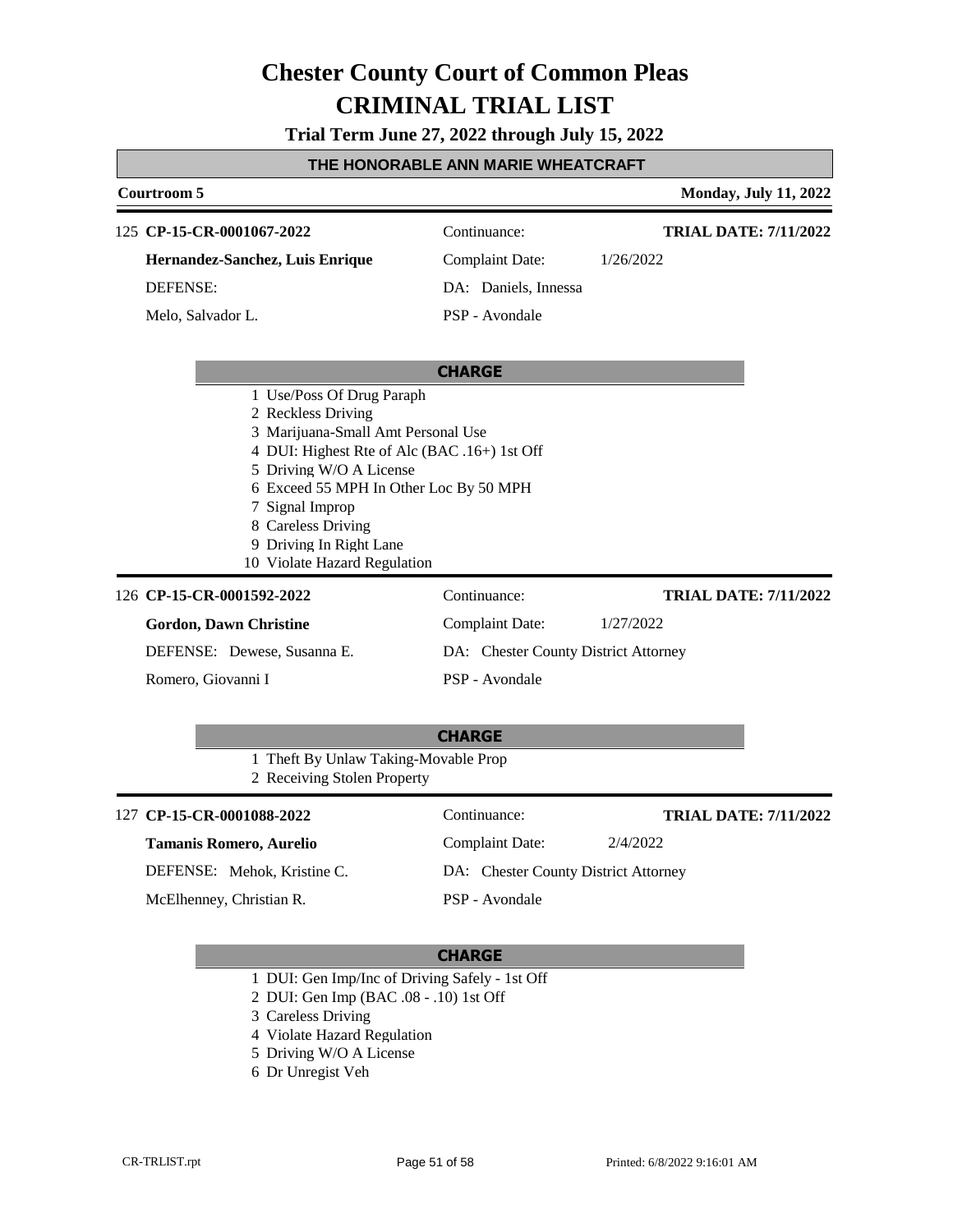**Trial Term June 27, 2022 through July 15, 2022**

#### **THE HONORABLE ANN MARIE WHEATCRAFT**

### **Courtroom 5 Monday, July 11, 2022 CHARGE CP-15-CR-0001067-2022** 125 Continuance: **Hernandez-Sanchez, Luis Enrique** DEFENSE: Complaint Date: 1/26/2022 DA: Daniels, Innessa PSP - Avondale **TRIAL DATE: 7/11/2022** Melo, Salvador L. 1 Use/Poss Of Drug Paraph 2 Reckless Driving 3 Marijuana-Small Amt Personal Use 4 DUI: Highest Rte of Alc (BAC .16+) 1st Off 5 Driving W/O A License 6 Exceed 55 MPH In Other Loc By 50 MPH 7 Signal Improp 8 Careless Driving 9 Driving In Right Lane 10 Violate Hazard Regulation **CHARGE CP-15-CR-0001592-2022** 126 Continuance: **Gordon, Dawn Christine** DEFENSE: Dewese, Susanna E. Complaint Date: 1/27/2022 DA: Chester County District Attorney PSP - Avondale **TRIAL DATE: 7/11/2022** Romero, Giovanni I 1 Theft By Unlaw Taking-Movable Prop 2 Receiving Stolen Property 127 **CP-15-CR-0001088-2022** Continuance: **Tamanis Romero, Aurelio** Complaint Date: 2/4/2022 **TRIAL DATE: 7/11/2022**

DEFENSE: Mehok, Kristine C.

McElhenney, Christian R.

DA: Chester County District Attorney PSP - Avondale

- 1 DUI: Gen Imp/Inc of Driving Safely 1st Off
- 2 DUI: Gen Imp (BAC .08 .10) 1st Off
- 3 Careless Driving
- 4 Violate Hazard Regulation
- 5 Driving W/O A License
- 6 Dr Unregist Veh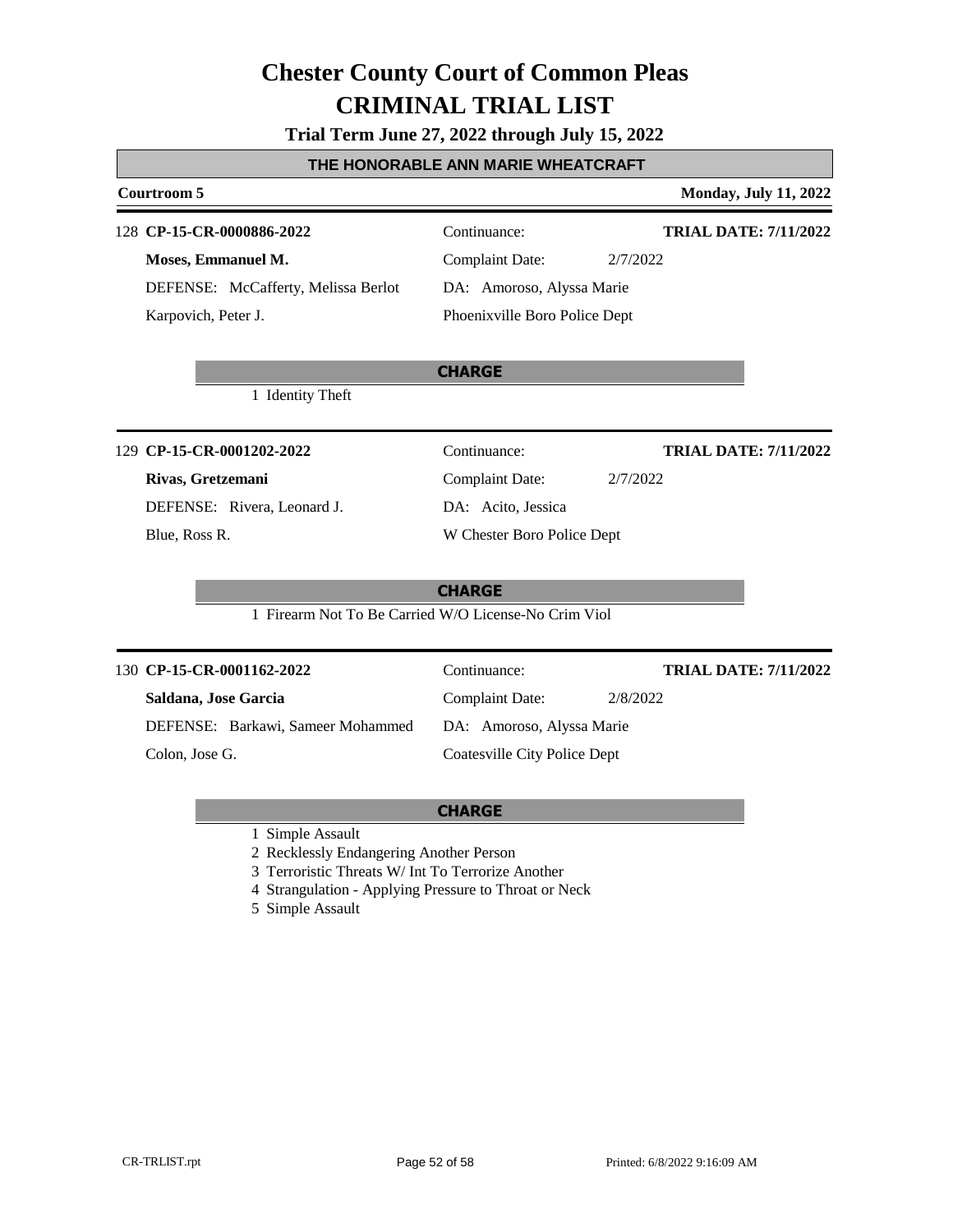**Trial Term June 27, 2022 through July 15, 2022**

#### **THE HONORABLE ANN MARIE WHEATCRAFT**

### **Courtroom 5 Monday, July 11, 2022 CHARGE CP-15-CR-0000886-2022** 128 Continuance: **Moses, Emmanuel M.** DEFENSE: McCafferty, Melissa Berlot Complaint Date: 2/7/2022 DA: Amoroso, Alyssa Marie Phoenixville Boro Police Dept **TRIAL DATE: 7/11/2022** Karpovich, Peter J. 1 Identity Theft **CHARGE CP-15-CR-0001202-2022** 129 Continuance: **Rivas, Gretzemani** DEFENSE: Rivera, Leonard J. Complaint Date: 2/7/2022 DA: Acito, Jessica W Chester Boro Police Dept **TRIAL DATE: 7/11/2022** Blue, Ross R. 1 Firearm Not To Be Carried W/O License-No Crim Viol **CHARGE CP-15-CR-0001162-2022** 130 Continuance: **Saldana, Jose Garcia** DEFENSE: Barkawi, Sameer Mohammed Complaint Date: 2/8/2022 DA: Amoroso, Alyssa Marie Coatesville City Police Dept **TRIAL DATE: 7/11/2022** Colon, Jose G.

1 Simple Assault

2 Recklessly Endangering Another Person

3 Terroristic Threats W/ Int To Terrorize Another

4 Strangulation - Applying Pressure to Throat or Neck

5 Simple Assault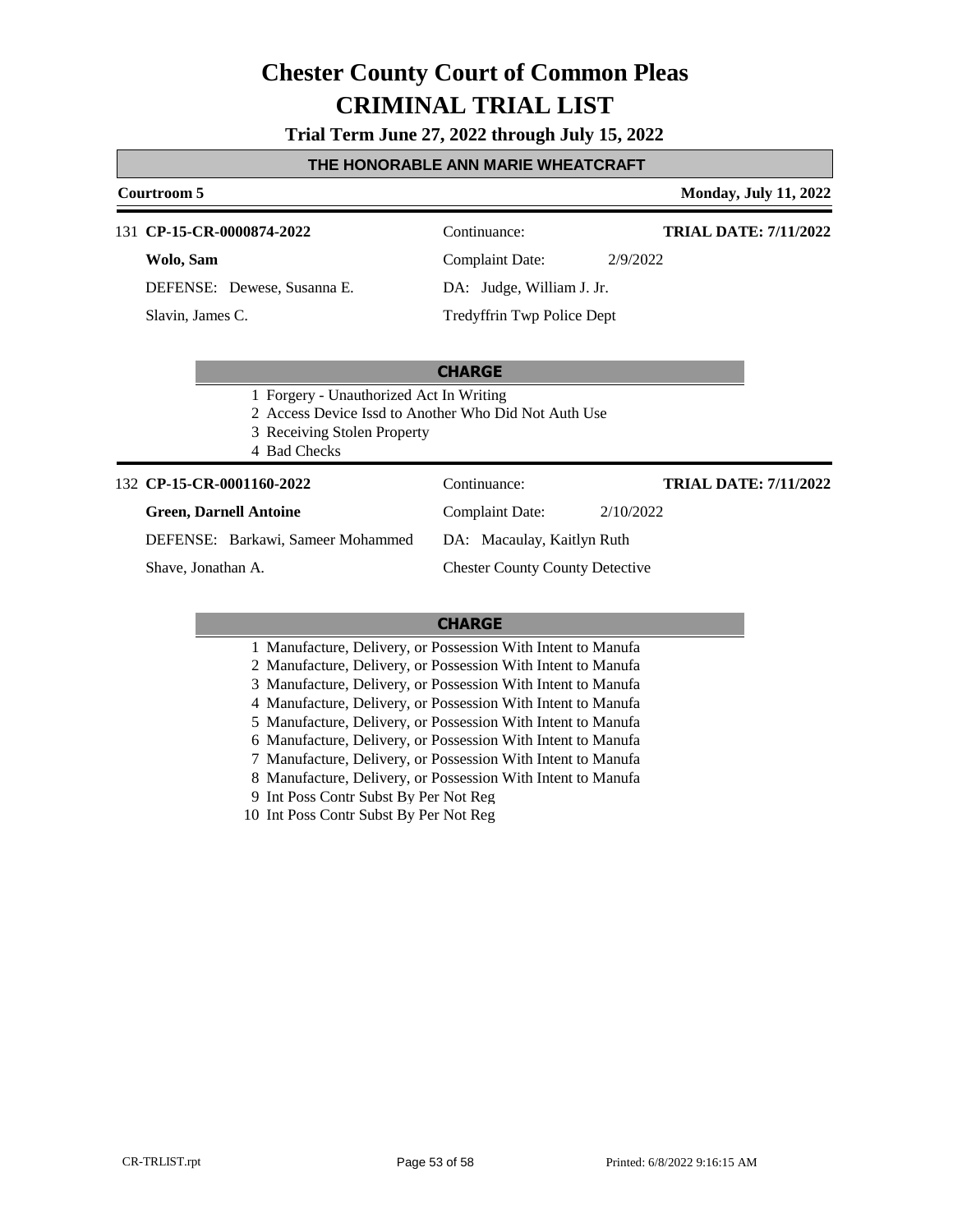**Trial Term June 27, 2022 through July 15, 2022**

#### **THE HONORABLE ANN MARIE WHEATCRAFT**

#### **Courtroom 5 Monday, July 11, 2022**

**TRIAL DATE: 7/11/2022**

**TRIAL DATE: 7/11/2022**

131 **CP-15-CR-0000874-2022** Continuance:

**Wolo, Sam** DEFENSE: Dewese, Susanna E.

Slavin, James C.

Complaint Date: 2/9/2022 DA: Judge, William J. Jr.

Tredyffrin Twp Police Dept

### **CHARGE**

- 1 Forgery Unauthorized Act In Writing
- 2 Access Device Issd to Another Who Did Not Auth Use
- 3 Receiving Stolen Property
- 4 Bad Checks

#### **CP-15-CR-0001160-2022** 132 Continuance:

#### **Green, Darnell Antoine**

Complaint Date: 2/10/2022

DEFENSE: Barkawi, Sameer Mohammed

Shave, Jonathan A.

Chester County County Detective

DA: Macaulay, Kaitlyn Ruth

#### **CHARGE**

| 1 Manufacture, Delivery, or Possession With Intent to Manufa |
|--------------------------------------------------------------|
| 2 Manufacture, Delivery, or Possession With Intent to Manufa |
| 3 Manufacture, Delivery, or Possession With Intent to Manufa |
| 4 Manufacture, Delivery, or Possession With Intent to Manufa |
| 5 Manufacture, Delivery, or Possession With Intent to Manufa |
| 6 Manufacture, Delivery, or Possession With Intent to Manufa |
| 7 Manufacture, Delivery, or Possession With Intent to Manufa |
| 8 Manufacture, Delivery, or Possession With Intent to Manufa |
| 9 Int Poss Contr Subst By Per Not Reg                        |

10 Int Poss Contr Subst By Per Not Reg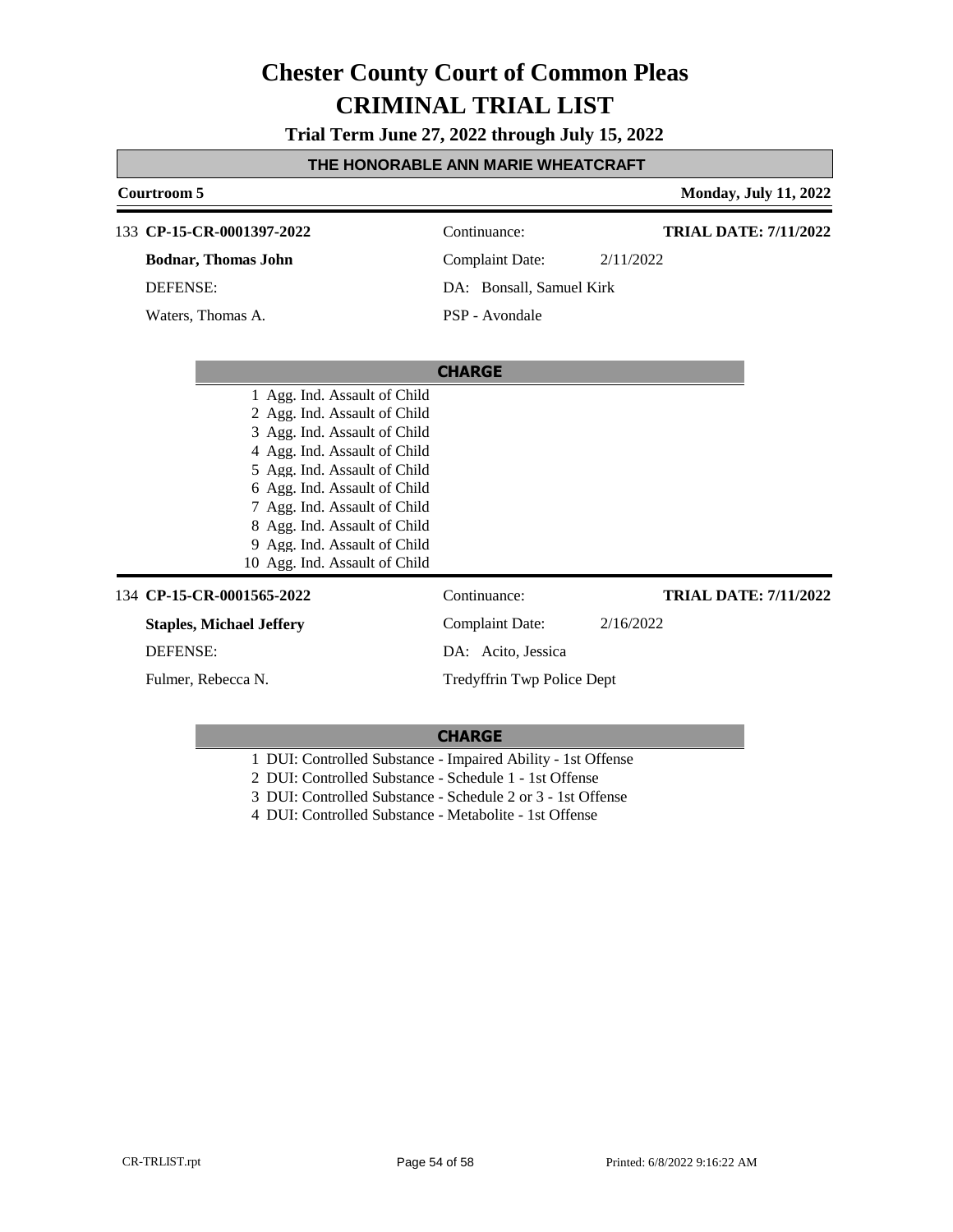**Trial Term June 27, 2022 through July 15, 2022**

### **THE HONORABLE ANN MARIE WHEATCRAFT**

| Courtroom 5                     |                            | <b>Monday, July 11, 2022</b> |
|---------------------------------|----------------------------|------------------------------|
| 133 CP-15-CR-0001397-2022       | Continuance:               | <b>TRIAL DATE: 7/11/2022</b> |
| <b>Bodnar, Thomas John</b>      | <b>Complaint Date:</b>     | 2/11/2022                    |
| <b>DEFENSE:</b>                 | DA: Bonsall, Samuel Kirk   |                              |
| Waters, Thomas A.               | PSP - Avondale             |                              |
|                                 | <b>CHARGE</b>              |                              |
| 1 Agg. Ind. Assault of Child    |                            |                              |
| 2 Agg. Ind. Assault of Child    |                            |                              |
| 3 Agg. Ind. Assault of Child    |                            |                              |
| 4 Agg. Ind. Assault of Child    |                            |                              |
| 5 Agg. Ind. Assault of Child    |                            |                              |
| 6 Agg. Ind. Assault of Child    |                            |                              |
| 7 Agg. Ind. Assault of Child    |                            |                              |
| 8 Agg. Ind. Assault of Child    |                            |                              |
| 9 Agg. Ind. Assault of Child    |                            |                              |
| 10 Agg. Ind. Assault of Child   |                            |                              |
| 134 CP-15-CR-0001565-2022       | Continuance:               | <b>TRIAL DATE: 7/11/2022</b> |
| <b>Staples, Michael Jeffery</b> | Complaint Date:            | 2/16/2022                    |
| <b>DEFENSE:</b>                 | DA: Acito, Jessica         |                              |
| Fulmer, Rebecca N.              | Tredyffrin Twp Police Dept |                              |
|                                 |                            |                              |

- 1 DUI: Controlled Substance Impaired Ability 1st Offense
- 2 DUI: Controlled Substance Schedule 1 1st Offense
- 3 DUI: Controlled Substance Schedule 2 or 3 1st Offense
- 4 DUI: Controlled Substance Metabolite 1st Offense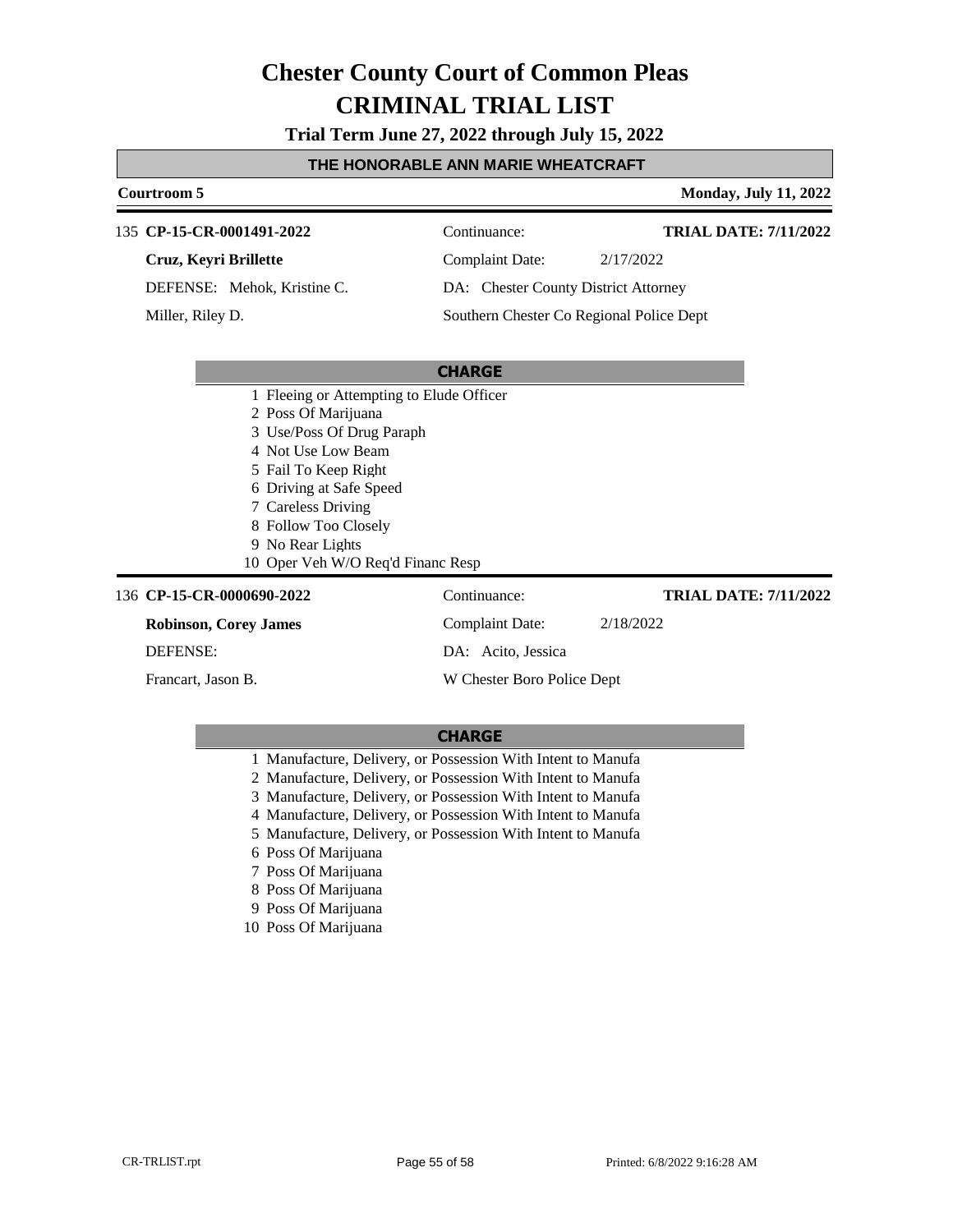**Trial Term June 27, 2022 through July 15, 2022**

#### **THE HONORABLE ANN MARIE WHEATCRAFT**

#### **Courtroom 5 Monday, July 11, 2022**

**TRIAL DATE: 7/11/2022**

#### 135 **CP-15-CR-0001491-2022** Continuance:

**Cruz, Keyri Brillette**

DEFENSE: Mehok, Kristine C.

Miller, Riley D.

Complaint Date: 2/17/2022

DA: Chester County District Attorney

Southern Chester Co Regional Police Dept

|                 |                                          | <b>CHARGE</b>              |                              |
|-----------------|------------------------------------------|----------------------------|------------------------------|
|                 | 1 Fleeing or Attempting to Elude Officer |                            |                              |
|                 | 2 Poss Of Marijuana                      |                            |                              |
|                 | 3 Use/Poss Of Drug Paraph                |                            |                              |
|                 | 4 Not Use Low Beam                       |                            |                              |
|                 | 5 Fail To Keep Right                     |                            |                              |
|                 | 6 Driving at Safe Speed                  |                            |                              |
|                 | 7 Careless Driving                       |                            |                              |
|                 | 8 Follow Too Closely                     |                            |                              |
|                 | 9 No Rear Lights                         |                            |                              |
|                 | 10 Oper Veh W/O Req'd Financ Resp        |                            |                              |
|                 | 136 CP-15-CR-0000690-2022                | Continuance:               | <b>TRIAL DATE: 7/11/2022</b> |
|                 | <b>Robinson, Corey James</b>             | Complaint Date:            | 2/18/2022                    |
| <b>DEFENSE:</b> |                                          | DA: Acito, Jessica         |                              |
|                 | Francart, Jason B.                       | W Chester Boro Police Dept |                              |
|                 |                                          |                            |                              |

- 1 Manufacture, Delivery, or Possession With Intent to Manufa
- 2 Manufacture, Delivery, or Possession With Intent to Manufa
- 3 Manufacture, Delivery, or Possession With Intent to Manufa
- 4 Manufacture, Delivery, or Possession With Intent to Manufa
- 5 Manufacture, Delivery, or Possession With Intent to Manufa
- 6 Poss Of Marijuana
- 7 Poss Of Marijuana
- 8 Poss Of Marijuana
- 9 Poss Of Marijuana
- 10 Poss Of Marijuana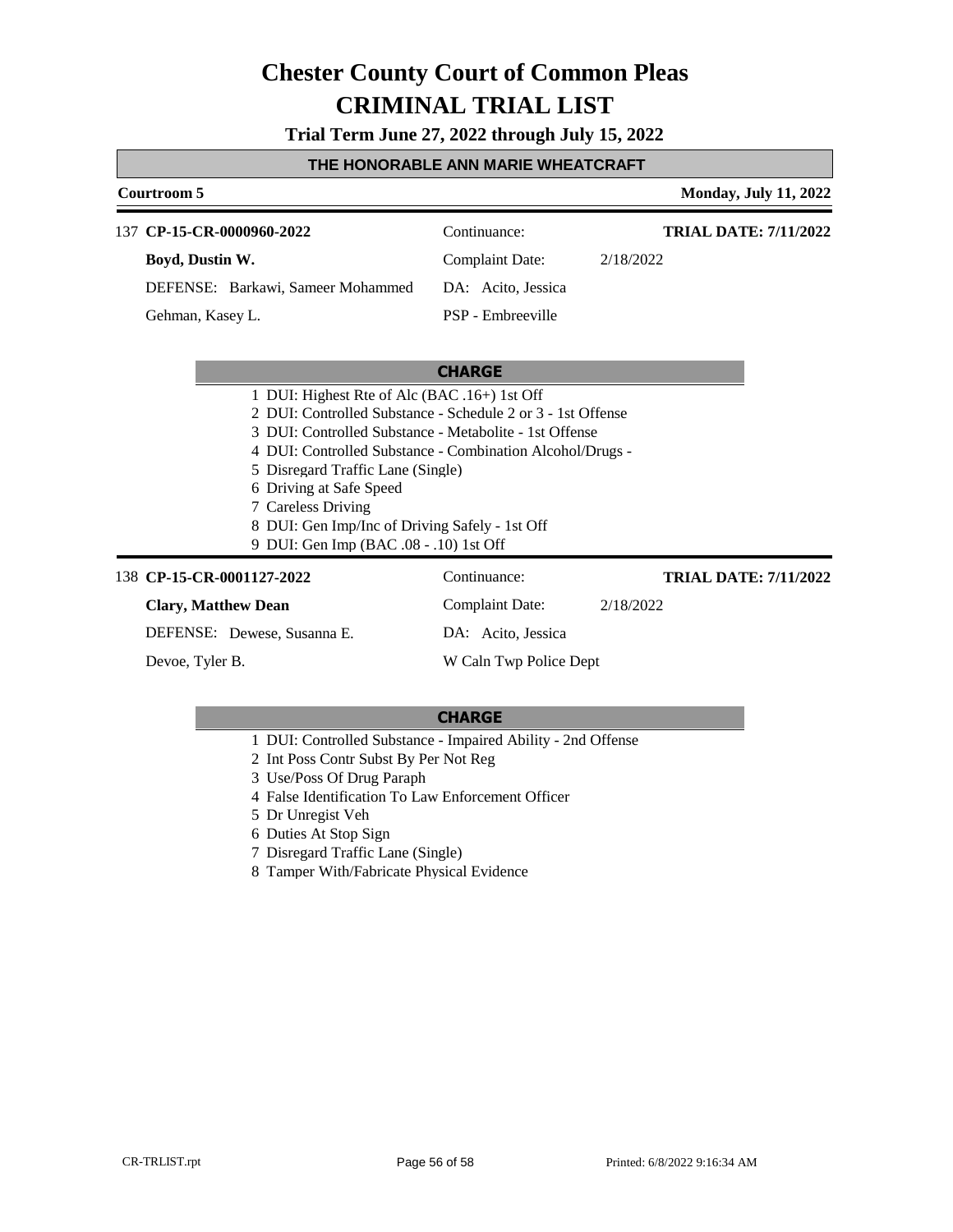**Trial Term June 27, 2022 through July 15, 2022**

#### **THE HONORABLE ANN MARIE WHEATCRAFT**

#### **Courtroom 5 Monday, July 11, 2022** 137 **CP-15-CR-0000960-2022** Continuance: **Boyd, Dustin W.** DEFENSE: Barkawi, Sameer Mohammed Complaint Date: 2/18/2022 DA: Acito, Jessica PSP - Embreeville **TRIAL DATE: 7/11/2022** Gehman, Kasey L.

#### **CHARGE**

|  | 1 DUI: Highest Rte of Alc (BAC .16+) 1st Off |  |  |  |
|--|----------------------------------------------|--|--|--|
|--|----------------------------------------------|--|--|--|

- 2 DUI: Controlled Substance Schedule 2 or 3 1st Offense
- 3 DUI: Controlled Substance Metabolite 1st Offense
- 4 DUI: Controlled Substance Combination Alcohol/Drugs -
- 5 Disregard Traffic Lane (Single)
- 6 Driving at Safe Speed
- 7 Careless Driving
- 8 DUI: Gen Imp/Inc of Driving Safely 1st Off
- 9 DUI: Gen Imp (BAC .08 .10) 1st Off

#### 138 **CP-15-CR-0001127-2022** Continuance:

### **Clary, Matthew Dean**

### Complaint Date: 2/18/2022

**TRIAL DATE: 7/11/2022**

DEFENSE: Dewese, Susanna E.

Devoe, Tyler B.

W Caln Twp Police Dept

DA: Acito, Jessica

- 1 DUI: Controlled Substance Impaired Ability 2nd Offense
- 2 Int Poss Contr Subst By Per Not Reg
- 3 Use/Poss Of Drug Paraph
- 4 False Identification To Law Enforcement Officer
- 5 Dr Unregist Veh
- 6 Duties At Stop Sign
- 7 Disregard Traffic Lane (Single)
- 8 Tamper With/Fabricate Physical Evidence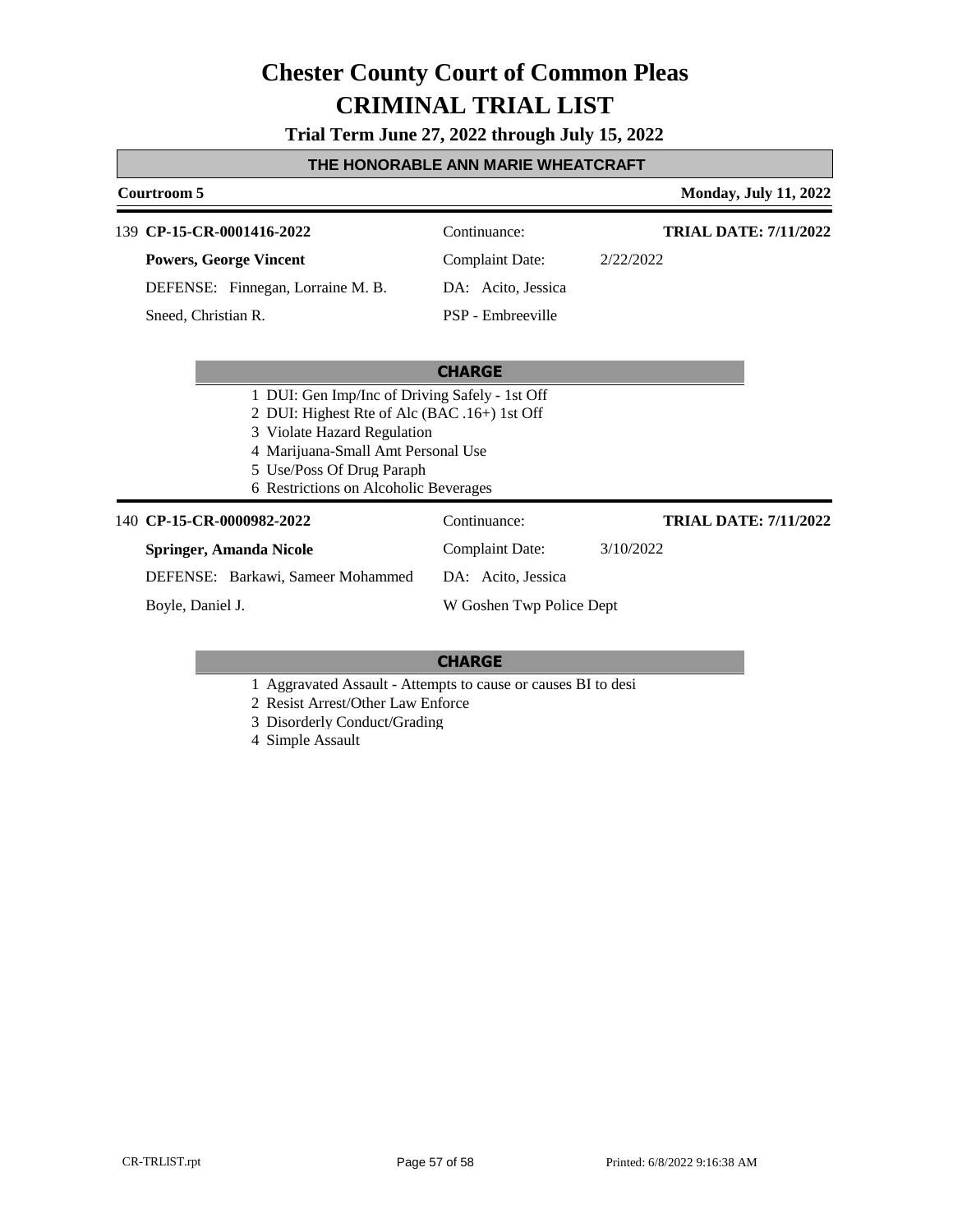**Trial Term June 27, 2022 through July 15, 2022**

### **THE HONORABLE ANN MARIE WHEATCRAFT**

| Courtroom 5                                                                                                                                                                                                                               |                                   | <b>Monday, July 11, 2022</b> |                              |
|-------------------------------------------------------------------------------------------------------------------------------------------------------------------------------------------------------------------------------------------|-----------------------------------|------------------------------|------------------------------|
| 139 CP-15-CR-0001416-2022                                                                                                                                                                                                                 |                                   | Continuance:                 | <b>TRIAL DATE: 7/11/2022</b> |
|                                                                                                                                                                                                                                           | <b>Powers, George Vincent</b>     | <b>Complaint Date:</b>       | 2/22/2022                    |
|                                                                                                                                                                                                                                           | DEFENSE: Finnegan, Lorraine M. B. | DA: Acito, Jessica           |                              |
| Sneed, Christian R.                                                                                                                                                                                                                       |                                   | PSP - Embreeville            |                              |
|                                                                                                                                                                                                                                           |                                   |                              |                              |
|                                                                                                                                                                                                                                           |                                   |                              |                              |
| 1 DUI: Gen Imp/Inc of Driving Safely - 1st Off<br>2 DUI: Highest Rte of Alc (BAC .16+) 1st Off<br>3 Violate Hazard Regulation<br>4 Marijuana-Small Amt Personal Use<br>5 Use/Poss Of Drug Paraph<br>6 Restrictions on Alcoholic Beverages |                                   |                              |                              |
| 140 CP-15-CR-0000982-2022                                                                                                                                                                                                                 |                                   | Continuance:                 | <b>TRIAL DATE: 7/11/2022</b> |
|                                                                                                                                                                                                                                           | <b>Springer, Amanda Nicole</b>    | <b>Complaint Date:</b>       | 3/10/2022                    |
|                                                                                                                                                                                                                                           | DEFENSE: Barkawi, Sameer Mohammed | DA: Acito, Jessica           |                              |
| Boyle, Daniel J.                                                                                                                                                                                                                          |                                   | W Goshen Twp Police Dept     |                              |

### **CHARGE**

1 Aggravated Assault - Attempts to cause or causes BI to desi

2 Resist Arrest/Other Law Enforce

3 Disorderly Conduct/Grading

4 Simple Assault